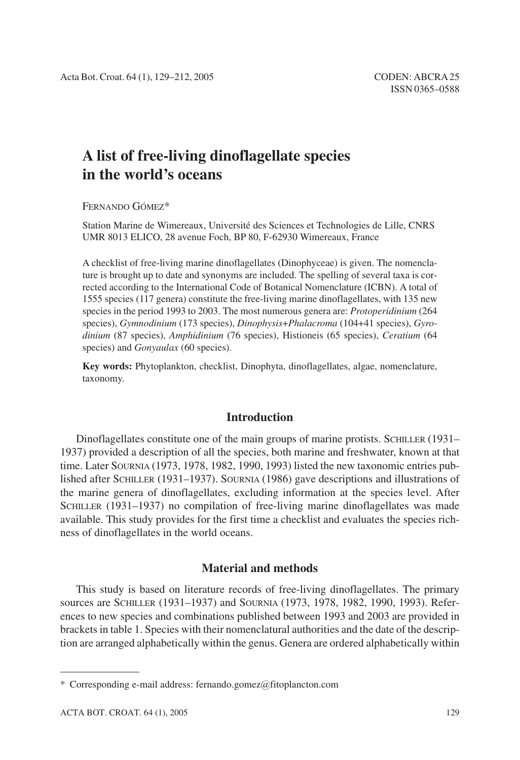# **A list of free-living dinoflagellate species in the world's oceans**

FERNANDO GÓMEZ\*

Station Marine de Wimereaux, Université des Sciences et Technologies de Lille, CNRS UMR 8013 ELICO, 28 avenue Foch, BP 80, F-62930 Wimereaux, France

A checklist of free-living marine dinoflagellates (Dinophyceae) is given. The nomenclature is brought up to date and synonyms are included. The spelling of several taxa is corrected according to the International Code of Botanical Nomenclature (ICBN). A total of 1555 species (117 genera) constitute the free-living marine dinoflagellates, with 135 new species in the period 1993 to 2003. The most numerous genera are: *Protoperidinium* (264 species), *Gymnodinium* (173 species), *Dinophysis*+*Phalacroma* (104+41 species), *Gyrodinium* (87 species), *Amphidinium* (76 species), Histioneis (65 species), *Ceratium* (64 species) and *Gonyaulax* (60 species).

**Key words:** Phytoplankton, checklist, Dinophyta, dinoflagellates, algae, nomenclature, taxonomy.

# **Introduction**

Dinoflagellates constitute one of the main groups of marine protists. SCHILLER (1931– 1937) provided a description of all the species, both marine and freshwater, known at that time. Later SOURNIA (1973, 1978, 1982, 1990, 1993) listed the new taxonomic entries published after SCHILLER (1931–1937). SOURNIA (1986) gave descriptions and illustrations of the marine genera of dinoflagellates, excluding information at the species level. After SCHILLER (1931–1937) no compilation of free-living marine dinoflagellates was made available. This study provides for the first time a checklist and evaluates the species richness of dinoflagellates in the world oceans.

# **Material and methods**

This study is based on literature records of free-living dinoflagellates. The primary sources are SCHILLER (1931–1937) and SOURNIA (1973, 1978, 1982, 1990, 1993). References to new species and combinations published between 1993 and 2003 are provided in brackets in table 1. Species with their nomenclatural authorities and the date of the description are arranged alphabetically within the genus. Genera are ordered alphabetically within

<sup>\*</sup> Corresponding e-mail address: fernando.gomez*@*fitoplancton.com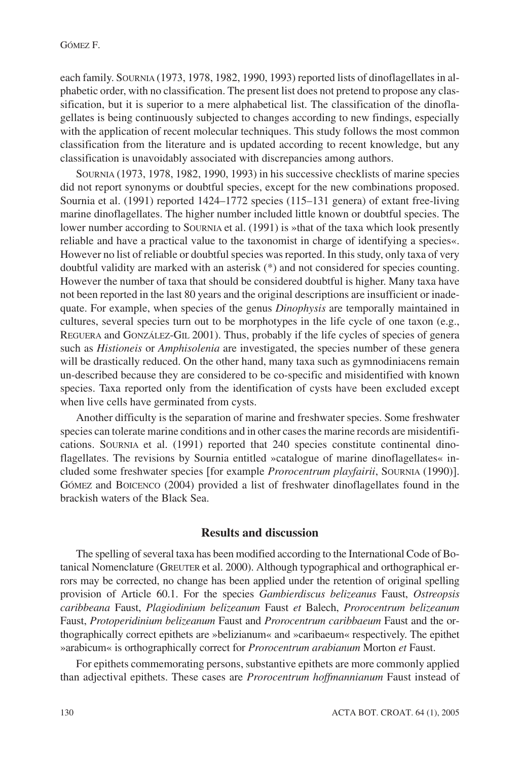each family. SOURNIA (1973, 1978, 1982, 1990, 1993) reported lists of dinoflagellates in alphabetic order, with no classification. The present list does not pretend to propose any classification, but it is superior to a mere alphabetical list. The classification of the dinoflagellates is being continuously subjected to changes according to new findings, especially with the application of recent molecular techniques. This study follows the most common classification from the literature and is updated according to recent knowledge, but any classification is unavoidably associated with discrepancies among authors.

SOURNIA (1973, 1978, 1982, 1990, 1993) in his successive checklists of marine species did not report synonyms or doubtful species, except for the new combinations proposed. Sournia et al. (1991) reported 1424–1772 species (115–131 genera) of extant free-living marine dinoflagellates. The higher number included little known or doubtful species. The lower number according to SOURNIA et al. (1991) is »that of the taxa which look presently reliable and have a practical value to the taxonomist in charge of identifying a species«. However no list of reliable or doubtful species was reported. In this study, only taxa of very doubtful validity are marked with an asterisk (\*) and not considered for species counting. However the number of taxa that should be considered doubtful is higher. Many taxa have not been reported in the last 80 years and the original descriptions are insufficient or inadequate. For example, when species of the genus *Dinophysis* are temporally maintained in cultures, several species turn out to be morphotypes in the life cycle of one taxon (e.g., REGUERA and GONZÁLEZ-GIL 2001). Thus, probably if the life cycles of species of genera such as *Histioneis* or *Amphisolenia* are investigated, the species number of these genera will be drastically reduced. On the other hand, many taxa such as gymnodiniacens remain un-described because they are considered to be co-specific and misidentified with known species. Taxa reported only from the identification of cysts have been excluded except when live cells have germinated from cysts.

Another difficulty is the separation of marine and freshwater species. Some freshwater species can tolerate marine conditions and in other cases the marine records are misidentifications. SOURNIA et al. (1991) reported that 240 species constitute continental dinoflagellates. The revisions by Sournia entitled »catalogue of marine dinoflagellates« included some freshwater species [for example *Prorocentrum playfairii*, SOURNIA (1990)]. GÓMEZ and BOICENCO (2004) provided a list of freshwater dinoflagellates found in the brackish waters of the Black Sea.

# **Results and discussion**

The spelling of several taxa has been modified according to the International Code of Botanical Nomenclature (GREUTER et al. 2000). Although typographical and orthographical errors may be corrected, no change has been applied under the retention of original spelling provision of Article 60.1. For the species *Gambierdiscus belizeanus* Faust, *Ostreopsis caribbeana* Faust, *Plagiodinium belizeanum* Faust *et* Balech, *Prorocentrum belizeanum* Faust, *Protoperidinium belizeanum* Faust and *Prorocentrum caribbaeum* Faust and the orthographically correct epithets are »belizianum« and »caribaeum« respectively. The epithet »arabicum« is orthographically correct for *Prorocentrum arabianum* Morton *et* Faust.

For epithets commemorating persons, substantive epithets are more commonly applied than adjectival epithets. These cases are *Prorocentrum hoffmannianum* Faust instead of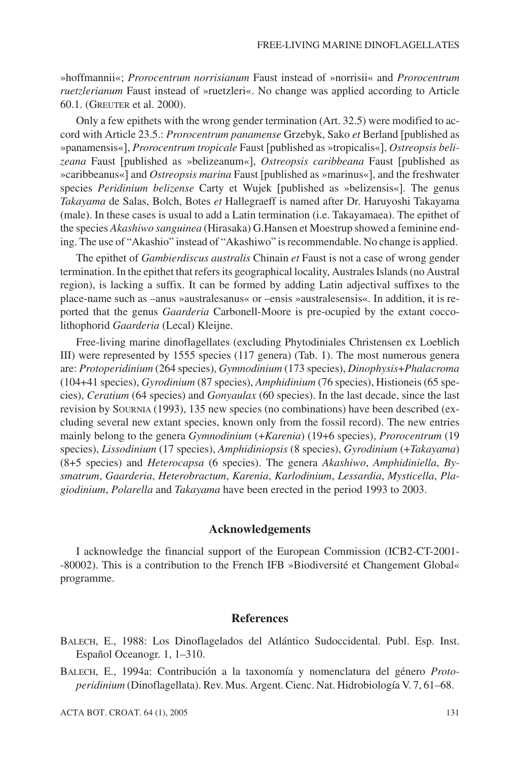»hoffmannii«; *Prorocentrum norrisianum* Faust instead of »norrisii« and *Prorocentrum ruetzlerianum* Faust instead of »ruetzleri«. No change was applied according to Article 60.1. (GREUTER et al. 2000).

Only a few epithets with the wrong gender termination (Art. 32.5) were modified to accord with Article 23.5.: *Prorocentrum panamense* Grzebyk, Sako et Berland [published as »panamensis«], *Prorocentrum tropicale* Faust [published as »tropicalis«], Ostreopsis belizeana Faust [published as »belizeanum«], Ostreopsis caribbeana Faust [published as »caribbeanus«] and *Ostreopsis marina* Faust [published as »marinus«], and the freshwater species Peridinium belizense Carty et Wujek [published as »belizensis«]. The genus *Takayama* de Salas, Bolch, Botes *et* Hallegraeff is named after Dr. Haruyoshi Takayama (male). In these cases is usual to add a Latin termination (i.e. Takayamaea). The epithet of the species *Akashiwo sanguinea* (Hirasaka) G.Hansen et Moestrup showed a feminine ending. The use of "Akashio" instead of "Akashiwo" is recommendable. No change is applied.

The epithet of *Gambierdiscus australis* Chinain *et* Faust is not a case of wrong gender termination. In the epithet that refers its geographical locality, Australes Islands (no Austral region), is lacking a suffix. It can be formed by adding Latin adjectival suffixes to the place-name such as –anus »australesanus« or –ensis »australesensis«. In addition, it is reported that the genus *Gaarderia* Carbonell-Moore is pre-ocupied by the extant coccolithophorid *Gaarderia* (Lecal) Kleijne.

Free-living marine dinoflagellates (excluding Phytodiniales Christensen ex Loeblich III) were represented by 1555 species (117 genera) (Tab. 1). The most numerous genera are: *Protoperidinium* (264 species), *Gymnodinium* (173 species), *Dinophysis*+*Phalacroma* (104+41 species), *Gyrodinium* (87 species), *Amphidinium* (76 species), Histioneis (65 species), *Ceratium* (64 species) and *Gonyaulax* (60 species). In the last decade, since the last revision by SOURNIA (1993), 135 new species (no combinations) have been described (excluding several new extant species, known only from the fossil record). The new entries mainly belong to the genera *Gymnodinium* (+*Karenia*) (19+6 species), *Prorocentrum* (19 species), *Lissodinium* (17 species), *Amphidiniopsis* (8 species), *Gyrodinium* (+*Takayama*) (8+5 species) and *Heterocapsa* (6 species). The genera *Akashiwo*, *Amphidiniella*, *Bysmatrum*, *Gaarderia*, *Heterobractum*, *Karenia*, *Karlodinium*, *Lessardia*, *Mysticella*, *Plagiodinium*, *Polarella* and *Takayama* have been erected in the period 1993 to 2003.

# **Acknowledgements**

I acknowledge the financial support of the European Commission (ICB2-CT-2001- -80002). This is a contribution to the French IFB »Biodiversité et Changement Global« programme.

## **References**

BALECH, E., 1988: Los Dinoflagelados del Atlántico Sudoccidental. Publ. Esp. Inst. Español Oceanogr. 1, 1–310.

BALECH, E., 1994a: Contribución a la taxonomía y nomenclatura del género *Protoperidinium* (Dinoflagellata). Rev. Mus. Argent. Cienc. Nat. Hidrobiología V. 7, 61–68.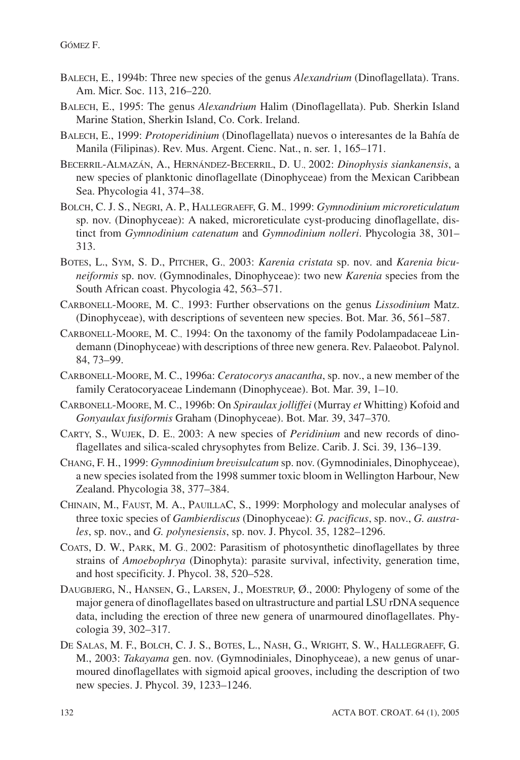- BALECH, E., 1994b: Three new species of the genus *Alexandrium* (Dinoflagellata). Trans. Am. Micr. Soc. 113, 216–220.
- BALECH, E., 1995: The genus *Alexandrium* Halim (Dinoflagellata). Pub. Sherkin Island Marine Station, Sherkin Island, Co. Cork. Ireland.
- BALECH, E., 1999: *Protoperidinium* (Dinoflagellata) nuevos o interesantes de la Bahía de Manila (Filipinas). Rev. Mus. Argent. Cienc. Nat., n. ser. 1, 165–171.
- BECERRIL-ALMAZÁN, A., HERNÁNDEZ-BECERRIL, D. U., 2002: *Dinophysis siankanensis*, a new species of planktonic dinoflagellate (Dinophyceae) from the Mexican Caribbean Sea. Phycologia 41, 374–38.
- BOLCH, C. J. S., NEGRI, A. P., HALLEGRAEFF, G. M., 1999: *Gymnodinium microreticulatum* sp. nov. (Dinophyceae): A naked, microreticulate cyst-producing dinoflagellate, distinct from *Gymnodinium catenatum* and *Gymnodinium nolleri*. Phycologia 38, 301– 313.
- BOTES, L., SYM, S. D., PITCHER, G., 2003: *Karenia cristata* sp. nov. and *Karenia bicuneiformis* sp. nov. (Gymnodinales, Dinophyceae): two new *Karenia* species from the South African coast. Phycologia 42, 563–571.
- CARBONELL-MOORE, M. C., 1993: Further observations on the genus *Lissodinium* Matz. (Dinophyceae), with descriptions of seventeen new species. Bot. Mar. 36, 561–587.
- CARBONELL-MOORE, M. C., 1994: On the taxonomy of the family Podolampadaceae Lindemann (Dinophyceae) with descriptions of three new genera. Rev. Palaeobot. Palynol. 84, 73–99.
- CARBONELL-MOORE, M. C., 1996a: *Ceratocorys anacantha*, sp. nov., a new member of the family Ceratocoryaceae Lindemann (Dinophyceae). Bot. Mar. 39, 1–10.
- CARBONELL-MOORE, M. C., 1996b: On *Spiraulax jolliffei* (Murray *et* Whitting) Kofoid and *Gonyaulax fusiformis* Graham (Dinophyceae). Bot. Mar. 39, 347–370.
- CARTY, S., WUJEK, D. E., 2003: A new species of *Peridinium* and new records of dinoflagellates and silica-scaled chrysophytes from Belize. Carib. J. Sci. 39, 136–139.
- CHANG, F. H., 1999: *Gymnodinium brevisulcatum* sp. nov. (Gymnodiniales, Dinophyceae), a new species isolated from the 1998 summer toxic bloom in Wellington Harbour, New Zealand. Phycologia 38, 377–384.
- CHINAIN, M., FAUST, M. A., PAUILLAC, S., 1999: Morphology and molecular analyses of three toxic species of *Gambierdiscus* (Dinophyceae): *G. pacificus*, sp. nov., *G. australes*, sp. nov., and *G. polynesiensis*, sp. nov. J. Phycol. 35, 1282–1296.
- COATS, D. W., PARK, M. G., 2002: Parasitism of photosynthetic dinoflagellates by three strains of *Amoebophrya* (Dinophyta): parasite survival, infectivity, generation time, and host specificity. J. Phycol. 38, 520–528.
- DAUGBJERG, N., HANSEN, G., LARSEN, J., MOESTRUP, Ø., 2000: Phylogeny of some of the major genera of dinoflagellates based on ultrastructure and partial LSU rDNAsequence data, including the erection of three new genera of unarmoured dinoflagellates. Phycologia 39, 302–317.
- DE SALAS, M. F., BOLCH, C. J. S., BOTES, L., NASH, G., WRIGHT, S. W., HALLEGRAEFF, G. M., 2003: *Takayama* gen. nov. (Gymnodiniales, Dinophyceae), a new genus of unarmoured dinoflagellates with sigmoid apical grooves, including the description of two new species. J. Phycol. 39, 1233–1246.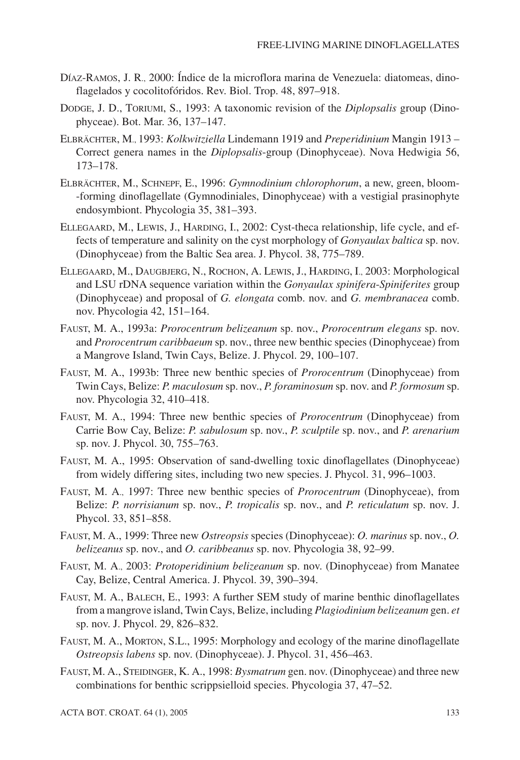- DÍAZ-RAMOS, J. R., 2000: Índice de la microflora marina de Venezuela: diatomeas, dinoflagelados y cocolitofóridos. Rev. Biol. Trop. 48, 897–918.
- DODGE, J. D., TORIUMI, S., 1993: A taxonomic revision of the *Diplopsalis* group (Dinophyceae). Bot. Mar. 36, 137–147.
- ELBRÄCHTER, M., 1993: *Kolkwitziella* Lindemann 1919 and *Preperidinium* Mangin 1913 Correct genera names in the *Diplopsalis*-group (Dinophyceae). Nova Hedwigia 56, 173–178.
- ELBRÄCHTER, M., SCHNEPF, E., 1996: *Gymnodinium chlorophorum*, a new, green, bloom- -forming dinoflagellate (Gymnodiniales, Dinophyceae) with a vestigial prasinophyte endosymbiont. Phycologia 35, 381–393.
- ELLEGAARD, M., LEWIS, J., HARDING, I., 2002: Cyst-theca relationship, life cycle, and effects of temperature and salinity on the cyst morphology of *Gonyaulax baltica* sp. nov. (Dinophyceae) from the Baltic Sea area. J. Phycol. 38, 775–789.
- ELLEGAARD, M., DAUGBJERG, N., ROCHON, A. LEWIS, J., HARDING, I., 2003: Morphological and LSU rDNA sequence variation within the *Gonyaulax spinifera*-*Spiniferites* group (Dinophyceae) and proposal of *G. elongata* comb. nov. and *G. membranacea* comb. nov. Phycologia 42, 151–164.
- FAUST, M. A., 1993a: *Prorocentrum belizeanum* sp. nov., *Prorocentrum elegans* sp. nov. and *Prorocentrum caribbaeum* sp. nov., three new benthic species (Dinophyceae) from a Mangrove Island, Twin Cays, Belize. J. Phycol. 29, 100–107.
- FAUST, M. A., 1993b: Three new benthic species of *Prorocentrum* (Dinophyceae) from Twin Cays, Belize: *P. maculosum* sp. nov., *P. foraminosum* sp. nov. and *P. formosum* sp. nov. Phycologia 32, 410–418.
- FAUST, M. A., 1994: Three new benthic species of *Prorocentrum* (Dinophyceae) from Carrie Bow Cay, Belize: *P. sabulosum* sp. nov., *P. sculptile* sp. nov., and *P. arenarium* sp. nov. J. Phycol. 30, 755–763.
- FAUST, M. A., 1995: Observation of sand-dwelling toxic dinoflagellates (Dinophyceae) from widely differing sites, including two new species. J. Phycol. 31, 996–1003.
- FAUST, M. A., 1997: Three new benthic species of *Prorocentrum* (Dinophyceae), from Belize: *P. norrisianum* sp. nov., *P. tropicalis* sp. nov., and *P. reticulatum* sp. nov. J. Phycol. 33, 851–858.
- FAUST, M. A., 1999: Three new *Ostreopsis* species (Dinophyceae): *O. marinus* sp. nov., *O. belizeanus* sp. nov., and *O. caribbeanus* sp. nov. Phycologia 38, 92–99.
- FAUST, M. A., 2003: *Protoperidinium belizeanum* sp. nov. (Dinophyceae) from Manatee Cay, Belize, Central America. J. Phycol. 39, 390–394.
- FAUST, M. A., BALECH, E., 1993: A further SEM study of marine benthic dinoflagellates from a mangrove island, Twin Cays, Belize, including *Plagiodinium belizeanum* gen. *et* sp. nov. J. Phycol. 29, 826–832.
- FAUST, M. A., MORTON, S.L., 1995: Morphology and ecology of the marine dinoflagellate *Ostreopsis labens* sp. nov. (Dinophyceae). J. Phycol. 31, 456–463.
- FAUST, M. A., STEIDINGER, K. A., 1998: *Bysmatrum* gen. nov. (Dinophyceae) and three new combinations for benthic scrippsielloid species. Phycologia 37, 47–52.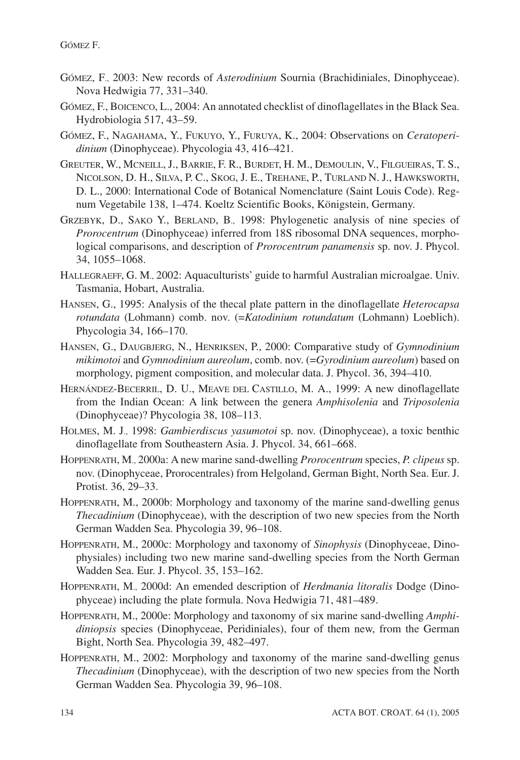- GÓMEZ, F., 2003: New records of *Asterodinium* Sournia (Brachidiniales, Dinophyceae). Nova Hedwigia 77, 331–340.
- GÓMEZ, F., BOICENCO, L., 2004: An annotated checklist of dinoflagellates in the Black Sea. Hydrobiologia 517, 43–59.
- GÓMEZ, F., NAGAHAMA, Y., FUKUYO, Y., FURUYA, K., 2004: Observations on *Ceratoperidinium* (Dinophyceae). Phycologia 43, 416–421.
- GREUTER, W., MCNEILL, J., BARRIE, F. R., BURDET, H. M., DEMOULIN, V., FILGUEIRAS, T. S., NICOLSON, D. H., SILVA, P. C., SKOG, J. E., TREHANE, P., TURLAND N. J., HAWKSWORTH, D. L., 2000: International Code of Botanical Nomenclature (Saint Louis Code). Regnum Vegetabile 138, 1–474. Koeltz Scientific Books, Königstein, Germany.
- GRZEBYK, D., SAKO Y., BERLAND, B., 1998: Phylogenetic analysis of nine species of *Prorocentrum* (Dinophyceae) inferred from 18S ribosomal DNA sequences, morphological comparisons, and description of *Prorocentrum panamensis* sp. nov. J. Phycol. 34, 1055–1068.
- HALLEGRAEFF, G. M., 2002: Aquaculturists' guide to harmful Australian microalgae. Univ. Tasmania, Hobart, Australia.
- HANSEN, G., 1995: Analysis of the thecal plate pattern in the dinoflagellate *Heterocapsa rotundata* (Lohmann) comb. nov. (=*Katodinium rotundatum* (Lohmann) Loeblich). Phycologia 34, 166–170.
- HANSEN, G., DAUGBJERG, N., HENRIKSEN, P., 2000: Comparative study of *Gymnodinium mikimotoi* and *Gymnodinium aureolum*, comb. nov. (=*Gyrodinium aureolum*) based on morphology, pigment composition, and molecular data. J. Phycol. 36, 394–410.
- HERNÁNDEZ-BECERRIL, D. U., MEAVE DEL CASTILLO, M. A., 1999: A new dinoflagellate from the Indian Ocean: A link between the genera *Amphisolenia* and *Triposolenia* (Dinophyceae)? Phycologia 38, 108–113.
- HOLMES, M. J., 1998: *Gambierdiscus yasumotoi* sp. nov. (Dinophyceae), a toxic benthic dinoflagellate from Southeastern Asia. J. Phycol. 34, 661–668.
- HOPPENRATH, M., 2000a: A new marine sand-dwelling *Prorocentrum* species, *P. clipeus* sp. nov. (Dinophyceae, Prorocentrales) from Helgoland, German Bight, North Sea. Eur. J. Protist. 36, 29–33.
- HOPPENRATH, M., 2000b: Morphology and taxonomy of the marine sand-dwelling genus *Thecadinium* (Dinophyceae), with the description of two new species from the North German Wadden Sea. Phycologia 39, 96–108.
- HOPPENRATH, M., 2000c: Morphology and taxonomy of *Sinophysis* (Dinophyceae, Dinophysiales) including two new marine sand-dwelling species from the North German Wadden Sea. Eur. J. Phycol. 35, 153–162.
- HOPPENRATH, M., 2000d: An emended description of *Herdmania litoralis* Dodge (Dinophyceae) including the plate formula. Nova Hedwigia 71, 481–489.
- HOPPENRATH, M., 2000e: Morphology and taxonomy of six marine sand-dwelling *Amphidiniopsis* species (Dinophyceae, Peridiniales), four of them new, from the German Bight, North Sea. Phycologia 39, 482–497.
- HOPPENRATH, M., 2002: Morphology and taxonomy of the marine sand-dwelling genus *Thecadinium* (Dinophyceae), with the description of two new species from the North German Wadden Sea. Phycologia 39, 96–108.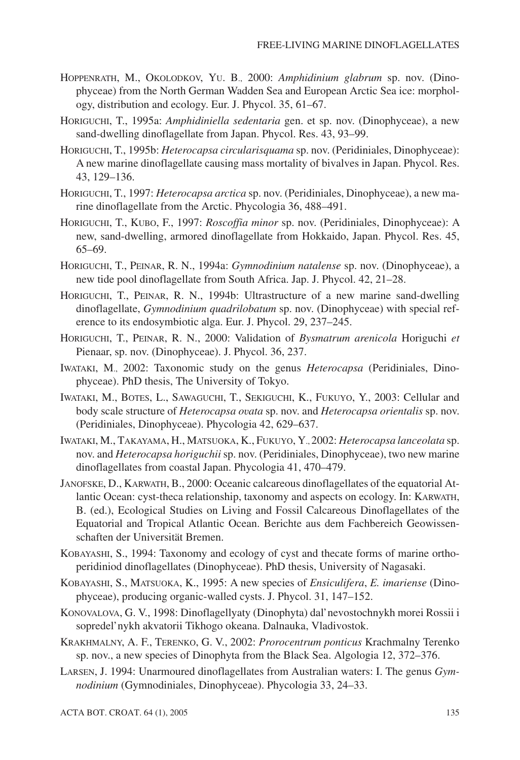- HOPPENRATH, M., OKOLODKOV, YU. B., 2000: *Amphidinium glabrum* sp. nov. (Dinophyceae) from the North German Wadden Sea and European Arctic Sea ice: morphology, distribution and ecology. Eur. J. Phycol. 35, 61–67.
- HORIGUCHI, T., 1995a: *Amphidiniella sedentaria* gen. et sp. nov. (Dinophyceae), a new sand-dwelling dinoflagellate from Japan. Phycol. Res. 43, 93–99.
- HORIGUCHI, T., 1995b: *Heterocapsa circularisquama* sp. nov. (Peridiniales, Dinophyceae): A new marine dinoflagellate causing mass mortality of bivalves in Japan. Phycol. Res. 43, 129–136.
- HORIGUCHI, T., 1997: *Heterocapsa arctica* sp. nov. (Peridiniales, Dinophyceae), a new marine dinoflagellate from the Arctic. Phycologia 36, 488–491.
- HORIGUCHI, T., KUBO, F., 1997: *Roscoffia minor* sp. nov. (Peridiniales, Dinophyceae): A new, sand-dwelling, armored dinoflagellate from Hokkaido, Japan. Phycol. Res. 45, 65–69.
- HORIGUCHI, T., PEINAR, R. N., 1994a: *Gymnodinium natalense* sp. nov. (Dinophyceae), a new tide pool dinoflagellate from South Africa. Jap. J. Phycol. 42, 21–28.
- HORIGUCHI, T., PEINAR, R. N., 1994b: Ultrastructure of a new marine sand-dwelling dinoflagellate, *Gymnodinium quadrilobatum* sp. nov. (Dinophyceae) with special reference to its endosymbiotic alga. Eur. J. Phycol. 29, 237–245.
- HORIGUCHI, T., PEINAR, R. N., 2000: Validation of *Bysmatrum arenicola* Horiguchi *et* Pienaar, sp. nov. (Dinophyceae). J. Phycol. 36, 237.
- IWATAKI, M., 2002: Taxonomic study on the genus *Heterocapsa* (Peridiniales, Dinophyceae). PhD thesis, The University of Tokyo.
- IWATAKI, M., BOTES, L., SAWAGUCHI, T., SEKIGUCHI, K., FUKUYO, Y., 2003: Cellular and body scale structure of *Heterocapsa ovata* sp. nov. and *Heterocapsa orientalis* sp. nov. (Peridiniales, Dinophyceae). Phycologia 42, 629–637.
- IWATAKI, M., TAKAYAMA, H., MATSUOKA, K., FUKUYO, Y., 2002: *Heterocapsa lanceolata* sp. nov. and *Heterocapsa horiguchii* sp. nov. (Peridiniales, Dinophyceae), two new marine dinoflagellates from coastal Japan. Phycologia 41, 470–479.
- JANOFSKE, D., KARWATH, B., 2000: Oceanic calcareous dinoflagellates of the equatorial Atlantic Ocean: cyst-theca relationship, taxonomy and aspects on ecology. In: KARWATH, B. (ed.), Ecological Studies on Living and Fossil Calcareous Dinoflagellates of the Equatorial and Tropical Atlantic Ocean. Berichte aus dem Fachbereich Geowissenschaften der Universität Bremen.
- KOBAYASHI, S., 1994: Taxonomy and ecology of cyst and thecate forms of marine orthoperidiniod dinoflagellates (Dinophyceae). PhD thesis, University of Nagasaki.
- KOBAYASHI, S., MATSUOKA, K., 1995: A new species of *Ensiculifera*, *E. imariense* (Dinophyceae), producing organic-walled cysts. J. Phycol. 31, 147–152.
- KONOVALOVA, G. V., 1998: Dinoflagellyaty (Dinophyta) dal'nevostochnykh morei Rossii i sopredel'nykh akvatorii Tikhogo okeana. Dalnauka, Vladivostok.
- KRAKHMALNY, A. F., TERENKO, G. V., 2002: *Prorocentrum ponticus* Krachmalny Terenko sp. nov., a new species of Dinophyta from the Black Sea. Algologia 12, 372–376.
- LARSEN, J. 1994: Unarmoured dinoflagellates from Australian waters: I. The genus *Gymnodinium* (Gymnodiniales, Dinophyceae). Phycologia 33, 24–33.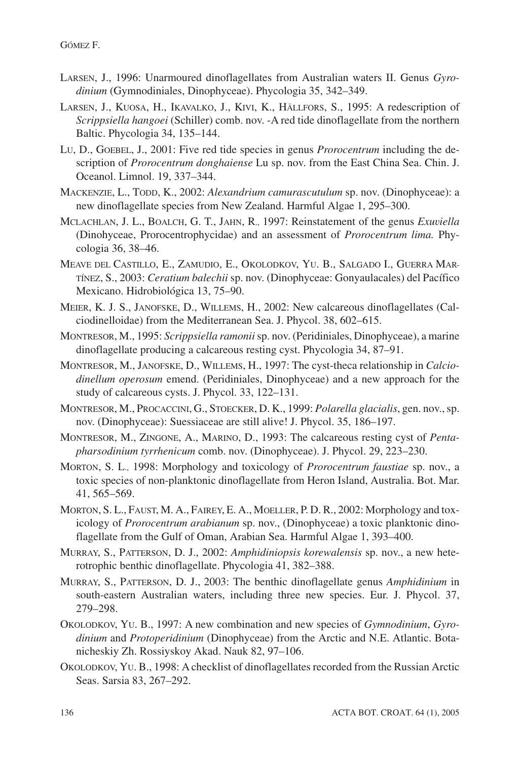- LARSEN, J., 1996: Unarmoured dinoflagellates from Australian waters II. Genus *Gyrodinium* (Gymnodiniales, Dinophyceae). Phycologia 35, 342–349.
- LARSEN, J., KUOSA, H., IKAVALKO, J., KIVI, K., HÄLLFORS, S., 1995: A redescription of *Scrippsiella hangoei* (Schiller) comb. nov. -A red tide dinoflagellate from the northern Baltic. Phycologia 34, 135–144.
- LU, D., GOEBEL, J., 2001: Five red tide species in genus *Prorocentrum* including the description of *Prorocentrum donghaiense* Lu sp. nov. from the East China Sea. Chin. J. Oceanol. Limnol. 19, 337–344.
- MACKENZIE, L., TODD, K., 2002: *Alexandrium camurascutulum* sp. nov. (Dinophyceae): a new dinoflagellate species from New Zealand. Harmful Algae 1, 295–300.
- MCLACHLAN, J. L., BOALCH, G. T., JAHN, R., 1997: Reinstatement of the genus *Exuviella* (Dinohyceae, Prorocentrophycidae) and an assessment of *Prorocentrum lima.* Phycologia 36, 38–46.
- MEAVE DEL CASTILLO, E., ZAMUDIO, E., OKOLODKOV, YU. B., SALGADO I., GUERRA MAR-TÍNEZ, S., 2003: *Ceratium balechii* sp. nov. (Dinophyceae: Gonyaulacales) del Pacífico Mexicano. Hidrobiológica 13, 75–90.
- MEIER, K. J. S., JANOFSKE, D., WILLEMS, H., 2002: New calcareous dinoflagellates (Calciodinelloidae) from the Mediterranean Sea. J. Phycol. 38, 602–615.
- MONTRESOR, M., 1995: *Scrippsiella ramonii*sp. nov. (Peridiniales, Dinophyceae), a marine dinoflagellate producing a calcareous resting cyst. Phycologia 34, 87–91.
- MONTRESOR, M., JANOFSKE, D., WILLEMS, H., 1997: The cyst-theca relationship in *Calciodinellum operosum* emend. (Peridiniales, Dinophyceae) and a new approach for the study of calcareous cysts. J. Phycol. 33, 122–131.
- MONTRESOR, M., PROCACCINI, G., STOECKER, D. K., 1999: *Polarella glacialis*, gen. nov., sp. nov. (Dinophyceae): Suessiaceae are still alive! J. Phycol. 35, 186–197.
- MONTRESOR, M., ZINGONE, A., MARINO, D., 1993: The calcareous resting cyst of *Pentapharsodinium tyrrhenicum* comb. nov. (Dinophyceae). J. Phycol. 29, 223–230.
- MORTON, S. L., 1998: Morphology and toxicology of *Prorocentrum faustiae* sp. nov., a toxic species of non-planktonic dinoflagellate from Heron Island, Australia. Bot. Mar. 41, 565–569.
- MORTON, S. L., FAUST, M. A., FAIREY, E. A., MOELLER, P. D. R., 2002: Morphology and toxicology of *Prorocentrum arabianum* sp. nov., (Dinophyceae) a toxic planktonic dinoflagellate from the Gulf of Oman, Arabian Sea. Harmful Algae 1, 393–400.
- MURRAY, S., PATTERSON, D. J., 2002: *Amphidiniopsis korewalensis* sp. nov., a new heterotrophic benthic dinoflagellate. Phycologia 41, 382–388.
- MURRAY, S., PATTERSON, D. J., 2003: The benthic dinoflagellate genus *Amphidinium* in south-eastern Australian waters, including three new species. Eur. J. Phycol. 37, 279–298.
- OKOLODKOV, YU. B., 1997: A new combination and new species of *Gymnodinium*, *Gyrodinium* and *Protoperidinium* (Dinophyceae) from the Arctic and N.E. Atlantic. Botanicheskiy Zh. Rossiyskoy Akad. Nauk 82, 97–106.
- OKOLODKOV, YU. B., 1998: A checklist of dinoflagellates recorded from the Russian Arctic Seas. Sarsia 83, 267–292.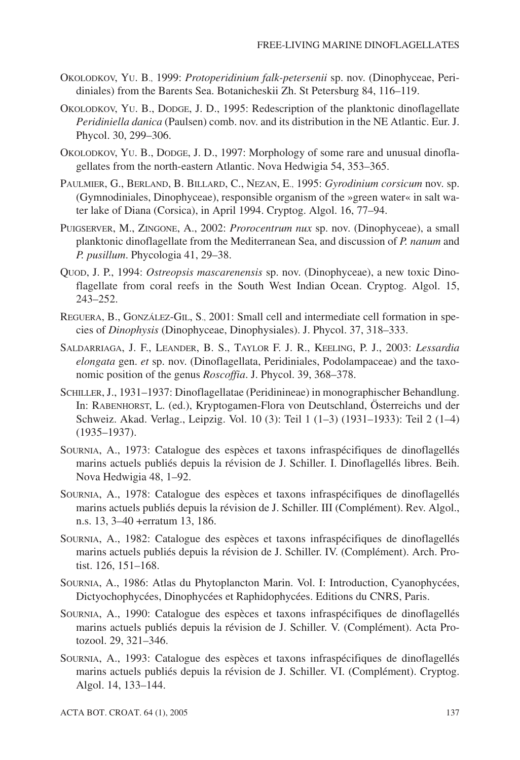- OKOLODKOV, YU. B., 1999: *Protoperidinium falk-petersenii* sp. nov. (Dinophyceae, Peridiniales) from the Barents Sea. Botanicheskii Zh. St Petersburg 84, 116–119.
- OKOLODKOV, YU. B., DODGE, J. D., 1995: Redescription of the planktonic dinoflagellate *Peridiniella danica* (Paulsen) comb. nov. and its distribution in the NE Atlantic. Eur. J. Phycol. 30, 299–306.
- OKOLODKOV, YU. B., DODGE, J. D., 1997: Morphology of some rare and unusual dinoflagellates from the north-eastern Atlantic. Nova Hedwigia 54, 353–365.
- PAULMIER, G., BERLAND, B. BILLARD, C., NEZAN, E., 1995: *Gyrodinium corsicum* nov. sp. (Gymnodiniales, Dinophyceae), responsible organism of the »green water« in salt water lake of Diana (Corsica), in April 1994. Cryptog. Algol. 16, 77–94.
- PUIGSERVER, M., ZINGONE, A., 2002: *Prorocentrum nux* sp. nov. (Dinophyceae), a small planktonic dinoflagellate from the Mediterranean Sea, and discussion of *P. nanum* and *P. pusillum*. Phycologia 41, 29–38.
- QUOD, J. P., 1994: *Ostreopsis mascarenensis* sp. nov. (Dinophyceae), a new toxic Dinoflagellate from coral reefs in the South West Indian Ocean. Cryptog. Algol. 15, 243–252.
- REGUERA, B., GONZÁLEZ-GIL, S., 2001: Small cell and intermediate cell formation in species of *Dinophysis* (Dinophyceae, Dinophysiales). J. Phycol. 37, 318–333.
- SALDARRIAGA, J. F., LEANDER, B. S., TAYLOR F. J. R., KEELING, P. J., 2003: *Lessardia elongata* gen. *et* sp. nov. (Dinoflagellata, Peridiniales, Podolampaceae) and the taxonomic position of the genus *Roscoffia*. J. Phycol. 39, 368–378.
- SCHILLER, J., 1931–1937: Dinoflagellatae (Peridinineae) in monographischer Behandlung. In: RABENHORST, L. (ed.), Kryptogamen-Flora von Deutschland, Österreichs und der Schweiz. Akad. Verlag., Leipzig. Vol. 10 (3): Teil 1 (1–3) (1931–1933): Teil 2 (1–4) (1935–1937).
- SOURNIA, A., 1973: Catalogue des espèces et taxons infraspécifiques de dinoflagellés marins actuels publiés depuis la révision de J. Schiller. I. Dinoflagellés libres. Beih. Nova Hedwigia 48, 1–92.
- SOURNIA, A., 1978: Catalogue des espèces et taxons infraspécifiques de dinoflagellés marins actuels publiés depuis la révision de J. Schiller. III (Complément). Rev. Algol., n.s. 13, 3–40 +erratum 13, 186.
- SOURNIA, A., 1982: Catalogue des espèces et taxons infraspécifiques de dinoflagellés marins actuels publiés depuis la révision de J. Schiller. IV. (Complément). Arch. Protist. 126, 151–168.
- SOURNIA, A., 1986: Atlas du Phytoplancton Marin. Vol. I: Introduction, Cyanophycées, Dictyochophycées, Dinophycées et Raphidophycées. Editions du CNRS, Paris.
- SOURNIA, A., 1990: Catalogue des espèces et taxons infraspécifiques de dinoflagellés marins actuels publiés depuis la révision de J. Schiller. V. (Complément). Acta Protozool. 29, 321–346.
- SOURNIA, A., 1993: Catalogue des espèces et taxons infraspécifiques de dinoflagellés marins actuels publiés depuis la révision de J. Schiller. VI. (Complément). Cryptog. Algol. 14, 133–144.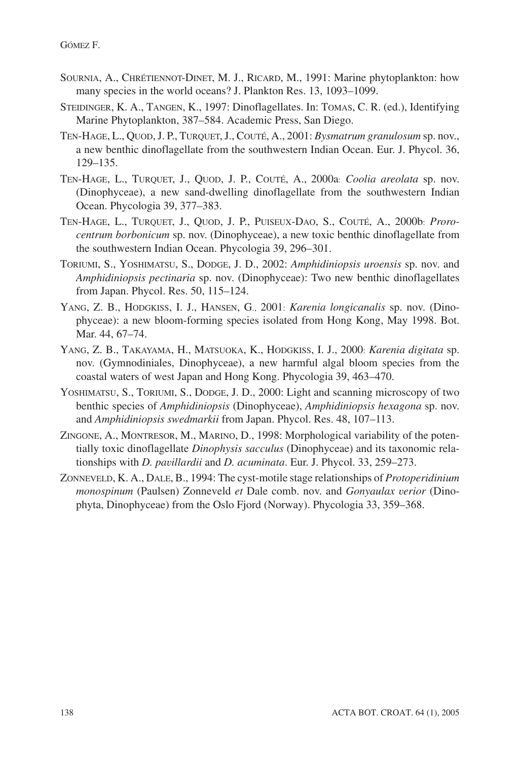- SOURNIA, A., CHRÉTIENNOT-DINET, M. J., RICARD, M., 1991: Marine phytoplankton: how many species in the world oceans? J. Plankton Res. 13, 1093–1099.
- STEIDINGER, K. A., TANGEN, K., 1997: Dinoflagellates. In: TOMAS, C. R. (ed.), Identifying Marine Phytoplankton, 387–584. Academic Press, San Diego.
- TEN-HAGE, L., QUOD, J. P., TURQUET, J., COUTÉ, A., 2001: *Bysmatrum granulosum* sp. nov., a new benthic dinoflagellate from the southwestern Indian Ocean. Eur. J. Phycol. 36, 129–135.
- TEN-HAGE, L., TURQUET, J., QUOD, J. P., COUTÉ, A., 2000a: *Coolia areolata* sp. nov. (Dinophyceae), a new sand-dwelling dinoflagellate from the southwestern Indian Ocean. Phycologia 39, 377–383.
- TEN-HAGE, L., TURQUET, J., QUOD, J. P., PUISEUX-DAO, S., COUTÉ, A., 2000b: *Prorocentrum borbonicum* sp. nov. (Dinophyceae), a new toxic benthic dinoflagellate from the southwestern Indian Ocean. Phycologia 39, 296–301.
- TORIUMI, S., YOSHIMATSU, S., DODGE, J. D., 2002: *Amphidiniopsis uroensis* sp. nov. and *Amphidiniopsis pectinaria* sp. nov. (Dinophyceae): Two new benthic dinoflagellates from Japan. Phycol. Res. 50, 115–124.
- YANG, Z. B., HODGKISS, I. J., HANSEN, G., 2001: *Karenia longicanalis* sp. nov. (Dinophyceae): a new bloom-forming species isolated from Hong Kong, May 1998. Bot. Mar. 44, 67–74.
- YANG, Z. B., TAKAYAMA, H., MATSUOKA, K., HODGKISS, I. J., 2000: *Karenia digitata* sp. nov. (Gymnodiniales, Dinophyceae), a new harmful algal bloom species from the coastal waters of west Japan and Hong Kong. Phycologia 39, 463–470.
- YOSHIMATSU, S., TORIUMI, S., DODGE, J. D., 2000: Light and scanning microscopy of two benthic species of *Amphidiniopsis* (Dinophyceae), *Amphidiniopsis hexagona* sp. nov. and *Amphidiniopsis swedmarkii* from Japan. Phycol. Res. 48, 107–113.
- ZINGONE, A., MONTRESOR, M., MARINO, D., 1998: Morphological variability of the potentially toxic dinoflagellate *Dinophysis sacculus* (Dinophyceae) and its taxonomic relationships with *D. pavillardii* and *D. acuminata*. Eur. J. Phycol. 33, 259–273.
- ZONNEVELD, K. A., DALE, B., 1994: The cyst-motile stage relationships of *Protoperidinium monospinum* (Paulsen) Zonneveld *et* Dale comb. nov. and *Gonyaulax verior* (Dinophyta, Dinophyceae) from the Oslo Fjord (Norway). Phycologia 33, 359–368.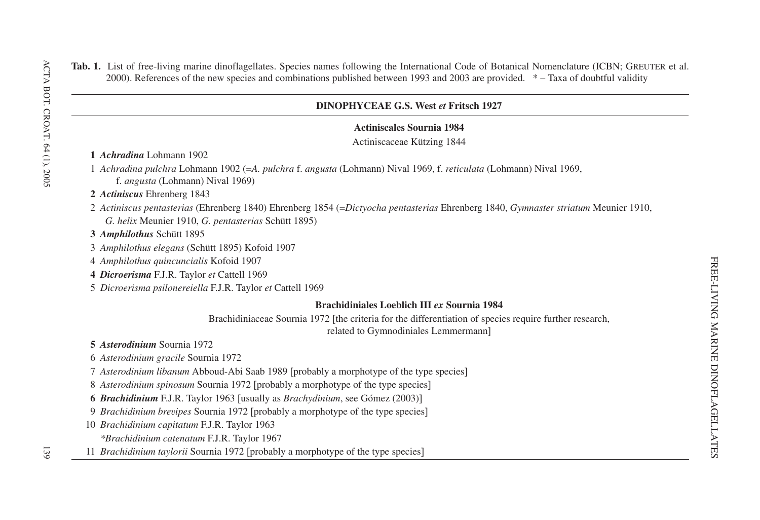# **Tab. 1.** List of free-living marine dinoflagellates. Species names following the International Code of Botanical Nomenclature (ICBN; GREUTER et al. 2000). References of the new species and combinations published between 1993 and 2003 are provided. \* – Taxa of doubtful validity

# **DINOPHYCEAE G.S. West** *et* **Fritsch 1927**

## **Actiniscales Sournia 1984**

Actiniscaceae Kützing 1844

## **1** *Achradina* Lohmann 1902

1 *Achradina pulchra* Lohmann 1902 (=*A. pulchra* f. *angusta* (Lohmann) Nival 1969, f. *reticulata* (Lohmann) Nival 1969, f. *angusta* (Lohmann) Nival 1969)

## **2** *Actiniscus* Ehrenberg 1843

2 *Actiniscus pentasterias* (Ehrenberg 1840) Ehrenberg 1854 (=*Dictyocha pentasterias* Ehrenberg 1840, *Gymnaster striatum* Meunier 1910, *G. helix* Meunier 1910, *G. pentasterias* Schütt 1895)

## **3** *Amphilothus* Schütt 1895

3 *Amphilothus elegans* (Schütt 1895) Kofoid 1907

4 *Amphilothus quincuncialis* Kofoid 1907

**4** *Dicroerisma* F.J.R. Taylor *et* Cattell 1969

5 *Dicroerisma psilonereiella* F.J.R. Taylor *et* Cattell 1969

## **Brachidiniales Loeblich III** *ex* **Sournia 1984**

Brachidiniaceae Sournia 1972 [the criteria for the differentiation of species require further research, related to Gymnodiniales Lemmermann]

## **5** *Asterodinium* Sournia 1972

- 6 *Asterodinium gracile* Sournia 1972
- 7 *Asterodinium libanum* Abboud-Abi Saab 1989 probably <sup>a</sup> morphotype of the type species-
- 8 *Asterodinium spinosum* Sournia 1972 [probably a morphotype of the type species]

**6** *Brachidinium* F.J.R. Taylor 1963 [usually as *Brachydinium*, see Gómez (2003)]

- 9 *Brachidinium brevipes* Sournia 1972 [probably a morphotype of the type species]
- 10 *Brachidinium capitatum* F.J.R. Taylor 1963
	- *\*Brachidinium catenatum* F.J.R. Taylor 1967
- 11 *Brachidinium taylorii* Sournia 1972 [probably a morphotype of the type species]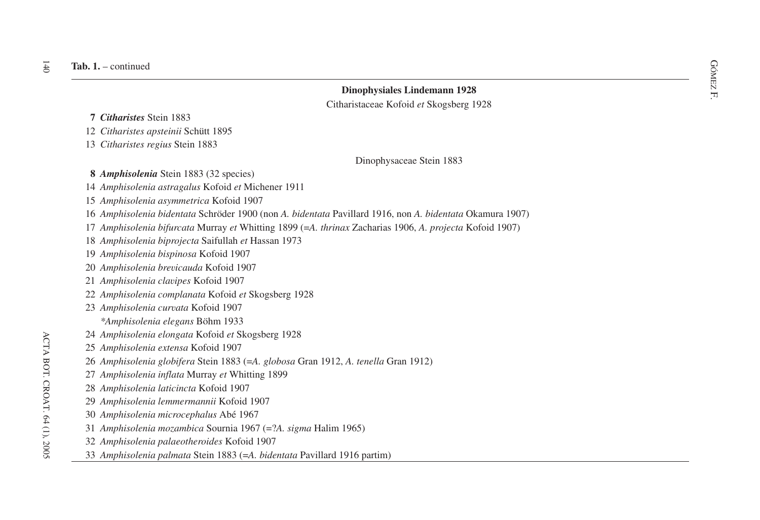- **7** *Citharistes* Stein 1883
- *Citharistes apsteinii* Schütt 1895
- *Citharistes regius* Stein 1883

Dinophysaceae Stein 1883

- **8** *Amphisolenia* Stein 1883 (32 species)
- *Amphisolenia astragalus* Kofoid *et* Michener 1911
- *Amphisolenia asymmetrica* Kofoid 1907
- *Amphisolenia bidentata* Schröder 1900 (non *A. bidentata* Pavillard 1916, non *A. bidentata* Okamura 1907)
- *Amphisolenia bifurcata* Murray *et* Whitting 1899 (=*A. thrinax* Zacharias 1906, *A. projecta* Kofoid 1907)
- *Amphisolenia biprojecta* Saifullah *et* Hassan 1973
- *Amphisolenia bispinosa* Kofoid 1907
- *Amphisolenia brevicauda* Kofoid 1907
- *Amphisolenia clavipes* Kofoid 1907
- *Amphisolenia complanata* Kofoid *et* Skogsberg 1928
- *Amphisolenia curvata* Kofoid 1907 *\*Amphisolenia elegans* Böhm 1933
- *Amphisolenia elongata* Kofoid *et* Skogsberg 1928
- *Amphisolenia extensa* Kofoid 1907
- *Amphisolenia globifera* Stein 1883 (=*A. globosa* Gran 1912, *A. tenella* Gran 1912)
- *Amphisolenia inflata* Murray *et* Whitting 1899
- *Amphisolenia laticincta* Kofoid 1907
- *Amphisolenia lemmermannii* Kofoid 1907
- *Amphisolenia microcephalus* Abé 1967
- *Amphisolenia mozambica* Sournia 1967 (=?*A. sigma* Halim 1965)
- *Amphisolenia palaeotheroides* Kofoid 1907
- *Amphisolenia palmata* Stein 1883 (=*A. bidentata* Pavillard 1916 partim)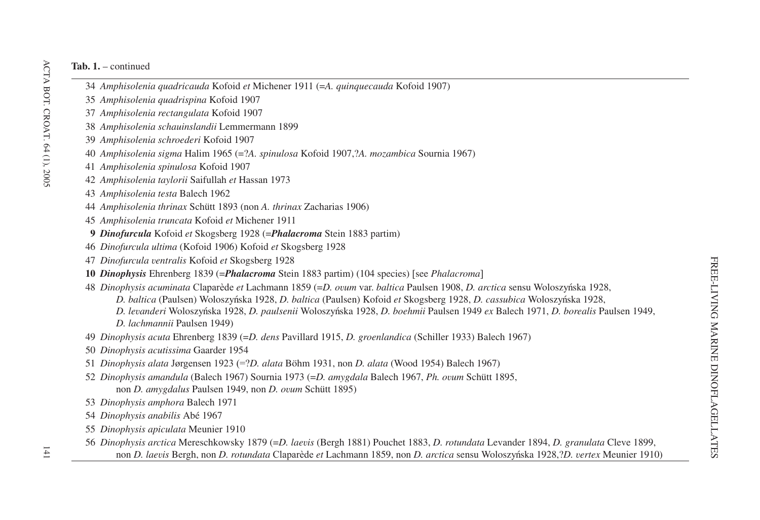- *Amphisolenia quadricauda* Kofoid *et* Michener 1911 (=*A. quinquecauda* Kofoid 1907)
- *Amphisolenia quadrispina* Kofoid 1907
- *Amphisolenia rectangulata* Kofoid 1907
- *Amphisolenia schauinslandii* Lemmermann 1899
- *Amphisolenia schroederi* Kofoid 1907
- *Amphisolenia sigma* Halim 1965 (=?*A. spinulosa* Kofoid 1907,?*A. mozambica* Sournia 1967)
- *Amphisolenia spinulosa* Kofoid 1907
- *Amphisolenia taylorii* Saifullah *et* Hassan 1973
- *Amphisolenia testa* Balech 1962
- *Amphisolenia thrinax* Schütt 1893 (non *A. thrinax* Zacharias 1906)
- *Amphisolenia truncata* Kofoid *et* Michener 1911
- **9** *Dinofurcula* Kofoid *et* Skogsberg 1928 (=*Phalacroma* Stein 1883 partim)
- *Dinofurcula ultima* (Kofoid 1906) Kofoid *et* Skogsberg 1928
- *Dinofurcula ventralis* Kofoid *et* Skogsberg 1928
- *Dinophysis* Ehrenberg 1839 (=*Phalacroma* Stein 1883 partim) (104 species) [see *Phalacroma*]
- *Dinophysis acuminata* Claparède *et* Lachmann 1859 (=*D. ovum* var. *baltica* Paulsen 1908, *D. arctica* sensu Woloszy<sup>b</sup>nska 1928,
	- *D. baltica* (Paulsen) Woloszyńska 1928, *D. baltica* (Paulsen) Kofoid *et* Skogsberg 1928, *D. cassubica* Woloszyńska 1928,
	- D. levanderi Woloszyńska 1928, D. paulsenii Woloszyńska 1928, D. boehmii Paulsen 1949 ex Balech 1971, D. borealis Paulsen 1949,
	- *D. lachmannii* Paulsen 1949)
- *Dinophysis acuta* Ehrenberg 1839 (=*D. dens* Pavillard 1915, *D. groenlandica* (Schiller 1933) Balech 1967)
- *Dinophysis acutissima* Gaarder 1954
- *Dinophysis alata* Jørgensen 1923 (=?*D. alata* Böhm 1931, non *D. alata* (Wood 1954) Balech 1967)
- *Dinophysis amandula* (Balech 1967) Sournia 1973 (=*D. amygdala* Balech 1967, *Ph. ovum* Schütt 1895, non *D. amygdalus* Paulsen 1949, non *D. ovum* Schütt 1895)
- *Dinophysis amphora* Balech 1971
- *Dinophysis anabilis* Abé 1967
- *Dinophysis apiculata* Meunier 1910
- *Dinophysis arctica* Mereschkowsky 1879 (=*D. laevis* (Bergh 1881) Pouchet 1883, *D. rotundata* Levander 1894, *D. granulata* Cleve 1899, non *D. laevis* Bergh, non *D. rotundata* Claparède *et* Lachmann 1859, non *D. arctica* sensu Woloszy<sup>b</sup>nska 1928,?*D. vertex* Meunier 1910)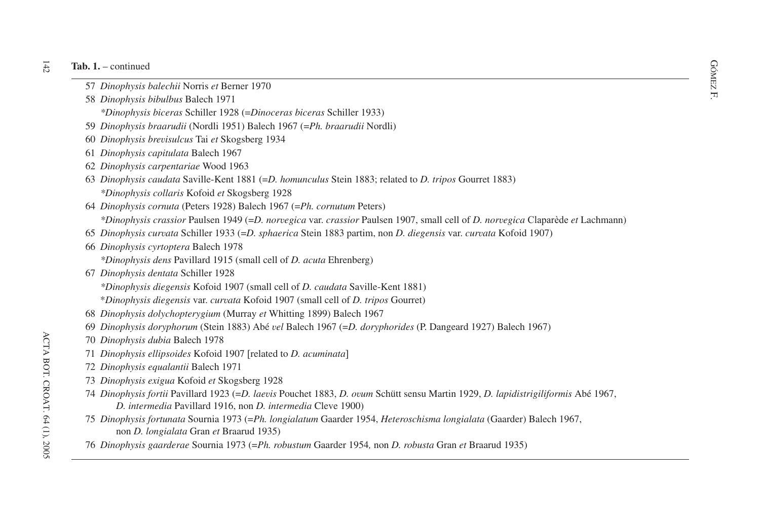- *F.* 57 *Dinophysis balechii* Norris *et* Berner 1970  $\mathbb{R}$ <br>58  $\mathbb{R}$
- *Dinophysis bibulbus* Balech 1971
	- *\*Dinophysis biceras* Schiller 1928 (=*Dinoceras biceras* Schiller 1933)
- 59 *Dinophysis braarudii* (Nordli 1951) Balech 1967 (=*Ph. braarudii* Nordli)
- 60 *Dinophysis brevisulcus* Tai *et* Skogsberg 1934
- 61 *Dinophysis capitulata* Balech 1967
- 62 *Dinophysis carpentariae* Wood 1963
- 63 *Dinophysis caudata* Saville-Kent 1881 (=*D. homunculus* Stein 1883; related to *D. tripos* Gourret 1883) *\*Dinophysis collaris* Kofoid *et* Skogsberg 1928
- 64 *Dinophysis cornuta* (Peters 1928) Balech 1967 (=*Ph. cornutum* Peters)
	- *\*Dinophysis crassior* Paulsen 1949 (=*D. norvegica* var. *crassior* Paulsen 1907, small cell of *D. norvegica* Claparède *et* Lachmann)
- 65 *Dinophysis curvata* Schiller 1933 (=*D. sphaerica* Stein 1883 partim, non *D. diegensis* var. *curvata* Kofoid 1907)
- 66 *Dinophysis cyrtoptera* Balech 1978
	- *\*Dinophysis dens* Pavillard 1915 (small cell of *D. acuta* Ehrenberg)
- 67 *Dinophysis dentata* Schiller 1928
	- *\*Dinophysis diegensis* Kofoid 1907 (small cell of *D. caudata* Saville-Kent 1881)
	- \**Dinophysis diegensis* var. *curvata* Kofoid 1907 (small cell of *D. tripos* Gourret)
- 68 *Dinophysis dolychopterygium* (Murray *et* Whitting 1899) Balech 1967
- 69 *Dinophysis doryphorum* (Stein 1883) Abé *vel* Balech 1967 (=*D. doryphorides* (P. Dangeard 1927) Balech 1967)
- 70 *Dinophysis dubia* Balech 1978
- 71 *Dinophysis ellipsoides* Kofoid 1907 related to *D. acuminata*-
- 72 *Dinophysis equalantii* Balech 1971
- 73 *Dinophysis exigua* Kofoid *et* Skogsberg 1928
- 74 *Dinophysis fortii* Pavillard 1923 (=*D. laevis* Pouchet 1883, *D. ovum* Schütt sensu Martin 1929, *D. lapidistrigiliformis* Abé 1967, *D. intermedia* Pavillard 1916, non *D. intermedia* Cleve 1900)
- 75 *Dinophysis fortunata* Sournia 1973 (=*Ph. longialatum* Gaarder 1954, *Heteroschisma longialata* (Gaarder) Balech 1967, non *D. longialata* Gran *et* Braarud 1935)
- 76 *Dinophysis gaarderae* Sournia 1973 (=*Ph. robustum* Gaarder 1954*,* non *D. robusta* Gran *et* Braarud 1935)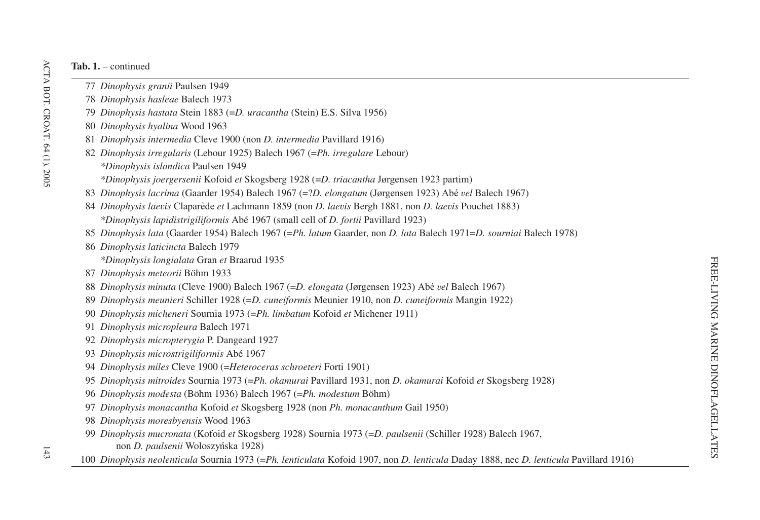- *Dinophysis granii* Paulsen 1949
- *Dinophysis hasleae* Balech 1973
- *Dinophysis hastata* Stein 1883 (=*D. uracantha* (Stein) E.S. Silva 1956)
- *Dinophysis hyalina* Wood 1963
- *Dinophysis intermedia* Cleve 1900 (non *D. intermedia* Pavillard 1916)
- *Dinophysis irregularis* (Lebour 1925) Balech 1967 (=*Ph. irregulare* Lebour) *\*Dinophysis islandica* Paulsen 1949
	- *\*Dinophysis joergersenii* Kofoid *et* Skogsberg 1928 (=*D. triacantha* Jørgensen 1923 partim)
- *Dinophysis lacrima* (Gaarder 1954) Balech 1967 (=?*D. elongatum* (Jørgensen 1923) Abé *vel* Balech 1967)
- *Dinophysis laevis* Claparède *et* Lachmann 1859 (non *D. laevis* Bergh 1881, non *D. laevis* Pouchet 1883) *\*Dinophysis lapidistrigiliformis* Abé 1967 (small cell of *D. fortii* Pavillard 1923)
- *Dinophysis lata* (Gaarder 1954) Balech 1967 (=*Ph. latum* Gaarder, non *D. lata* Balech 1971=*D. sourniai* Balech 1978)
- *Dinophysis laticincta* Balech 1979
	- *\*Dinophysis longialata* Gran *et* Braarud 1935
- *Dinophysis meteorii* Böhm 1933
- *Dinophysis minuta* (Cleve 1900) Balech 1967 (=*D. elongata* (Jørgensen 1923) Abé *vel* Balech 1967)
- *Dinophysis meunieri* Schiller 1928 (=*D. cuneiformis* Meunier 1910, non *D. cuneiformis* Mangin 1922)
- *Dinophysis micheneri* Sournia 1973 (=*Ph. limbatum* Kofoid *et* Michener 1911)
- *Dinophysis micropleura* Balech 1971
- *Dinophysis micropterygia* P. Dangeard 1927
- *Dinophysis microstrigiliformis* Abé 1967
- *Dinophysis miles* Cleve 1900 (=*Heteroceras schroeteri* Forti 1901)
- *Dinophysis mitroides* Sournia 1973 (=*Ph. okamurai* Pavillard 1931, non *D. okamurai* Kofoid *et* Skogsberg 1928)
- *Dinophysis modesta* (Böhm 1936) Balech 1967 (=*Ph. modestum* Böhm)
- *Dinophysis monacantha* Kofoid *et* Skogsberg 1928 (non *Ph. monacanthum* Gail 1950)
- *Dinophysis moresbyensis* Wood 1963
- *Dinophysis mucronata* (Kofoid *et* Skogsberg 1928) Sournia 1973 (=*D. paulsenii* (Schiller 1928) Balech 1967, non *D. paulsenii* Woloszyńska 1928)
- *Dinophysis neolenticula* Sournia 1973 (=*Ph. lenticulata* Kofoid 1907, non *D. lenticula* Daday 1888, nec *D. lenticula* Pavillard 1916)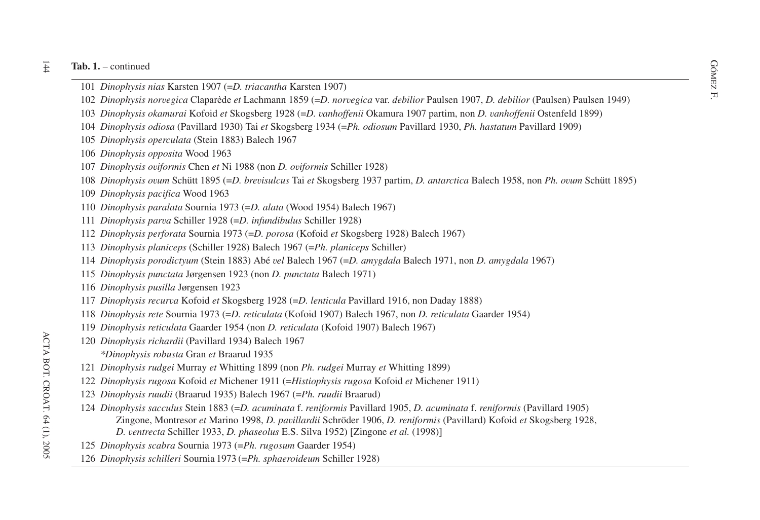#### $\frac{1}{4}$ **Tab. 1.** – continued

- **b. 1.** continued  $\frac{GQ}{N}$ <br>101 *Dinophysis nias* Karsten 1907 (=*D. triacantha* Karsten 1907)
- F. *Dinophysis norvegica* Claparède *et* Lachmann 1859 (=*D. norvegica* var. *debilior* Paulsen 1907, *D. debilior* (Paulsen) Paulsen 1949)
- *Dinophysis okamurai* Kofoid *et* Skogsberg 1928 (=*D. vanhoffenii* Okamura 1907 partim, non *D. vanhoffenii* Ostenfeld 1899)
- *Dinophysis odiosa* (Pavillard 1930) Tai *et* Skogsberg 1934 (=*Ph. odiosum* Pavillard 1930, *Ph. hastatum* Pavillard 1909)
- *Dinophysis operculata* (Stein 1883) Balech 1967
- *Dinophysis opposita* Wood 1963
- *Dinophysis oviformis* Chen *et* Ni 1988 (non *D. oviformis* Schiller 1928)
- *Dinophysis ovum* Schütt 1895 (=*D. brevisulcus* Tai *et* Skogsberg 1937 partim, *D. antarctica* Balech 1958, non *Ph. ovum* Schütt 1895)
- *Dinophysis pacifica* Wood 1963
- *Dinophysis paralata* Sournia 1973 (=*D. alata* (Wood 1954) Balech 1967)
- *Dinophysis parva* Schiller 1928 (=*D. infundibulus* Schiller 1928)
- *Dinophysis perforata* Sournia 1973 (=*D. porosa* (Kofoid *et* Skogsberg 1928) Balech 1967)
- *Dinophysis planiceps* (Schiller 1928) Balech 1967 (=*Ph. planiceps* Schiller)
- *Dinophysis porodictyum* (Stein 1883) Abé *vel* Balech 1967 (=*D. amygdala* Balech 1971, non *D. amygdala* 1967)
- *Dinophysis punctata* Jørgensen 1923 (non *D. punctata* Balech 1971)
- *Dinophysis pusilla* Jørgensen 1923
- *Dinophysis recurva* Kofoid *et* Skogsberg 1928 (=*D. lenticula* Pavillard 1916, non Daday 1888)
- *Dinophysis rete* Sournia 1973 (=*D. reticulata* (Kofoid 1907) Balech 1967, non *D. reticulata* Gaarder 1954)
- *Dinophysis reticulata* Gaarder 1954 (non *D. reticulata* (Kofoid 1907) Balech 1967)
- *Dinophysis richardii* (Pavillard 1934) Balech 1967
	- *\*Dinophysis robusta* Gran *et* Braarud 1935
- *Dinophysis rudgei* Murray *et* Whitting 1899 (non *Ph. rudgei* Murray *et* Whitting 1899)
- *Dinophysis rugosa* Kofoid *et* Michener 1911 (=*Histiophysis rugosa* Kofoid *et* Michener 1911)
- *Dinophysis ruudii* (Braarud 1935) Balech 1967 (=*Ph. ruudii* Braarud)
- *Dinophysis sacculus* Stein 1883 (=*D. acuminata* f. *reniformis* Pavillard 1905, *D. acuminata* f. *reniformis* (Pavillard 1905) Zingone, Montresor *et* Marino 1998, *D. pavillardii* Schröder 1906, *D. reniformis* (Pavillard) Kofoid *et* Skogsberg 1928, *D. ventrecta* Schiller 1933, *D. phaseolus* E.S. Silva 1952) Zingone *et al.* (1998)-
- *Dinophysis scabra* Sournia 1973 (=*Ph. rugosum* Gaarder 1954)
- *Dinophysis schilleri* Sournia 1973 (=*Ph. sphaeroideum* Schiller 1928)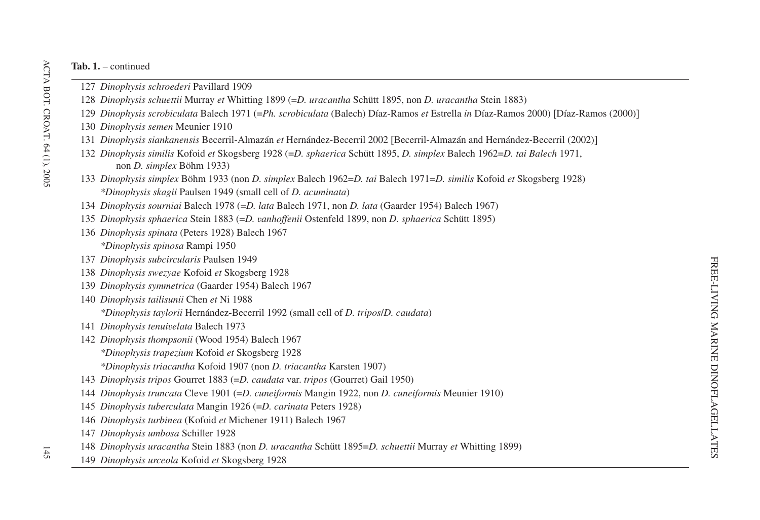- *Dinophysis schroederi* Pavillard 1909
- *Dinophysis schuettii* Murray *et* Whitting 1899 (=*D. uracantha* Schütt 1895, non *D. uracantha* Stein 1883)
- *Dinophysis scrobiculata* Balech 1971 (=*Ph. scrobiculata* (Balech) Díaz-Ramos *et* Estrella *in* Díaz-Ramos 2000) Díaz-Ramos (2000)-
- *Dinophysis semen* Meunier 1910
- *Dinophysis siankanensis* Becerril-Almazán *et* Hernández-Becerril 2002 Becerril-Almazán and Hernández-Becerril (2002)-
- *Dinophysis similis* Kofoid et Skogsberg 1928 (=D. *sphaerica* Schütt 1895, D. *simplex* Balech 1962=D. tai Balech 1971, non *D. simplex* Böhm 1933)
- *Dinophysis simplex* Böhm 1933 (non *D. simplex* Balech 1962=*D. tai* Balech 1971=*D. similis* Kofoid *et* Skogsberg 1928) *\*Dinophysis skagii* Paulsen 1949 (small cell of *D. acuminata*)
- *Dinophysis sourniai* Balech 1978 (=*D. lata* Balech 1971, non *D. lata* (Gaarder 1954) Balech 1967)
- *Dinophysis sphaerica* Stein 1883 (=*D. vanhoffenii* Ostenfeld 1899, non *D. sphaerica* Schütt 1895)
- *Dinophysis spinata* (Peters 1928) Balech 1967 *\*Dinophysis spinosa* Rampi 1950
- *Dinophysis subcircularis* Paulsen 1949
- *Dinophysis swezyae* Kofoid *et* Skogsberg 1928
- *Dinophysis symmetrica* (Gaarder 1954) Balech 1967
- *Dinophysis tailisunii* Chen *et* Ni 1988 *\*Dinophysis taylorii* Hernández-Becerril 1992 (small cell of *D. tripos*/*D. caudata*)
- *Dinophysis tenuivelata* Balech 1973
- *Dinophysis thompsonii* (Wood 1954) Balech 1967 *\*Dinophysis trapezium* Kofoid *et* Skogsberg 1928 *\*Dinophysis triacantha* Kofoid 1907 (non *D. triacantha* Karsten 1907)
- *Dinophysis tripos* Gourret 1883 (=*D. caudata* var. *tripos* (Gourret) Gail 1950)
- *Dinophysis truncata* Cleve 1901 (=*D. cuneiformis* Mangin 1922, non *D. cuneiformis* Meunier 1910)
- *Dinophysis tuberculata* Mangin 1926 (=*D. carinata* Peters 1928)
- *Dinophysis turbinea* (Kofoid *et* Michener 1911) Balech 1967
- *Dinophysis umbosa* Schiller 1928
- *Dinophysis uracantha* Stein 1883 (non *D. uracantha* Schütt 1895=*D. schuettii* Murray *et* Whitting 1899)
- *Dinophysis urceola* Kofoid *et* Skogsberg 1928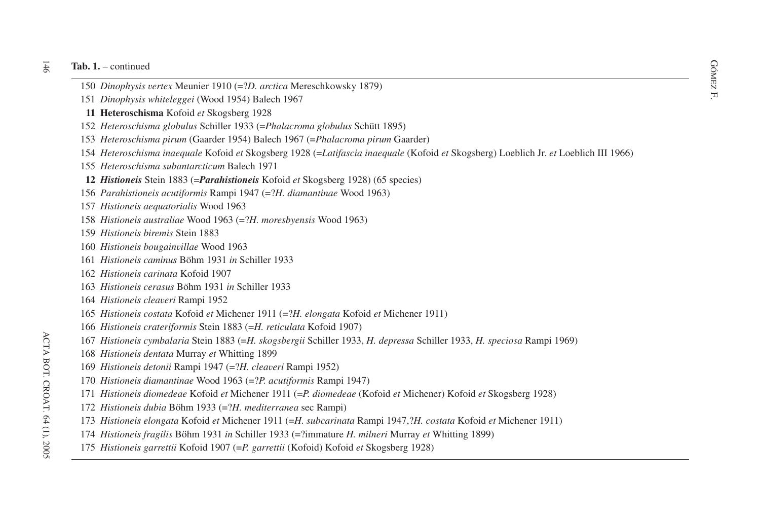- F. *Dinophysis vertex* Meunier <sup>1910</sup> (=?*D. arctica* Mereschkowsky 1879) <sup>151</sup>
- *Dinophysis whiteleggei* (Wood 1954) Balech 1967
- **Heteroschisma** Kofoid *et* Skogsberg 1928
- *Heteroschisma globulus* Schiller 1933 (=*Phalacroma globulus* Schütt 1895)
- *Heteroschisma pirum* (Gaarder 1954) Balech 1967 (=*Phalacroma pirum* Gaarder)
- *Heteroschisma inaequale* Kofoid *et* Skogsberg 1928 (=*Latifascia inaequale* (Kofoid *et* Skogsberg) Loeblich Jr. *et* Loeblich III 1966)
- *Heteroschisma subantarcticum* Balech 1971
- *Histioneis* Stein 1883 (=*Parahistioneis* Kofoid *et* Skogsberg 1928) (65 species)
- *Parahistioneis acutiformis* Rampi 1947 (=?*H. diamantinae* Wood 1963)
- *Histioneis aequatorialis* Wood 1963
- *Histioneis australiae* Wood 1963 (=?*H. moresbyensis* Wood 1963)
- *Histioneis biremis* Stein 1883
- *Histioneis bougainvillae* Wood 1963
- *Histioneis caminus* Böhm 1931 *in* Schiller 1933
- *Histioneis carinata* Kofoid 1907
- *Histioneis cerasus* Böhm 1931 *in* Schiller 1933
- *Histioneis cleaveri* Rampi 1952
- *Histioneis costata* Kofoid *et* Michener 1911 (=?*H. elongata* Kofoid *et* Michener 1911)
- *Histioneis crateriformis* Stein 1883 (=*H. reticulata* Kofoid 1907)
- *Histioneis cymbalaria* Stein 1883 (=*H. skogsbergii* Schiller 1933, *H. depressa* Schiller 1933, *H. speciosa* Rampi 1969)
- *Histioneis dentata* Murray *et* Whitting 1899
- *Histioneis detonii* Rampi 1947 (=?*H. cleaveri* Rampi 1952)
- *Histioneis diamantinae* Wood 1963 (=?*P. acutiformis* Rampi 1947)
- *Histioneis diomedeae* Kofoid *et* Michener 1911 (=*P. diomedeae* (Kofoid *et* Michener) Kofoid *et* Skogsberg 1928)
- *Histioneis dubia* Böhm 1933 (=?*H. mediterranea* sec Rampi)
- *Histioneis elongata* Kofoid *et* Michener 1911 (=*H. subcarinata* Rampi 1947,?*H. costata* Kofoid *et* Michener 1911)
- *Histioneis fragilis* Böhm 1931 *in* Schiller 1933 (=?immature *H. milneri* Murray *et* Whitting 1899)
- *Histioneis garrettii* Kofoid 1907 (=*P. garrettii* (Kofoid) Kofoid *et* Skogsberg 1928)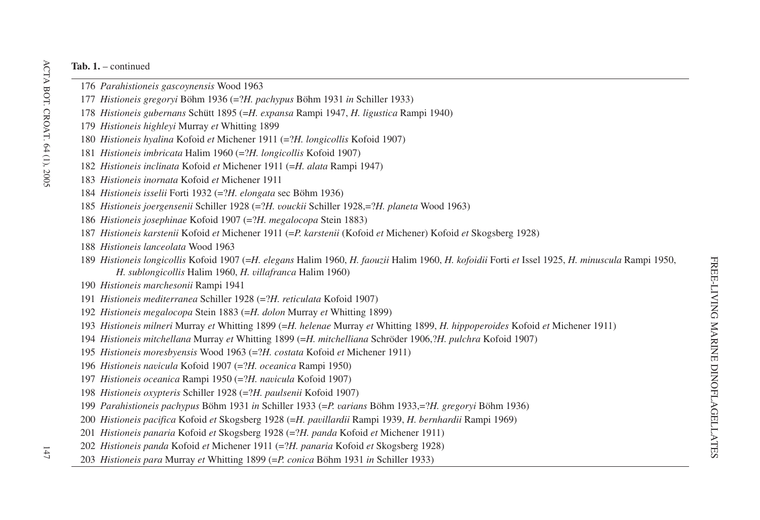- *Parahistioneis gascoynensis* Wood 1963
- *Histioneis gregoryi* Böhm 1936 (=?*H. pachypus* Böhm 1931 *in* Schiller 1933)
- *Histioneis gubernans* Schütt 1895 (=*H. expansa* Rampi 1947, *H. ligustica* Rampi 1940)
- *Histioneis highleyi* Murray *et* Whitting 1899
- *Histioneis hyalina* Kofoid *et* Michener 1911 (=?*H. longicollis* Kofoid 1907)
- *Histioneis imbricata* Halim 1960 (=?*H. longicollis* Kofoid 1907)
- *Histioneis inclinata* Kofoid *et* Michener 1911 (=*H. alata* Rampi 1947)
- *Histioneis inornata* Kofoid *et* Michener 1911
- *Histioneis isselii* Forti 1932 (=?*H. elongata* sec Böhm 1936)
- *Histioneis joergensenii* Schiller 1928 (=?*H. vouckii* Schiller 1928,=?*H. planeta* Wood 1963)
- *Histioneis josephinae* Kofoid 1907 (=?*H. megalocopa* Stein 1883)
- *Histioneis karstenii* Kofoid *et* Michener 1911 (=*P. karstenii* (Kofoid *et* Michener) Kofoid *et* Skogsberg 1928)
- *Histioneis lanceolata* Wood 1963
- *Histioneis longicollis* Kofoid 1907 (=H. elegans Halim 1960, H. faouzii Halim 1960, H. kofoidii Forti et Issel 1925, H. minuscula Rampi 1950, *H. sublongicollis* Halim 1960, *H. villafranca* Halim 1960)
- *Histioneis marchesonii* Rampi 1941
- *Histioneis mediterranea* Schiller 1928 (=?*H. reticulata* Kofoid 1907)
- *Histioneis megalocopa* Stein 1883 (=*H. dolon* Murray *et* Whitting 1899)
- *Histioneis milneri* Murray *et* Whitting 1899 (=*H. helenae* Murray *et* Whitting 1899, *H. hippoperoides* Kofoid *et* Michener 1911)
- *Histioneis mitchellana* Murray *et* Whitting 1899 (=*H. mitchelliana* Schröder 1906,?*H. pulchra* Kofoid 1907)
- *Histioneis moresbyensis* Wood 1963 (=?*H. costata* Kofoid *et* Michener 1911)
- *Histioneis navicula* Kofoid 1907 (=?*H. oceanica* Rampi 1950)
- *Histioneis oceanica* Rampi 1950 (=?*H. navicula* Kofoid 1907)
- *Histioneis oxypteris* Schiller 1928 (=?*H. paulsenii* Kofoid 1907)
- *Parahistioneis pachypus* Böhm 1931 *in* Schiller 1933 (=*P. varians* Böhm 1933,=?*H. gregoryi* Böhm 1936)
- *Histioneis pacifica* Kofoid *et* Skogsberg 1928 (=*H. pavillardii* Rampi 1939, *H. bernhardii* Rampi 1969)
- *Histioneis panaria* Kofoid *et* Skogsberg 1928 (=?*H. panda* Kofoid *et* Michener 1911)
- *Histioneis panda* Kofoid *et* Michener 1911 (=?*H. panaria* Kofoid *et* Skogsberg 1928)
- *Histioneis para* Murray *et* Whitting 1899 (=*P. conica* Böhm 1931 *in* Schiller 1933)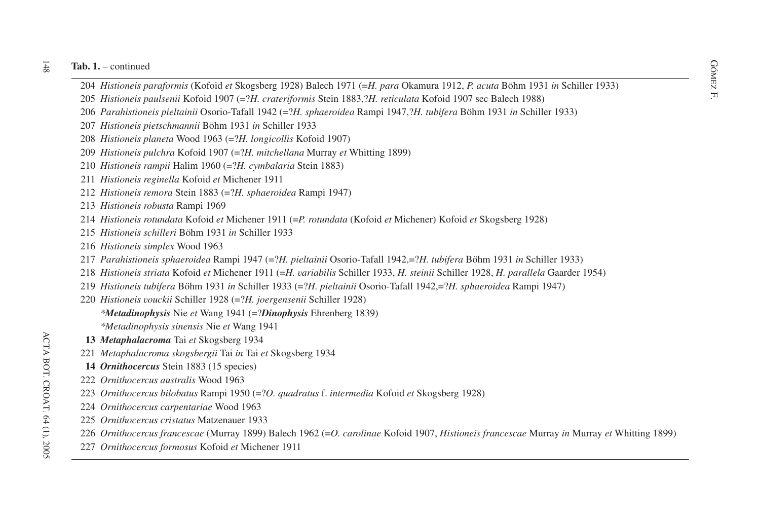- F. <sup>204</sup> *Histioneis paraformis* (Kofoid *et* Skogsberg 1928) Balech <sup>1971</sup> (=*H. para* Okamura 1912, *P. acuta* Böhm <sup>1931</sup> *in* Schiller 1933)
- *Histioneis paulsenii* Kofoid 1907 (=?*H. crateriformis* Stein 1883,?*H. reticulata* Kofoid 1907 sec Balech 1988)
- *Parahistioneis pieltainii* Osorio-Tafall 1942 (=?*H. sphaeroidea* Rampi 1947,?*H. tubifera* Böhm 1931 *in* Schiller 1933)
- *Histioneis pietschmannii* Böhm 1931 *in* Schiller 1933
- *Histioneis planeta* Wood 1963 (=?*H. longicollis* Kofoid 1907)
- *Histioneis pulchra* Kofoid 1907 (=?*H. mitchellana* Murray *et* Whitting 1899)
- *Histioneis rampii* Halim 1960 (=?*H. cymbalaria* Stein 1883)
- *Histioneis reginella* Kofoid *et* Michener 1911
- *Histioneis remora* Stein 1883 (=?*H. sphaeroidea* Rampi 1947)
- *Histioneis robusta* Rampi 1969
- *Histioneis rotundata* Kofoid *et* Michener 1911 (=*P. rotundata* (Kofoid *et* Michener) Kofoid *et* Skogsberg 1928)
- *Histioneis schilleri* Böhm 1931 *in* Schiller 1933
- *Histioneis simplex* Wood 1963
- *Parahistioneis sphaeroidea* Rampi 1947 (=?*H. pieltainii* Osorio-Tafall 1942,=?*H. tubifera* Böhm 1931 *in* Schiller 1933)
- *Histioneis striata* Kofoid *et* Michener 1911 (=H. variabilis Schiller 1933, H. steinii Schiller 1928, H. parallela Gaarder 1954)
- *Histioneis tubifera* Böhm 1931 *in* Schiller 1933 (=?*H. pieltainii* Osorio-Tafall 1942,=?*H. sphaeroidea* Rampi 1947)
- *Histioneis vouckii* Schiller 1928 (=?*H. joergensenii* Schiller 1928) *\*Metadinophysis* Nie *et* Wang 1941 (=?*Dinophysis* Ehrenberg 1839)
	- *\*Metadinophysis sinensis* Nie *et* Wang 1941
- *Metaphalacroma* Tai *et* Skogsberg 1934
- *Metaphalacroma skogsbergii* Tai *in* Tai *et* Skogsberg 1934
- *Ornithocercus* Stein 1883 (15 species)
- *Ornithocercus australis* Wood 1963
- *Ornithocercus bilobatus* Rampi 1950 (=?*O. quadratus* f. *intermedia* Kofoid *et* Skogsberg 1928)
- *Ornithocercus carpentariae* Wood 1963
- *Ornithocercus cristatus* Matzenauer 1933
- *Ornithocercus francescae* (Murray 1899) Balech 1962 (=*O. carolinae* Kofoid 1907, *Histioneis francescae* Murray *in* Murray *et* Whitting 1899)
- *Ornithocercus formosus* Kofoid *et* Michener 1911

148 ACTA BOT. CROAT. 64 (1), 2005 ACTA BOT. CROAT. 64 (1), 2005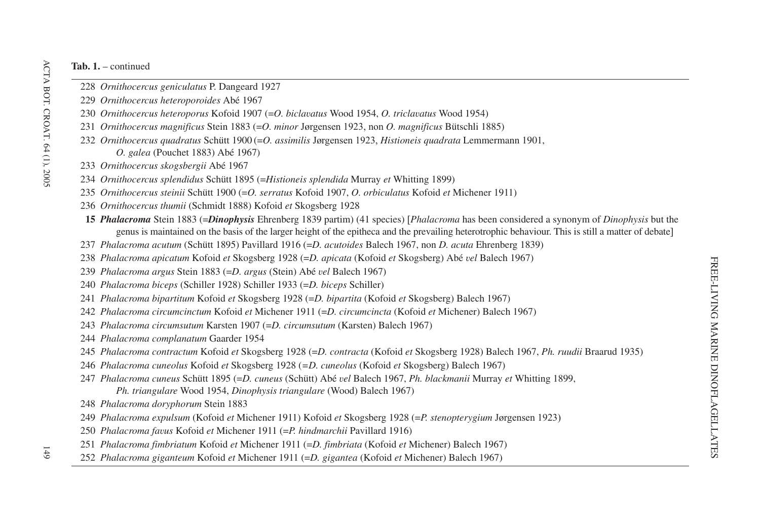- *Ornithocercus geniculatus* P. Dangeard 1927
- *Ornithocercus heteroporoides* Abé 1967
- *Ornithocercus heteroporus* Kofoid 1907 (=*O. biclavatus* Wood 1954, *O. triclavatus* Wood 1954)
- *Ornithocercus magnificus* Stein 1883 (=*O. minor* Jørgensen 1923, non *O. magnificus* Bütschli 1885)
- *Ornithocercus quadratus* Schütt 1900 (=*O. assimilis* Jørgensen 1923, *Histioneis quadrata* Lemmermann 1901, *O. galea* (Pouchet 1883) Abé 1967)
- *Ornithocercus skogsbergii* Abé 1967
- *Ornithocercus splendidus* Schütt 1895 (=*Histioneis splendida* Murray *et* Whitting 1899)
- *Ornithocercus steinii* Schütt 1900 (=*O. serratus* Kofoid 1907, *O. orbiculatus* Kofoid *et* Michener 1911)
- *Ornithocercus thumii* (Schmidt 1888) Kofoid *et* Skogsberg 1928
- *Phalacroma* Stein 1883 (=*Dinophysis* Ehrenberg 1839 partim) (41 species) *Phalacroma* has been considered <sup>a</sup> synonym of *Dinophysis* but the genus is maintained on the basis of the larger height of the epitheca and the prevailing heterotrophic behaviour. This is still <sup>a</sup> matter of debate-
- *Phalacroma acutum* (Schütt 1895) Pavillard 1916 (=*D. acutoides* Balech 1967, non *D. acuta* Ehrenberg 1839)
- *Phalacroma apicatum* Kofoid *et* Skogsberg 1928 (=*D. apicata* (Kofoid *et* Skogsberg) Abé *vel* Balech 1967)
- *Phalacroma argus* Stein 1883 (=*D. argus* (Stein) Abé *vel* Balech 1967)
- *Phalacroma biceps* (Schiller 1928) Schiller 1933 (=*D. biceps* Schiller)
- *Phalacroma bipartitum* Kofoid *et* Skogsberg 1928 (=*D. bipartita* (Kofoid *et* Skogsberg) Balech 1967)
- *Phalacroma circumcinctum* Kofoid *et* Michener 1911 (=*D. circumcincta* (Kofoid *et* Michener) Balech 1967)
- *Phalacroma circumsutum* Karsten 1907 (=*D. circumsutum* (Karsten) Balech 1967)
- *Phalacroma complanatum* Gaarder 1954
- *Phalacroma contractum* Kofoid *et* Skogsberg 1928 (=*D. contracta* (Kofoid *et* Skogsberg 1928) Balech 1967, *Ph. ruudii* Braarud 1935)
- *Phalacroma cuneolus* Kofoid *et* Skogsberg 1928 (*=D. cuneolus* (Kofoid *et* Skogsberg) Balech 1967)
- *Phalacroma cuneus* Schütt 1895 (=*D. cuneus* (Schütt) Abé *vel* Balech 1967, *Ph. blackmanii* Murray *et* Whitting 1899, *Ph. triangulare* Wood 1954, *Dinophysis triangulare* (Wood) Balech 1967)
- *Phalacroma doryphorum* Stein 1883
- *Phalacroma expulsum* (Kofoid *et* Michener 1911) Kofoid *et* Skogsberg 1928 (=*P. stenopterygium* Jørgensen 1923)
- *Phalacroma favus* Kofoid *et* Michener 1911 (=*P. hindmarchii* Pavillard 1916)
- *Phalacroma fimbriatum* Kofoid *et* Michener 1911 (=*D. fimbriata* (Kofoid *et* Michener) Balech 1967)
- *Phalacroma giganteum* Kofoid *et* Michener 1911 (=*D. gigantea* (Kofoid *et* Michener) Balech 1967)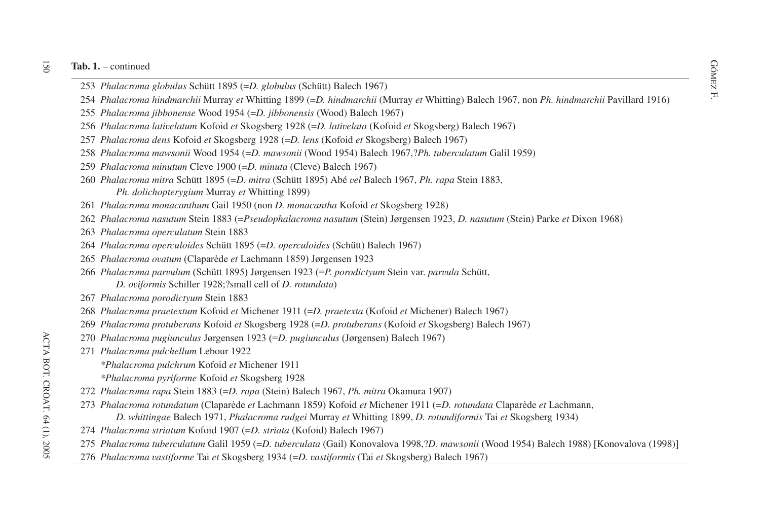#### $\overline{5}$ **Tab. 1.** – continued

- dia 1. continued<br>
253 *Phalacroma globulus* Schütt 1895 (=*D. globulus* (Schütt) Balech 1967)<br>
E
- *Phalacroma hindmarchii* Murray *et* Whitting 1899 (=*D. hindmarchii* (Murray *et* Whitting) Balech 1967, non *Ph. hindmarchii* Pavillard 1916)
- *Phalacroma jibbonense* Wood 1954 (=*D. jibbonensis* (Wood) Balech 1967)
- *Phalacroma lativelatum* Kofoid *et* Skogsberg 1928 (=*D. lativelata* (Kofoid *et* Skogsberg) Balech 1967)
- *Phalacroma dens* Kofoid *et* Skogsberg 1928 (=*D. lens* (Kofoid *et* Skogsberg) Balech 1967)
- *Phalacroma mawsonii* Wood 1954 (=*D. mawsonii* (Wood 1954) Balech 1967,?*Ph. tuberculatum* Galil 1959)
- *Phalacroma minutum* Cleve 1900 (=*D. minuta* (Cleve) Balech 1967)
- *Phalacroma mitra* Schütt 1895 (=*D. mitra* (Schütt 1895) Abé *vel* Balech 1967, *Ph. rapa* Stein 1883, *Ph. dolichopterygium* Murray *et* Whitting 1899)
- *Phalacroma monacanthum* Gail 1950 (non *D. monacantha* Kofoid *et* Skogsberg 1928)
- *Phalacroma nasutum* Stein 1883 (=*Pseudophalacroma nasutum* (Stein) Jørgensen 1923, *D. nasutum* (Stein) Parke *et* Dixon 1968)
- *Phalacroma operculatum* Stein 1883
- *Phalacroma operculoides* Schütt 1895 (=*D. operculoides* (Schütt) Balech 1967)
- *Phalacroma ovatum* (Claparède *et* Lachmann 1859) Jørgensen 1923
- *Phalacroma parvulum* (Schütt 1895) Jørgensen 1923 (=*P. porodictyum* Stein var. *parvula* Schütt, *D. oviformis* Schiller 1928;?small cell of *D. rotundata*)
- *Phalacroma porodictyum* Stein 1883
- *Phalacroma praetextum* Kofoid *et* Michener 1911 (=*D. praetexta* (Kofoid *et* Michener) Balech 1967)
- *Phalacroma protuberans* Kofoid *et* Skogsberg 1928 (=*D. protuberans* (Kofoid *et* Skogsberg) Balech 1967)
- *Phalacroma pugiunculus* Jørgensen 1923 (=*D. pugiunculus* (Jørgensen) Balech 1967)
- *Phalacroma pulchellum* Lebour 1922
	- *\*Phalacroma pulchrum* Kofoid *et* Michener 1911
	- *\*Phalacroma pyriforme* Kofoid *et* Skogsberg 1928
- *Phalacroma rapa* Stein 1883 (=*D. rapa* (Stein) Balech 1967, *Ph. mitra* Okamura 1907)
- *Phalacroma rotundatum* (Claparède *et* Lachmann 1859) Kofoid *et* Michener 1911 (=*D. rotundata* Claparède *et* Lachmann, *D. whittingae* Balech 1971, *Phalacroma rudgei* Murray *et* Whitting 1899, *D. rotundiformis* Tai *et* Skogsberg 1934)
- *Phalacroma striatum* Kofoid 1907 (=*D. striata* (Kofoid) Balech 1967)
- *Phalacroma tuberculatum* Galil 1959 (=*D. tuberculata* (Gail) Konovalova 1998,?*D. mawsonii* (Wood 1954) Balech 1988) Konovalova (1998)-
- *Phalacroma vastiforme* Tai *et* Skogsberg 1934 (=*D. vastiformis* (Tai *et* Skogsberg) Balech 1967)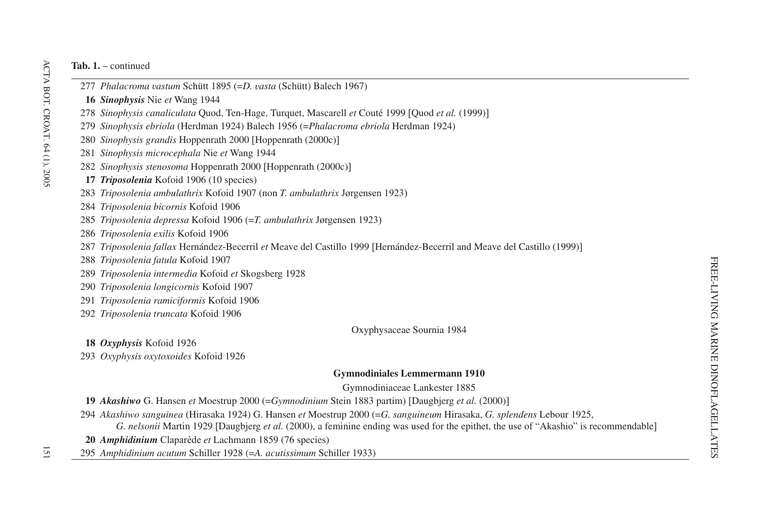- *Phalacroma vastum* Schütt 1895 (=*D. vasta* (Schütt) Balech 1967)
- *Sinophysis* Nie *et* Wang 1944
- *Sinophysis canaliculata* Quod, Ten-Hage, Turquet, Mascarell *et* Couté 1999 Quod *et al.* (1999)-
- *Sinophysis ebriola* (Herdman 1924) Balech 1956 (=*Phalacroma ebriola* Herdman 1924)
- *Sinophysis grandis* Hoppenrath 2000 Hoppenrath (2000c)-
- *Sinophysis microcephala* Nie *et* Wang 1944
- *Sinophysis stenosoma* Hoppenrath 2000 Hoppenrath (2000c)-
- *Triposolenia* Kofoid 1906 (10 species)
- *Triposolenia ambulathrix* Kofoid 1907 (non *T. ambulathrix* Jørgensen 1923)
- *Triposolenia bicornis* Kofoid 1906
- *Triposolenia depressa* Kofoid 1906 (=*T. ambulathrix* Jørgensen 1923)
- *Triposolenia exilis* Kofoid 1906
- *Triposolenia fallax* Hernández-Becerril *et* Meave del Castillo 1999 Hernández-Becerril and Meave del Castillo (1999)-
- *Triposolenia fatula* Kofoid 1907
- *Triposolenia intermedia* Kofoid *et* Skogsberg 1928
- *Triposolenia longicornis* Kofoid 1907
- *Triposolenia ramiciformis* Kofoid 1906
- *Triposolenia truncata* Kofoid 1906

Oxyphysaceae Sournia 1984

*Oxyphysis* Kofoid 1926

*Oxyphysis oxytoxoides* Kofoid 1926

# **Gymnodiniales Lemmermann 1910**

Gymnodiniaceae Lankester 1885

*Akashiwo* G. Hansen *et* Moestrup 2000 (=*Gymnodinium* Stein 1883 partim) Daugbjerg *et al.* (2000)-

*Akashiwo sanguinea* (Hirasaka 1924) G. Hansen *et* Moestrup 2000 (=*G. sanguineum* Hirasaka, *G. splendens* Lebour 1925,

*G. nelsonii* Martin 1929 [Daugbjerg *et al.* (2000), a feminine ending was used for the epithet, the use of "Akashio" is recommendable]

- *Amphidinium* Claparède *et* Lachmann 1859 (76 species)
- *Amphidinium acutum* Schiller 1928 (=*A. acutissimum* Schiller 1933)

ΙŚΙ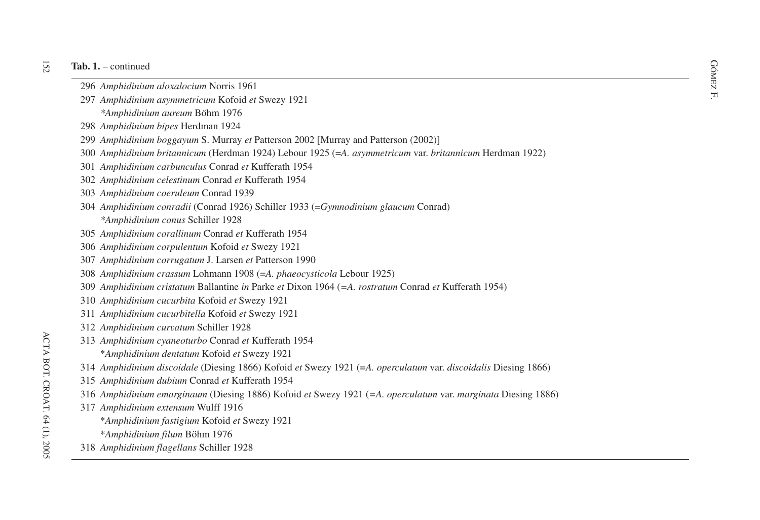- **b.** 1. continued  $\frac{GQ}{\sum_{i=1}^{N} G(z_i)}$  and  $\frac{GQ}{\sum_{i=1}^{N} G(z_i)}$ 
	- *Amphidinium aloxalocium* Norris 1961
	- F. *Amphidinium asymmetricum* Kofoid *et* Swezy 1921
	- *\*Amphidinium aureum* Böhm 1976
	- *Amphidinium bipes* Herdman 1924
	- *Amphidinium boggayum* S. Murray *et* Patterson 2002 Murray and Patterson (2002)-
	- *Amphidinium britannicum* (Herdman 1924) Lebour 1925 (=*A. asymmetricum* var. *britannicum* Herdman 1922)
	- *Amphidinium carbunculus* Conrad *et* Kufferath 1954
	- *Amphidinium celestinum* Conrad *et* Kufferath 1954
	- *Amphidinium coeruleum* Conrad 1939
	- *Amphidinium conradii* (Conrad 1926) Schiller 1933 (=*Gymnodinium glaucum* Conrad)
		- *\*Amphidinium conus* Schiller 1928
	- *Amphidinium corallinum* Conrad *et* Kufferath 1954
	- *Amphidinium corpulentum* Kofoid *et* Swezy 1921
	- *Amphidinium corrugatum* J. Larsen *et* Patterson 1990
	- *Amphidinium crassum* Lohmann 1908 (=*A. phaeocysticola* Lebour 1925)
	- *Amphidinium cristatum* Ballantine *in* Parke *et* Dixon 1964 (*=A. rostratum* Conrad *et* Kufferath 1954)
	- *Amphidinium cucurbita* Kofoid *et* Swezy 1921
	- *Amphidinium cucurbitella* Kofoid *et* Swezy 1921
	- *Amphidinium curvatum* Schiller 1928
	- *Amphidinium cyaneoturbo* Conrad *et* Kufferath 1954
		- \**Amphidinium dentatum* Kofoid *et* Swezy 1921
- *Amphidinium discoidale* (Diesing 1866) Kofoid *et* Swezy 1921 (=*A. operculatum* var. *discoidalis* Diesing 1866)
- *Amphidinium dubium* Conrad *et* Kufferath 1954
- *Amphidinium emarginaum* (Diesing 1886) Kofoid *et* Swezy 1921 (*=A. operculatum* var. *marginata* Diesing 1886)
- *Amphidinium extensum* Wulff 1916
	- \**Amphidinium fastigium* Kofoid *et* Swezy 1921
	- \**Amphidinium filum* Böhm 1976
- *Amphidinium flagellans* Schiller 1928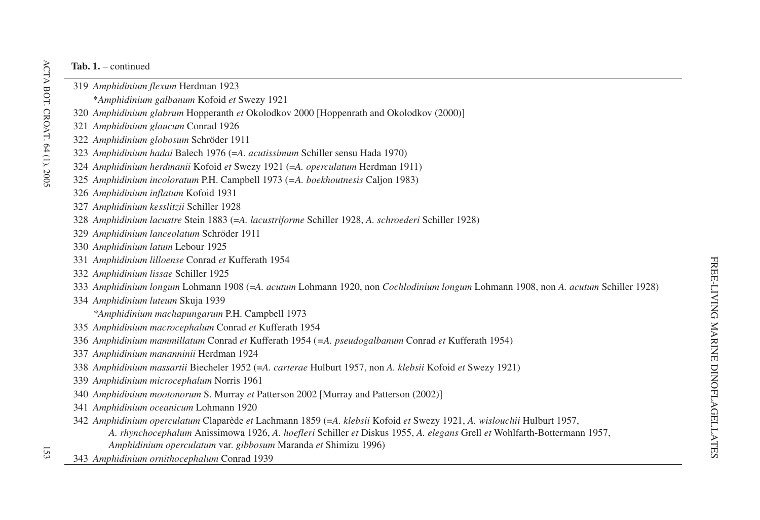- *Amphidinium flexum* Herdman 1923 \**Amphidinium galbanum* Kofoid *et* Swezy 1921
	- *Amphidinium glabrum* Hopperanth *et* Okolodkov 2000 Hoppenrath and Okolodkov (2000)-
	- *Amphidinium glaucum* Conrad 1926
	- *Amphidinium globosum* Schröder 1911
	- *Amphidinium hadai* Balech 1976 (=*A. acutissimum* Schiller sensu Hada 1970)
	- *Amphidinium herdmanii* Kofoid *et* Swezy 1921 (=*A. operculatum* Herdman 1911)
	- *Amphidinium incoloratum* P.H. Campbell 1973 (*=A. boekhoutnesis* Caljon 1983)
	- *Amphidinium inflatum* Kofoid 1931
	- *Amphidinium kesslitzii* Schiller 1928
	- *Amphidinium lacustre* Stein 1883 (=*A. lacustriforme* Schiller 1928, *A. schroederi* Schiller 1928)
	- *Amphidinium lanceolatum* Schröder 1911
	- *Amphidinium latum* Lebour 1925
	- *Amphidinium lilloense* Conrad *et* Kufferath 1954
	- *Amphidinium lissae* Schiller 1925
	- *Amphidinium longum* Lohmann 1908 (=*A. acutum* Lohmann 1920, non *Cochlodinium longum* Lohmann 1908, non *A. acutum* Schiller 1928)
	- *Amphidinium luteum* Skuja 1939

*\*Amphidinium machapungarum* P.H. Campbell 1973

- *Amphidinium macrocephalum* Conrad *et* Kufferath 1954
- *Amphidinium mammillatum* Conrad *et* Kufferath 1954 (*=A. pseudogalbanum* Conrad *et* Kufferath 1954)
- *Amphidinium mananninii* Herdman 1924
- *Amphidinium massartii* Biecheler 1952 (=*A. carterae* Hulburt 1957, non *A. klebsii* Kofoid *et* Swezy 1921)
- *Amphidinium microcephalum* Norris 1961
- *Amphidinium mootonorum* S. Murray *et* Patterson 2002 [Murray and Patterson (2002)]
- *Amphidinium oceanicum* Lohmann 1920
- *Amphidinium operculatum* Claparède *et* Lachmann 1859 (=*A. klebsii* Kofoid *et* Swezy 1921, *A. wislouchii* Hulburt 1957,

*A. rhynchocephalum* Anissimowa 1926, *A. hoefleri* Schiller *et* Diskus 1955, *A. elegans* Grell *et* Wohlfarth-Bottermann 1957,

- *Amphidinium operculatum* var. *gibbosum* Maranda *et* Shimizu 1996)
- *Amphidinium ornithocephalum* Conrad 1939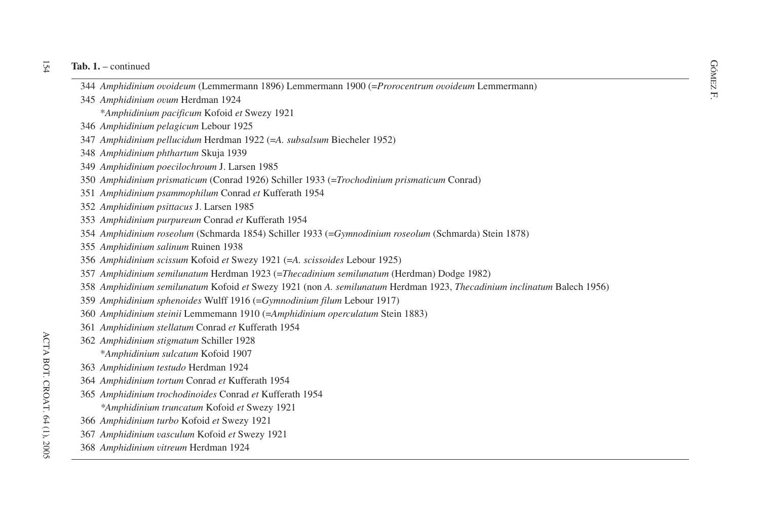- db. 1. continued<br>
344 *Amphidinium ovoideum* (Lemmermann 1896) Lemmermann 1900 (=*Prorocentrum ovoideum* Lemmermann)<br>
S
- *Amphidinium ovum* Herdman 1924
	- \**Amphidinium pacificum* Kofoid *et* Swezy 1921
- *Amphidinium pelagicum* Lebour 1925
- *Amphidinium pellucidum* Herdman 1922 (=*A. subsalsum* Biecheler 1952)
- *Amphidinium phthartum* Skuja 1939
- *Amphidinium poecilochroum* J. Larsen 1985
- *Amphidinium prismaticum* (Conrad 1926) Schiller 1933 (=*Trochodinium prismaticum* Conrad)
- *Amphidinium psammophilum* Conrad *et* Kufferath 1954
- *Amphidinium psittacus* J. Larsen 1985
- *Amphidinium purpureum* Conrad *et* Kufferath 1954
- *Amphidinium roseolum* (Schmarda 1854) Schiller 1933 (=*Gymnodinium roseolum* (Schmarda) Stein 1878)
- *Amphidinium salinum* Ruinen 1938
- *Amphidinium scissum* Kofoid *et* Swezy 1921 (=*A. scissoides* Lebour 1925)
- *Amphidinium semilunatum* Herdman 1923 (=*Thecadinium semilunatum* (Herdman) Dodge 1982)
- *Amphidinium semilunatum* Kofoid *et* Swezy 1921 (non *A. semilunatum* Herdman 1923, *Thecadinium inclinatum* Balech 1956)
- *Amphidinium sphenoides* Wulff 1916 (=*Gymnodinium filum* Lebour 1917)
- *Amphidinium steinii* Lemmemann 1910 (=*Amphidinium operculatum* Stein 1883)
- *Amphidinium stellatum* Conrad *et* Kufferath 1954
- *Amphidinium stigmatum* Schiller 1928
	- \**Amphidinium sulcatum* Kofoid 1907
- *Amphidinium testudo* Herdman 1924
- *Amphidinium tortum* Conrad *et* Kufferath 1954
- *Amphidinium trochodinoides* Conrad *et* Kufferath 1954
	- *\*Amphidinium truncatum* Kofoid *et* Swezy 1921
- *Amphidinium turbo* Kofoid *et* Swezy 1921
- *Amphidinium vasculum* Kofoid *et* Swezy 1921
- *Amphidinium vitreum* Herdman 1924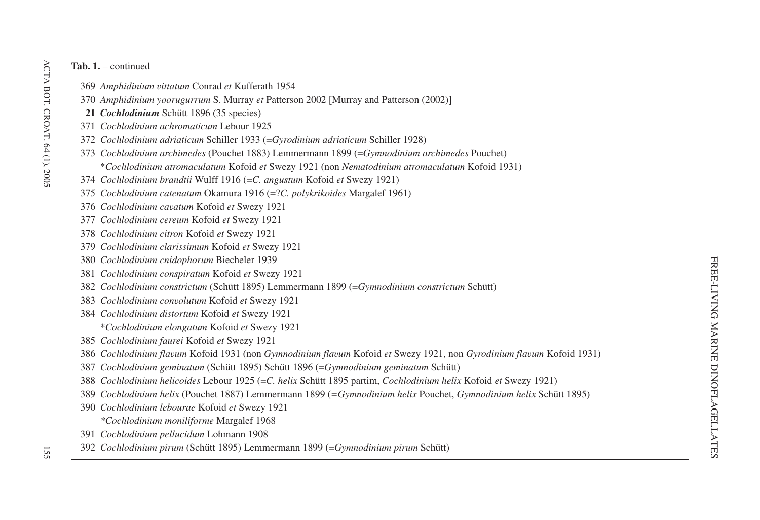- *Amphidinium vittatum* Conrad *et* Kufferath 1954
- *Amphidinium yoorugurrum* S. Murray *et* Patterson 2002 Murray and Patterson (2002)-
- *Cochlodinium* Schütt 1896 (35 species)
- *Cochlodinium achromaticum* Lebour 1925
- *Cochlodinium adriaticum* Schiller 1933 (=*Gyrodinium adriaticum* Schiller 1928)
- *Cochlodinium archimedes* (Pouchet 1883) Lemmermann 1899 (=*Gymnodinium archimedes* Pouchet) \**Cochlodinium atromaculatum* Kofoid *et* Swezy 1921 (non *Nematodinium atromaculatum* Kofoid 1931)
- *Cochlodinium brandtii* Wulff 1916 (=*C. angustum* Kofoid *et* Swezy 1921)
- *Cochlodinium catenatum* Okamura 1916 (=?*C. polykrikoides* Margalef 1961)
- *Cochlodinium cavatum* Kofoid *et* Swezy 1921
- *Cochlodinium cereum* Kofoid *et* Swezy 1921
- *Cochlodinium citron* Kofoid *et* Swezy 1921
- *Cochlodinium clarissimum* Kofoid *et* Swezy 1921
- *Cochlodinium cnidophorum* Biecheler 1939
- *Cochlodinium conspiratum* Kofoid *et* Swezy 1921
- *Cochlodinium constrictum* (Schütt 1895) Lemmermann 1899 (=*Gymnodinium constrictum* Schütt)
- *Cochlodinium convolutum* Kofoid *et* Swezy 1921
- *Cochlodinium distortum* Kofoid *et* Swezy 1921 \**Cochlodinium elongatum* Kofoid *et* Swezy 1921
- *Cochlodinium faurei* Kofoid *et* Swezy 1921
- *Cochlodinium flavum* Kofoid 1931 (non *Gymnodinium flavum* Kofoid *et* Swezy 1921, non *Gyrodinium flavum* Kofoid 1931)
- *Cochlodinium geminatum* (Schütt 1895) Schütt 1896 (=*Gymnodinium geminatum* Schütt)
- *Cochlodinium helicoides* Lebour 1925 (=*C. helix* Schütt 1895 partim, *Cochlodinium helix* Kofoid *et* Swezy 1921)
- *Cochlodinium helix* (Pouchet 1887) Lemmermann 1899 (*=Gymnodinium helix* Pouchet, *Gymnodinium helix* Schütt 1895)
- *Cochlodinium lebourae* Kofoid *et* Swezy 1921
	- *\*Cochlodinium moniliforme* Margalef 1968
- *Cochlodinium pellucidum* Lohmann 1908
- *Cochlodinium pirum* (Schütt 1895) Lemmermann 1899 (=*Gymnodinium pirum* Schütt)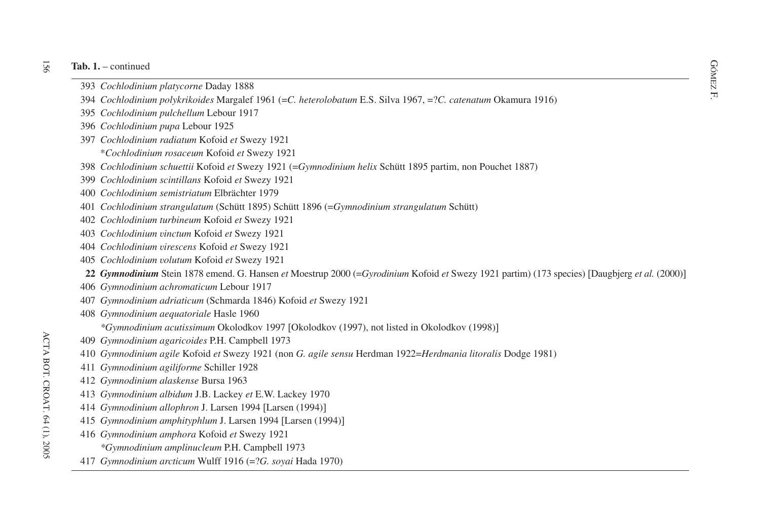- **b.** 1. continued  $\frac{1}{\sum_{i=1}^{N} \sum_{j=1}^{N} a_i}$ *Cochlodinium platycorne* Daday 1888
- F. *Cochlodinium polykrikoides* Margalef 1961 (=*C. heterolobatum* E.S. Silva 1967, =?*C. catenatum* Okamura 1916)
- *Cochlodinium pulchellum* Lebour 1917
- *Cochlodinium pupa* Lebour 1925
- *Cochlodinium radiatum* Kofoid *et* Swezy 1921
	- \**Cochlodinium rosaceum* Kofoid *et* Swezy 1921
- *Cochlodinium schuettii* Kofoid *et* Swezy 1921 (=*Gymnodinium helix* Schütt 1895 partim, non Pouchet 1887)
- *Cochlodinium scintillans* Kofoid *et* Swezy 1921
- *Cochlodinium semistriatum* Elbrächter 1979
- *Cochlodinium strangulatum* (Schütt 1895) Schütt 1896 (=*Gymnodinium strangulatum* Schütt)
- *Cochlodinium turbineum* Kofoid *et* Swezy 1921
- *Cochlodinium vinctum* Kofoid *et* Swezy 1921
- *Cochlodinium virescens* Kofoid *et* Swezy 1921
- *Cochlodinium volutum* Kofoid *et* Swezy 1921
- *Gymnodinium* Stein 1878 emend. G. Hansen *et* Moestrup 2000 (=*Gyrodinium* Kofoid *et* Swezy 1921 partim) (173 species) Daugbjerg *et al.* (2000)-
- *Gymnodinium achromaticum* Lebour 1917
- *Gymnodinium adriaticum* (Schmarda 1846) Kofoid *et* Swezy 1921
- *Gymnodinium aequatoriale* Hasle 1960
	- *\*Gymnodinium acutissimum* Okolodkov 1997 [Okolodkov (1997), not listed in Okolodkov (1998)]
- *Gymnodinium agaricoides* P.H. Campbell 1973
- *Gymnodinium agile* Kofoid *et* Swezy 1921 (non *G. agile sensu* Herdman 1922=*Herdmania litoralis* Dodge 1981)
- *Gymnodinium agiliforme* Schiller 1928
- *Gymnodinium alaskense* Bursa 1963
- *Gymnodinium albidum* J.B. Lackey *et* E.W. Lackey 1970
- *Gymnodinium allophron* J. Larsen 1994 Larsen (1994)-
- *Gymnodinium amphityphlum* J. Larsen 1994 Larsen (1994)-
- *Gymnodinium amphora* Kofoid *et* Swezy 1921
	- *\*Gymnodinium amplinucleum* P.H. Campbell 1973
- *Gymnodinium arcticum* Wulff 1916 (=?*G. soyai* Hada 1970)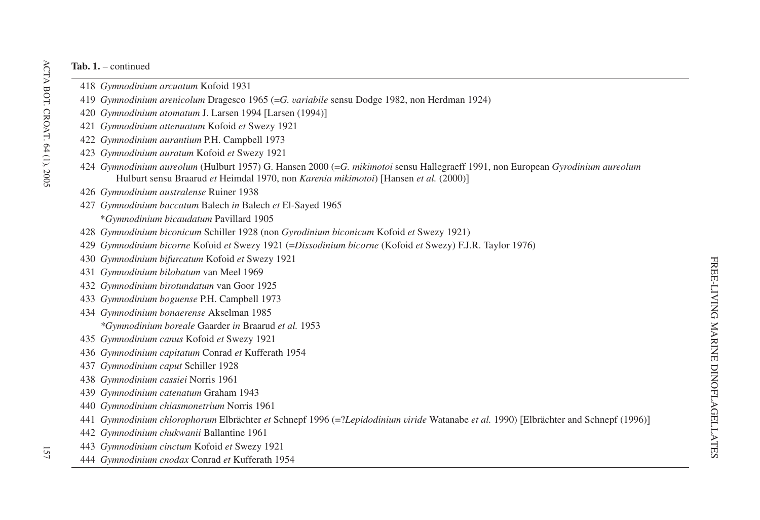- *Gymnodinium arcuatum* Kofoid 1931
- *Gymnodinium arenicolum* Dragesco 1965 (=*G. variabile* sensu Dodge 1982, non Herdman 1924)
- *Gymnodinium atomatum* J. Larsen 1994 Larsen (1994)-
- *Gymnodinium attenuatum* Kofoid *et* Swezy 1921
- *Gymnodinium aurantium* P.H. Campbell 1973
- *Gymnodinium auratum* Kofoid *et* Swezy 1921
- *Gymnodinium aureolum* (Hulburt 1957) G. Hansen 2000 (=*G. mikimotoi* sensu Hallegraeff 1991, non European *Gyrodinium aureolum* Hulburt sensu Braarud *et* Heimdal 1970, non *Karenia mikimotoi*) Hansen *et al.* (2000)-
- *Gymnodinium australense* Ruiner 1938
- *Gymnodinium baccatum* Balech *in* Balech *et* El-Sayed 1965
	- \**Gymnodinium bicaudatum* Pavillard 1905
- *Gymnodinium biconicum* Schiller 1928 (non *Gyrodinium biconicum* Kofoid *et* Swezy 1921)
- *Gymnodinium bicorne* Kofoid *et* Swezy 1921 (=*Dissodinium bicorne* (Kofoid *et* Swezy) F.J.R. Taylor 1976)
- *Gymnodinium bifurcatum* Kofoid *et* Swezy 1921
- *Gymnodinium bilobatum* van Meel 1969
- *Gymnodinium birotundatum* van Goor 1925
- *Gymnodinium boguense* P.H. Campbell 1973
- *Gymnodinium bonaerense* Akselman 1985
	- *\*Gymnodinium boreale* Gaarder *in* Braarud *et al.* 1953
- *Gymnodinium canus* Kofoid *et* Swezy 1921
- *Gymnodinium capitatum* Conrad *et* Kufferath 1954
- *Gymnodinium capu<sup>t</sup>* Schiller 1928
- *Gymnodinium cassiei* Norris 1961
- *Gymnodinium catenatum* Graham 1943
- *Gymnodinium chiasmonetrium* Norris 1961
- *Gymnodinium chlorophorum* Elbrächter *et* Schnepf 1996 (=?*Lepidodinium viride* Watanabe *et al.* 1990) Elbrächter and Schnepf (1996)-
- *Gymnodinium chukwanii* Ballantine 1961
- *Gymnodinium cinctum* Kofoid *et* Swezy 1921
- *Gymnodinium cnodax* Conrad *et* Kufferath 1954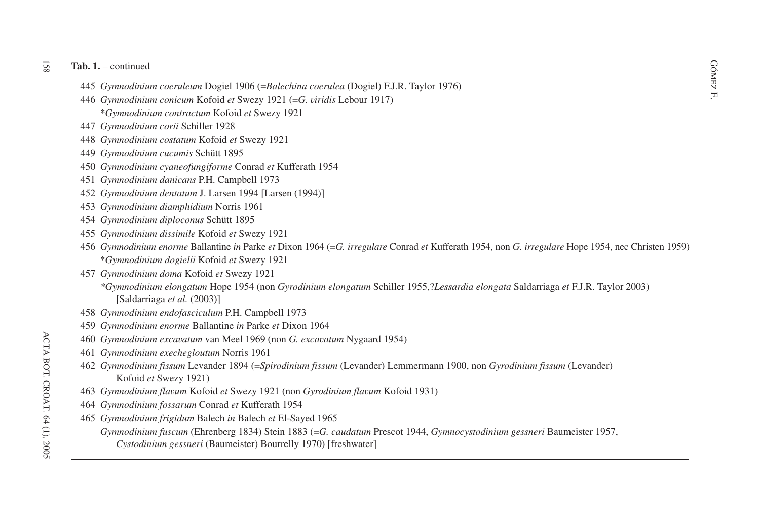- dia 1. continued<br>
A45 *Gymnodinium coeruleum* Dogiel 1906 (=*Balechina coerulea* (Dogiel) F.J.R. Taylor 1976)<br>
H
- *Gymnodinium conicum* Kofoid *et* Swezy 1921 (=*G. viridis* Lebour 1917)
	- \**Gymnodinium contractum* Kofoid *et* Swezy 1921
- *Gymnodinium corii* Schiller 1928
- *Gymnodinium costatum* Kofoid *et* Swezy 1921
- *Gymnodinium cucumis* Schütt 1895
- *Gymnodinium cyaneofungiforme* Conrad *et* Kufferath 1954
- *Gymnodinium danicans* P.H. Campbell 1973
- *Gymnodinium dentatum* J. Larsen 1994 Larsen (1994)-
- *Gymnodinium diamphidium* Norris 1961
- *Gymnodinium diploconus* Schütt 1895
- *Gymnodinium dissimile* Kofoid *et* Swezy 1921
- *Gymnodinium enorme* Ballantine *in* Parke *et* Dixon 1964 (=*G. irregulare* Conrad *et* Kufferath 1954, non *G. irregulare* Hope 1954, nec Christen 1959) \**Gymnodinium dogielii* Kofoid *et* Swezy 1921
- *Gymnodinium doma* Kofoid *et* Swezy 1921
	- *\*Gymnodinium elongatum* Hope 1954 (non *Gyrodinium elongatum* Schiller 1955,?*Lessardia elongata* Saldarriaga *et* F.J.R. Taylor 2003) Saldarriaga *et al.* (2003)-
- *Gymnodinium endofasciculum* P.H. Campbell 1973
- *Gymnodinium enorme* Ballantine *in* Parke *et* Dixon 1964
- *Gymnodinium excavatum* van Meel 1969 (non *G. excavatum* Nygaard 1954)
- *Gymnodinium exechegloutum* Norris 1961
- *Gymnodinium fissum* Levander 1894 (=*Spirodinium fissum* (Levander) Lemmermann 1900, non *Gyrodinium fissum* (Levander) Kofoid *et* Swezy 1921)
- *Gymnodinium flavum* Kofoid *et* Swezy 1921 (non *Gyrodinium flavum* Kofoid 1931)
- *Gymnodinium fossarum* Conrad *et* Kufferath 1954
- *Gymnodinium frigidum* Balech *in* Balech *et* El-Sayed 1965
	- *Gymnodinium fuscum* (Ehrenberg 1834) Stein 1883 (=*G. caudatum* Prescot 1944, *Gymnocystodinium gessneri* Baumeister 1957, *Cystodinium gessneri* (Baumeister) Bourrelly 1970) freshwater-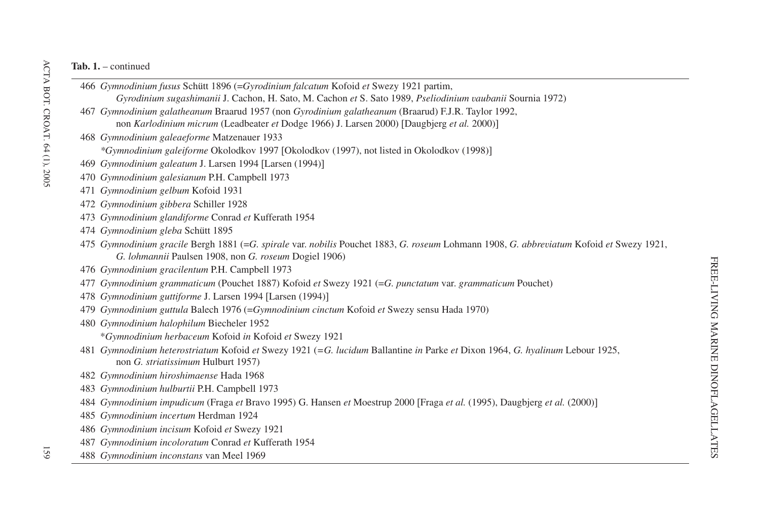*Gymnodinium fusus* Schütt 1896 (=*Gyrodinium falcatum* Kofoid *et* Swezy 1921 partim, *Gyrodinium sugashimanii* J. Cachon, H. Sato, M. Cachon *et* S. Sato 1989, *Pseliodinium vaubanii* Sournia 1972) *Gymnodinium galatheanum* Braarud 1957 (non *Gyrodinium galatheanum* (Braarud) F.J.R. Taylor 1992, non *Karlodinium micrum* (Leadbeater *et* Dodge 1966) J. Larsen 2000) Daugbjerg *et al.* 2000)- *Gymnodinium galeaeforme* Matzenauer 1933 *\*Gymnodinium galeiforme* Okolodkov 1997 Okolodkov (1997), not listed in Okolodkov (1998)- *Gymnodinium galeatum* J. Larsen 1994 Larsen (1994)- *Gymnodinium galesianum* P.H. Campbell 1973 *Gymnodinium gelbum* Kofoid 1931 *Gymnodinium gibbera* Schiller 1928 *Gymnodinium glandiforme* Conrad *et* Kufferath 1954 *Gymnodinium gleba* Schütt 1895 475 Gymnodinium gracile Bergh 1881 (=G. spirale var. nobilis Pouchet 1883, G. roseum Lohmann 1908, G. abbreviatum Kofoid et Swezy 1921, *G. lohmannii* Paulsen 1908, non *G. roseum* Dogiel 1906) *Gymnodinium gracilentum* P.H. Campbell 1973 *Gymnodinium grammaticum* (Pouchet 1887) Kofoid *et* Swezy 1921 (=*G. punctatum* var. *grammaticum* Pouchet) *Gymnodinium guttiforme* J. Larsen 1994 Larsen (1994)- *Gymnodinium guttula* Balech 1976 (=*Gymnodinium cinctum* Kofoid *et* Swezy sensu Hada 1970) *Gymnodinium halophilum* Biecheler 1952 \**Gymnodinium herbaceum* Kofoid *in* Kofoid *et* Swezy 1921 *Gymnodinium heterostriatum* Kofoid *et* Swezy 1921 (*=G. lucidum* Ballantine *in* Parke *et* Dixon 1964, *G. hyalinum* Lebour 1925, non *G. striatissimum* Hulburt 1957) *Gymnodinium hiroshimaense* Hada 1968 *Gymnodinium hulburtii* P.H. Campbell 1973 *Gymnodinium impudicum* (Fraga *et* Bravo 1995) G. Hansen *et* Moestrup 2000 Fraga *et al.* (1995), Daugbjerg *et al.* (2000)- *Gymnodinium incertum* Herdman 1924 *Gymnodinium incisum* Kofoid *et* Swezy 1921 *Gymnodinium incoloratum* Conrad *et* Kufferath 1954 *Gymnodinium inconstans* van Meel 1969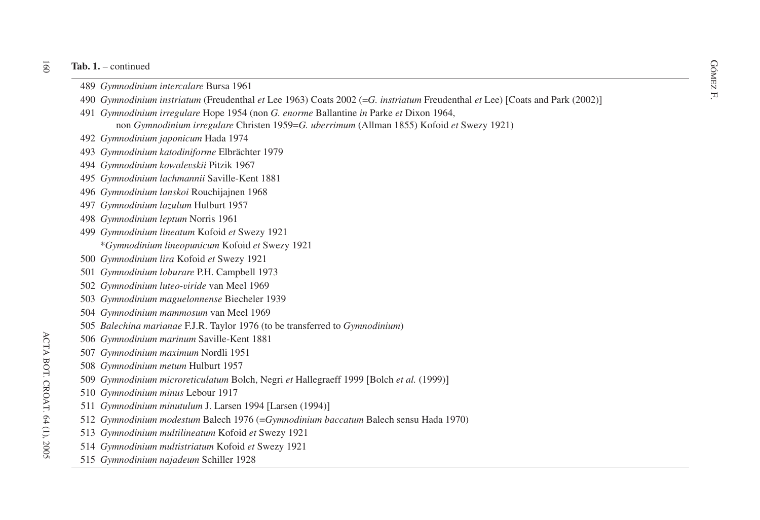# jec

- -
- **Tab. 1.** continued<br>489 *Gymnodinium intercalare* Bursa 1961<br>490 *Gymnodinium instriatum* (Freudenthal *et* Lee 1963) Coats 2002 (=*G. instriatum* Freudenthal *et* Lee) [Coats and Park (2002)]
	- *Gymnodinium irregulare* Hope 1954 (non *G. enorme* Ballantine *in* Parke *et* Dixon 1964, non *Gymnodinium irregulare* Christen 1959=*G. uberrimum* (Allman 1855) Kofoid *et* Swezy 1921)
	- *Gymnodinium japonicum* Hada 1974
	- *Gymnodinium katodiniforme* Elbrächter 1979
	- *Gymnodinium kowalevskii* Pitzik 1967
	- *Gymnodinium lachmannii* Saville-Kent 1881
	- *Gymnodinium lanskoi* Rouchijajnen 1968
	- *Gymnodinium lazulum* Hulburt 1957
	- *Gymnodinium leptum* Norris 1961
	- *Gymnodinium lineatum* Kofoid *et* Swezy 1921 \**Gymnodinium lineopunicum* Kofoid *et* Swezy 1921
	- *Gymnodinium lira* Kofoid *et* Swezy 1921
	- *Gymnodinium loburare* P.H. Campbell 1973
	- *Gymnodinium luteo-viride* van Meel 1969
	- *Gymnodinium maguelonnense* Biecheler 1939
	- *Gymnodinium mammosum* van Meel 1969
	- *Balechina marianae* F.J.R. Taylor 1976 (to be transferred to *Gymnodinium*)
	- *Gymnodinium marinum* Saville-Kent 1881
	- *Gymnodinium maximum* Nordli 1951
	- *Gymnodinium metum* Hulburt 1957
	- *Gymnodinium microreticulatum* Bolch, Negri *et* Hallegraeff 1999 [Bolch *et al.* (1999)]
	- *Gymnodinium minus* Lebour 1917
	- *Gymnodinium minutulum* J. Larsen 1994 Larsen (1994)-
	- *Gymnodinium modestum* Balech 1976 (=*Gymnodinium baccatum* Balech sensu Hada 1970)
	- *Gymnodinium multilineatum* Kofoid *et* Swezy 1921
	- *Gymnodinium multistriatum* Kofoid *et* Swezy 1921
	- *Gymnodinium najadeum* Schiller 1928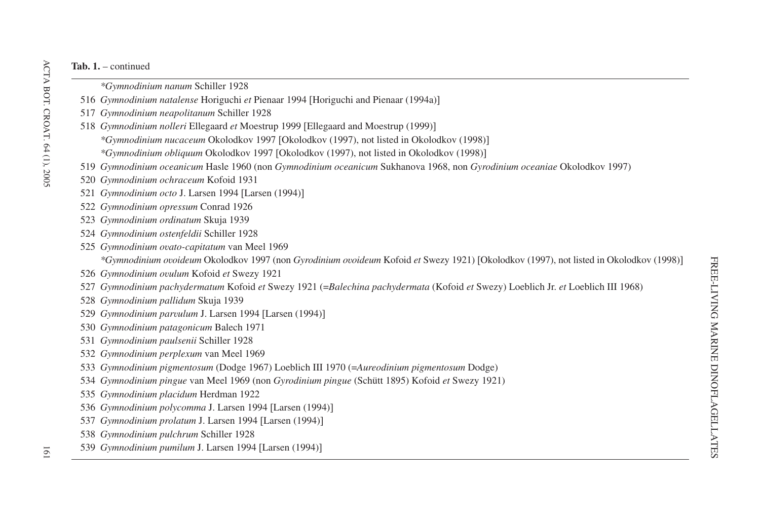- *\*Gymnodinium nanum* Schiller 1928
- *Gymnodinium natalense* Horiguchi *et* Pienaar 1994 Horiguchi and Pienaar (1994a)-
- *Gymnodinium neapolitanum* Schiller 1928
- *Gymnodinium nolleri* Ellegaard *et* Moestrup 1999 Ellegaard and Moestrup (1999)- *\*Gymnodinium nucaceum* Okolodkov 1997 [Okolodkov (1997), not listed in Okolodkov (1998)] *\*Gymnodinium obliquum* Okolodkov 1997 [Okolodkov (1997), not listed in Okolodkov (1998)]
- *Gymnodinium oceanicum* Hasle 1960 (non *Gymnodinium oceanicum* Sukhanova 1968, non *Gyrodinium oceaniae* Okolodkov 1997)
- *Gymnodinium ochraceum* Kofoid 1931
- *Gymnodinium octo* J. Larsen 1994 Larsen (1994)-
- *Gymnodinium opressum* Conrad 1926
- *Gymnodinium ordinatum* Skuja 1939
- *Gymnodinium ostenfeldii* Schiller 1928
- *Gymnodinium ovato-capitatum* van Meel 1969
	- *\*Gymnodinium ovoideum* Okolodkov 1997 (non *Gyrodinium ovoideum* Kofoid *et* Swezy 1921) Okolodkov (1997), not listed in Okolodkov (1998)-
- *Gymnodinium ovulum* Kofoid *et* Swezy 1921
- *Gymnodinium pachydermatum* Kofoid *et* Swezy 1921 (=*Balechina pachydermata* (Kofoid *et* Swezy) Loeblich Jr. *et* Loeblich III 1968)
- *Gymnodinium pallidum* Skuja 1939
- *Gymnodinium parvulum* J. Larsen 1994 Larsen (1994)-
- *Gymnodinium patagonicum* Balech 1971
- *Gymnodinium paulsenii* Schiller 1928
- *Gymnodinium perplexum* van Meel 1969
- *Gymnodinium pigmentosum* (Dodge 1967) Loeblich III 1970 (=*Aureodinium pigmentosum* Dodge)
- *Gymnodinium pingue* van Meel 1969 (non *Gyrodinium pingue* (Schütt 1895) Kofoid *et* Swezy 1921)
- *Gymnodinium placidum* Herdman 1922
- *Gymnodinium polycomma* J. Larsen 1994 Larsen (1994)-
- *Gymnodinium prolatum* J. Larsen 1994 Larsen (1994)-
- *Gymnodinium pulchrum* Schiller 1928
- *Gymnodinium pumilum* J. Larsen 1994 Larsen (1994)-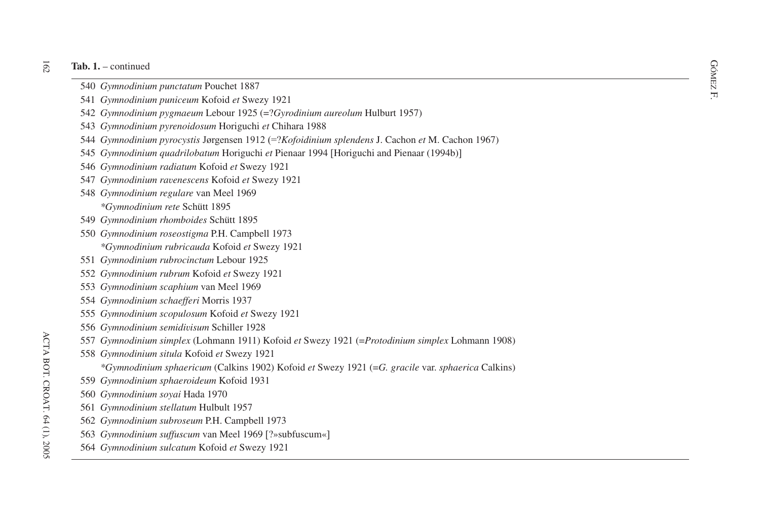#### $\overline{162}$ **Tab. 1.** – continued

- **b.** 1. continued  $\frac{GQ}{S}$ <br>540 *Gymnodinium punctatum* Pouchet 1887 *Gymnodinium punctatum* Pouchet 1887
- F. *Gymnodinium puniceum* Kofoid *et* Swezy 1921
- *Gymnodinium pygmaeum* Lebour 1925 (=?*Gyrodinium aureolum* Hulburt 1957)
- *Gymnodinium pyrenoidosum* Horiguchi *et* Chihara 1988
- *Gymnodinium pyrocystis* Jørgensen 1912 (=?*Kofoidinium splendens* J. Cachon *et* M. Cachon 1967)
- *Gymnodinium quadrilobatum* Horiguchi *et* Pienaar 1994 Horiguchi and Pienaar (1994b)-
- *Gymnodinium radiatum* Kofoid *et* Swezy 1921
- *Gymnodinium ravenescens* Kofoid *et* Swezy 1921
- *Gymnodinium regulare* van Meel 1969 *\*Gymnodinium rete* Schütt 1895
- *Gymnodinium rhomboides* Schütt 1895
- *Gymnodinium roseostigma* P.H. Campbell 1973 *\*Gymnodinium rubricauda* Kofoid *et* Swezy 1921
- *Gymnodinium rubrocinctum* Lebour 1925
- *Gymnodinium rubrum* Kofoid *et* Swezy 1921
- *Gymnodinium scaphium* van Meel 1969
- *Gymnodinium schaefferi* Morris 1937
- *Gymnodinium scopulosum* Kofoid *et* Swezy 1921
- *Gymnodinium semidivisum* Schiller 1928
- *Gymnodinium simplex* (Lohmann 1911) Kofoid *et* Swezy 1921 (=*Protodinium simplex* Lohmann 1908)
- *Gymnodinium situla* Kofoid *et* Swezy 1921
	- *\*Gymnodinium sphaericum* (Calkins 1902) Kofoid *et* Swezy 1921 (=*G. gracile* var. *sphaerica* Calkins)
- *Gymnodinium sphaeroideum* Kofoid 1931
- *Gymnodinium soyai* Hada 1970
- *Gymnodinium stellatum* Hulbult 1957
- *Gymnodinium subroseum* P.H. Campbell 1973
- *Gymnodinium suffuscum* van Meel 1969 ?»subfuscum«-
- *Gymnodinium sulcatum* Kofoid *et* Swezy 1921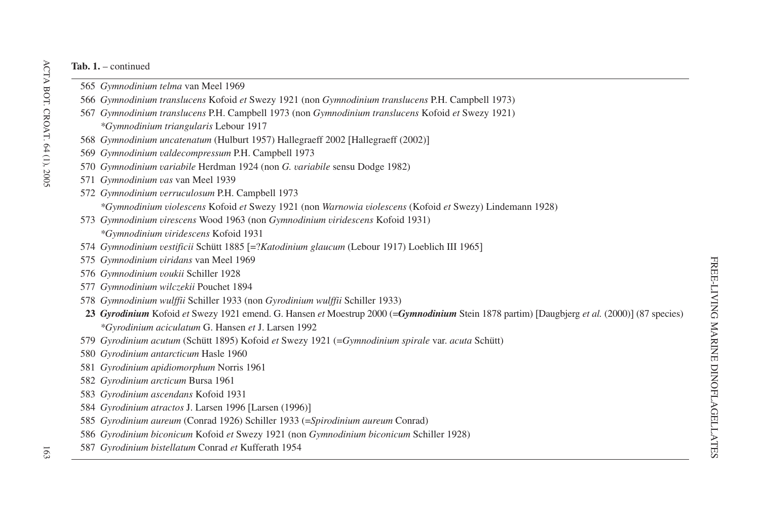- *Gymnodinium telma* van Meel 1969
- *Gymnodinium translucens* Kofoid *et* Swezy 1921 (non *Gymnodinium translucens* P.H. Campbell 1973)
- *Gymnodinium translucens* P.H. Campbell 1973 (non *Gymnodinium translucens* Kofoid *et* Swezy 1921) *\*Gymnodinium triangularis* Lebour 1917
- *Gymnodinium uncatenatum* (Hulburt 1957) Hallegraeff 2002 [Hallegraeff (2002)]
- *Gymnodinium valdecompressum* P.H. Campbell 1973
- *Gymnodinium variabile* Herdman 1924 (non *G. variabile* sensu Dodge 1982)
- *Gymnodinium vas* van Meel 1939
- *Gymnodinium verruculosum* P.H. Campbell 1973 *\*Gymnodinium violescens* Kofoid *et* Swezy 1921 (non *Warnowia violescens* (Kofoid *et* Swezy) Lindemann 1928)
- *Gymnodinium virescens* Wood 1963 (non *Gymnodinium viridescens* Kofoid 1931) *\*Gymnodinium viridescens* Kofoid 1931
- *Gymnodinium vestificii* Schütt 1885 =?*Katodinium glaucum* (Lebour 1917) Loeblich III 1965-
- *Gymnodinium viridans* van Meel 1969
- *Gymnodinium voukii* Schiller 1928
- *Gymnodinium wilczekii* Pouchet 1894
- *Gymnodinium wulffii* Schiller 1933 (non *Gyrodinium wulffii* Schiller 1933)
- *Gyrodinium* Kofoid *et* Swezy 1921 emend. G. Hansen *et* Moestrup 2000 (=*Gymnodinium* Stein 1878 partim) Daugbjerg *et al.* (2000)- (87 species) *\*Gyrodinium aciculatum* G. Hansen *et* J. Larsen 1992
- *Gyrodinium acutum* (Schütt 1895) Kofoid *et* Swezy 1921 (=*Gymnodinium spirale* var. *acuta* Schütt)
- *Gyrodinium antarcticum* Hasle 1960
- *Gyrodinium apidiomorphum* Norris 1961
- *Gyrodinium arcticum* Bursa 1961
- *Gyrodinium ascendans* Kofoid 1931
- *Gyrodinium atractos* J. Larsen 1996 Larsen (1996)-
- *Gyrodinium aureum* (Conrad 1926) Schiller 1933 (=*Spirodinium aureum* Conrad)
- *Gyrodinium biconicum* Kofoid *et* Swezy 1921 (non *Gymnodinium biconicum* Schiller 1928)
- *Gyrodinium bistellatum* Conrad *et* Kufferath 1954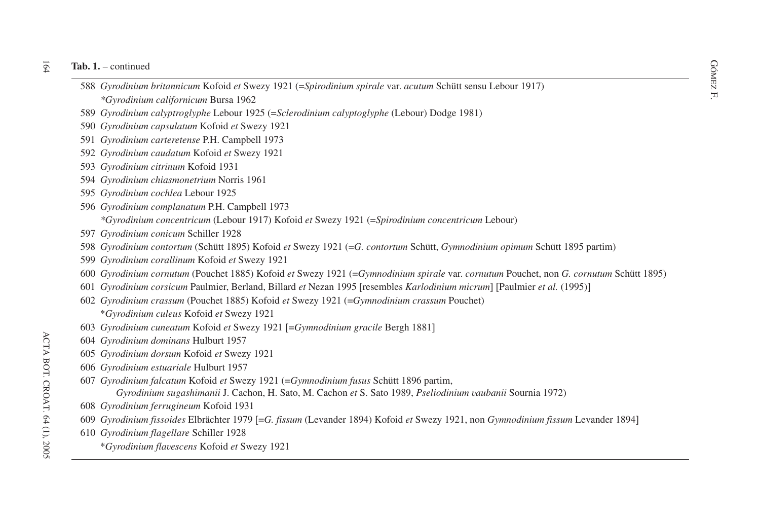- dia 1. continued<br>
SS8 *Gyrodinium britannicum* Kofoid *et* Swezy 1921 (=Spirodinium spirale var. *acutum* Schütt sensu Lebour 1917)<br>
SS8 *Gyrodinium britannicum* Kofoid *et* Swezy 1921 (=Spirodinium spirale var. *acutum \*Gyrodinium californicum* Bursa 1962
- *Gyrodinium calyptroglyphe* Lebour 1925 (=*Sclerodinium calyptoglyphe* (Lebour) Dodge 1981)
- *Gyrodinium capsulatum* Kofoid *et* Swezy 1921
- *Gyrodinium carteretense* P.H. Campbell 1973
- *Gyrodinium caudatum* Kofoid *et* Swezy 1921
- *Gyrodinium citrinum* Kofoid 1931
- *Gyrodinium chiasmonetrium* Norris 1961
- *Gyrodinium cochlea* Lebour 1925
- *Gyrodinium complanatum* P.H. Campbell 1973

*\*Gyrodinium concentricum* (Lebour 1917) Kofoid *et* Swezy 1921 (=*Spirodinium concentricum* Lebour)

- *Gyrodinium conicum* Schiller 1928
- *Gyrodinium contortum* (Schütt 1895) Kofoid *et* Swezy 1921 (=*G. contortum* Schütt, *Gymnodinium opimum* Schütt 1895 partim)
- *Gyrodinium corallinum* Kofoid *et* Swezy 1921
- *Gyrodinium cornutum* (Pouchet 1885) Kofoid *et* Swezy 1921 (=*Gymnodinium spirale* var. *cornutum* Pouchet, non *G. cornutum* Schütt 1895)
- *Gyrodinium corsicum* Paulmier, Berland, Billard *et* Nezan 1995 resembles *Karlodinium micrum* Paulmier *et al.* (1995)-
- *Gyrodinium crassum* (Pouchet 1885) Kofoid *et* Swezy 1921 (=*Gymnodinium crassum* Pouchet) \**Gyrodinium culeus* Kofoid *et* Swezy 1921
- *Gyrodinium cuneatum* Kofoid *et* Swezy 1921 =*Gymnodinium gracile* Bergh 1881-
- *Gyrodinium dominans* Hulburt 1957
- *Gyrodinium dorsum* Kofoid *et* Swezy 1921
- *Gyrodinium estuariale* Hulburt 1957
- *Gyrodinium falcatum* Kofoid *et* Swezy 1921 (=*Gymnodinium fusus* Schütt 1896 partim, *Gyrodinium sugashimanii* J. Cachon, H. Sato, M. Cachon *et* S. Sato 1989, *Pseliodinium vaubanii* Sournia 1972)
- *Gyrodinium ferrugineum* Kofoid 1931
- *Gyrodinium fissoides* Elbrächter 1979 =*G. fissum* (Levander 1894) Kofoid *et* Swezy 1921, non *Gymnodinium fissum* Levander 1894-
- *Gyrodinium flagellare* Schiller 1928
	- \**Gyrodinium flavescens* Kofoid *et* Swezy 1921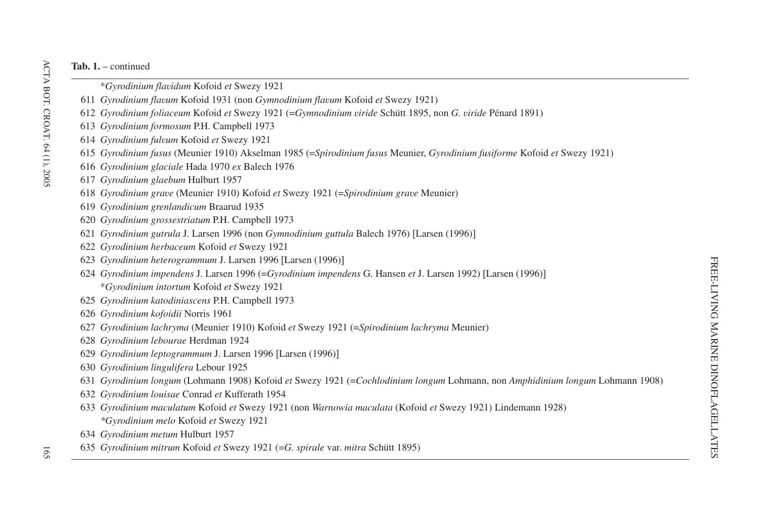- \**Gyrodinium flavidum* Kofoid *et* Swezy 1921
- *Gyrodinium flavum* Kofoid 1931 (non *Gymnodinium flavum* Kofoid *et* Swezy 1921)
- *Gyrodinium foliaceum* Kofoid *et* Swezy 1921 (=*Gymnodinium viride* Schütt 1895, non *G. viride* Pénard 1891)
- *Gyrodinium formosum* P.H. Campbell 1973
- *Gyrodinium fulvum* Kofoid *et* Swezy 1921
- *Gyrodinium fusus* (Meunier 1910) Akselman 1985 (=*Spirodinium fusus* Meunier, *Gyrodinium fusiforme* Kofoid *et* Swezy 1921)
- *Gyrodinium glaciale* Hada 1970 *ex* Balech 1976
- *Gyrodinium glaebum* Hulburt 1957
- *Gyrodinium grave* (Meunier 1910) Kofoid *et* Swezy 1921 (=*Spirodinium grave* Meunier)
- *Gyrodinium grenlandicum* Braarud 1935
- *Gyrodinium grossestriatum* P.H. Campbell 1973
- *Gyrodinium gutrula* J. Larsen 1996 (non *Gymnodinium guttula* Balech 1976) Larsen (1996)-
- *Gyrodinium herbaceum* Kofoid *et* Swezy 1921
- *Gyrodinium heterogrammum* J. Larsen 1996 Larsen (1996)-
- *Gyrodinium impendens* J. Larsen 1996 (=*Gyrodinium impendens* G. Hansen *et* J. Larsen 1992) Larsen (1996)- \**Gyrodinium intortum* Kofoid *et* Swezy 1921
- *Gyrodinium katodiniascens* P.H. Campbell 1973
- *Gyrodinium kofoidii* Norris 1961
- *Gyrodinium lachryma* (Meunier 1910) Kofoid *et* Swezy 1921 (=*Spirodinium lachryma* Meunier)
- *Gyrodinium lebourae* Herdman 1924
- *Gyrodinium leptogrammum* J. Larsen 1996 Larsen (1996)-
- *Gyrodinium lingulifera* Lebour 1925
- *Gyrodinium longum* (Lohmann 1908) Kofoid *et* Swezy 1921 (=*Cochlodinium longum* Lohmann, non *Amphidinium longum* Lohmann 1908)
- *Gyrodinium louisae* Conrad *et* Kufferath 1954
- *Gyrodinium maculatum* Kofoid *et* Swezy 1921 (non *Warnowia maculata* (Kofoid *et* Swezy 1921) Lindemann 1928) *\*Gyrodinium melo* Kofoid *et* Swezy 1921
- *Gyrodinium metum* Hulburt 1957
- *Gyrodinium mitrum* Kofoid *et* Swezy 1921 (=*G. spirale* var. *mitra* Schütt 1895)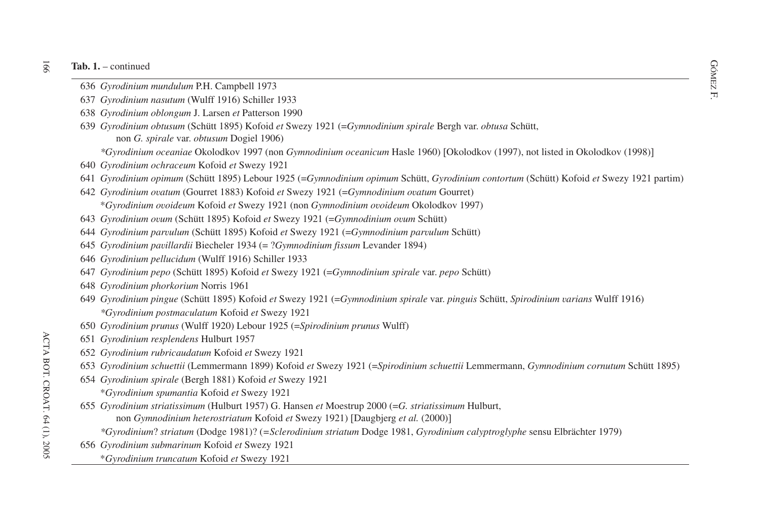- dometric of Gyrodinium *mundulum* P.H. Campbell 1973<br>636 *Gyrodinium mundulum* P.H. Campbell 1973
- F. *Gyrodinium nasutum* (Wulff 1916) Schiller 1933
- *Gyrodinium oblongum* J. Larsen *et* Patterson 1990
- *Gyrodinium obtusum* (Schütt 1895) Kofoid *et* Swezy 1921 (=*Gymnodinium spirale* Bergh var. *obtusa* Schütt, non *G. spirale* var. *obtusum* Dogiel 1906)

*\*Gyrodinium oceaniae* Okolodkov 1997 (non *Gymnodinium oceanicum* Hasle 1960) [Okolodkov (1997), not listed in Okolodkov (1998)]

- *Gyrodinium ochraceum* Kofoid *et* Swezy 1921
- *Gyrodinium opimum* (Schütt 1895) Lebour 1925 (=*Gymnodinium opimum* Schütt, *Gyrodinium contortum* (Schütt) Kofoid *et* Swezy 1921 partim)
- *Gyrodinium ovatum* (Gourret 1883) Kofoid *et* Swezy 1921 (=*Gymnodinium ovatum* Gourret) \**Gyrodinium ovoideum* Kofoid *et* Swezy 1921 (non *Gymnodinium ovoideum* Okolodkov 1997)
- *Gyrodinium ovum* (Schütt 1895) Kofoid *et* Swezy 1921 (=*Gymnodinium ovum* Schütt)
- *Gyrodinium parvulum* (Schütt 1895) Kofoid *et* Swezy 1921 (=*Gymnodinium parvulum* Schütt)
- *Gyrodinium pavillardii* Biecheler 1934 (= ?*Gymnodinium fissum* Levander 1894)
- *Gyrodinium pellucidum* (Wulff 1916) Schiller 1933
- *Gyrodinium pepo* (Schütt 1895) Kofoid *et* Swezy 1921 (=*Gymnodinium spirale* var. *pepo* Schütt)
- *Gyrodinium phorkorium* Norris 1961
- *Gyrodinium pingue* (Schütt 1895) Kofoid *et* Swezy 1921 (=*Gymnodinium spirale* var. *pinguis* Schütt, *Spirodinium varians* Wulff 1916) *\*Gyrodinium postmaculatum* Kofoid *et* Swezy 1921
- *Gyrodinium prunus* (Wulff 1920) Lebour 1925 (=*Spirodinium prunus* Wulff)
- *Gyrodinium resplendens* Hulburt 1957
- *Gyrodinium rubricaudatum* Kofoid *et* Swezy 1921
- *Gyrodinium schuettii* (Lemmermann 1899) Kofoid *et* Swezy 1921 (=*Spirodinium schuettii* Lemmermann, *Gymnodinium cornutum* Schütt 1895)
- *Gyrodinium spirale* (Bergh 1881) Kofoid *et* Swezy 1921
	- \**Gyrodinium spumantia* Kofoid *et* Swezy 1921
- *Gyrodinium striatissimum* (Hulburt 1957) G. Hansen *et* Moestrup 2000 (=*G. striatissimum* Hulburt,
	- non *Gymnodinium heterostriatum* Kofoid *et* Swezy 1921) Daugbjerg *et al.* (2000)-
	- *\*Gyrodinium*? *striatum* (Dodge 1981)? (*=Sclerodinium striatum* Dodge 1981, *Gyrodinium calyptroglyphe* sensu Elbrächter 1979)
- *Gyrodinium submarinum* Kofoid *et* Swezy 1921
	- \**Gyrodinium truncatum* Kofoid *et* Swezy 1921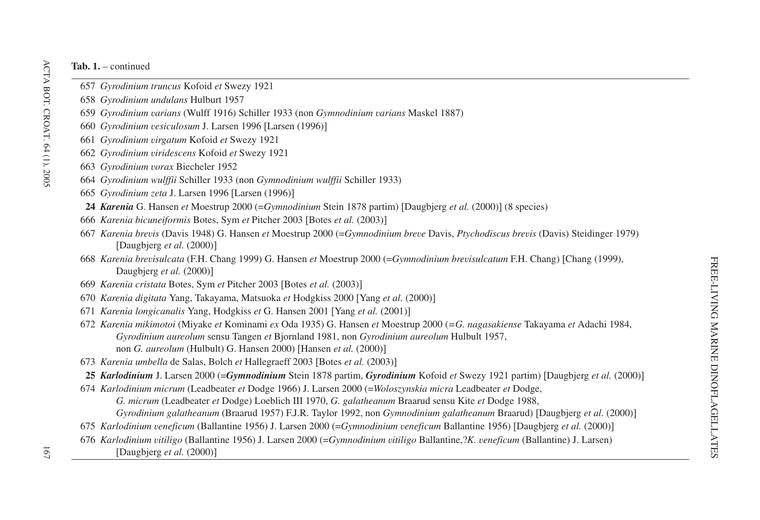- *Gyrodinium truncus* Kofoid *et* Swezy 1921
- *Gyrodinium undulans* Hulburt 1957
- *Gyrodinium varians* (Wulff 1916) Schiller 1933 (non *Gymnodinium varians* Maskel 1887)
- *Gyrodinium vesiculosum* J. Larsen 1996 Larsen (1996)-
- *Gyrodinium virgatum* Kofoid *et* Swezy 1921
- *Gyrodinium viridescens* Kofoid *et* Swezy 1921
- *Gyrodinium vorax* Biecheler 1952
- *Gyrodinium wulffii* Schiller 1933 (non *Gymnodinium wulffii* Schiller 1933)
- *Gyrodinium zeta* J. Larsen 1996 Larsen (1996)-
- *Karenia* G. Hansen *et* Moestrup 2000 (=*Gymnodinium* Stein 1878 partim) Daugbjerg *et al.* (2000)- (8 species)
- *Karenia bicuneiformis* Botes, Sym *et* Pitcher 2003 Botes *et al.* (2003)-
- *Karenia brevis* (Davis 1948) G. Hansen *et* Moestrup 2000 (=*Gymnodinium breve* Davis, *Ptychodiscus brevis* (Davis) Steidinger 1979) Daugbjerg *et al.* (2000)-
- *Karenia brevisulcata* (F.H. Chang 1999) G. Hansen *et* Moestrup 2000 (=*Gymnodinium brevisulcatum* F.H. Chang) Chang (1999), Daugbjerg *et al.* (2000)-
- *Karenia cristata* Botes, Sym *et* Pitcher 2003 Botes *et al.* (2003)-
- *Karenia digitata* Yang, Takayama, Matsuoka *et* Hodgkiss 2000 Yang *et al.* (2000)-
- *Karenia longicanalis* Yang, Hodgkiss *et* G. Hansen 2001 Yang *et al.* (2001)-
- *Karenia mikimotoi* (Miyake *et* Kominami *ex* Oda 1935) G. Hansen *et* Moestrup 2000 (*=G. nagasakiense* Takayama *et* Adachi 1984, *Gyrodinium aureolum* sensu Tangen *et* Bjornland 1981, non *Gyrodinium aureolum* Hulbult 1957, non *G. aureolum* (Hulbult) G. Hansen 2000) Hansen *et al.* (2000)-
- *Karenia umbella* de Salas, Bolch *et* Hallegraeff 2003 Botes *et al.* (2003)-
- *Karlodinium* J. Larsen 2000 (=*Gymnodinium* Stein 1878 partim, *Gyrodinium* Kofoid *et* Swezy 1921 partim) Daugbjerg *et al.* (2000)-
- *Karlodinium micrum* (Leadbeater *et* Dodge 1966) J. Larsen 2000 (=*Woloszynskia micra* Leadbeater *et* Dodge, *G. micrum* (Leadbeater *et* Dodge) Loeblich III 1970, *G. galatheanum* Braarud sensu Kite *et* Dodge 1988, *Gyrodinium galatheanum* (Braarud 1957) F.J.R. Taylor 1992, non *Gymnodinium galatheanum* Braarud) Daugbjerg *et al.* (2000)-
- *Karlodinium veneficum* (Ballantine 1956) J. Larsen 2000 (=*Gymnodinium veneficum* Ballantine 1956) Daugbjerg *et al.* (2000)-
- *Karlodinium vitiligo* (Ballantine 1956) J. Larsen 2000 (=*Gymnodinium vitiligo* Ballantine,?*K. veneficum* (Ballantine) J. Larsen) Daugbjerg *et al.* (2000)-
-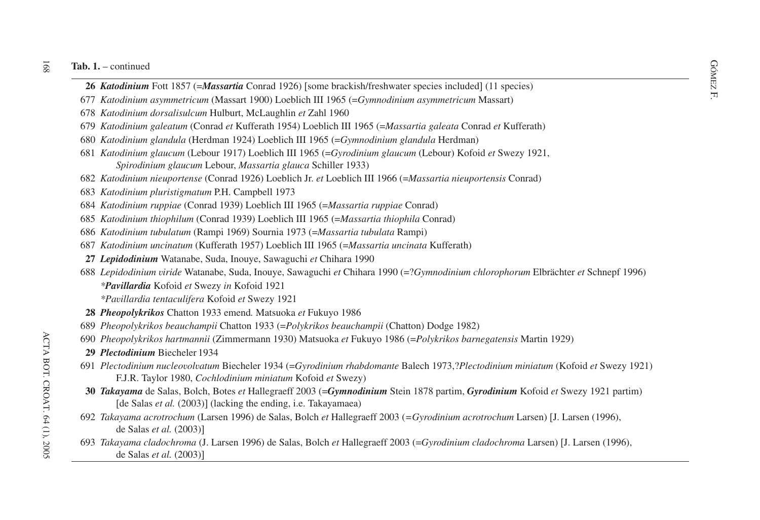#### $\overline{168}$ **Tab. 1.** – continued

- on 1. continued<br>
26 *Katodinium* Fott 1857 (=*Massartia* Conrad 1926) [some brackish/freshwater species included] (11 species)<br>
Fig. 26 *Katodinium* Fott 1857 (=*Massartia* Conrad 1926) [some brackish/freshwater species
- *Katodinium asymmetricum* (Massart 1900) Loeblich III 1965 (=*Gymnodinium asymmetricum* Massart)
- *Katodinium dorsalisulcum* Hulburt, McLaughlin *et* Zahl 1960
- *Katodinium galeatum* (Conrad *et* Kufferath 1954) Loeblich III 1965 (=*Massartia galeata* Conrad *et* Kufferath)
- *Katodinium glandula* (Herdman 1924) Loeblich III 1965 (=*Gymnodinium glandula* Herdman)
- *Katodinium glaucum* (Lebour 1917) Loeblich III 1965 (=*Gyrodinium glaucum* (Lebour) Kofoid *et* Swezy 1921, *Spirodinium glaucum* Lebour, *Massartia glauca* Schiller 1933)
- *Katodinium nieuportense* (Conrad 1926) Loeblich Jr. *et* Loeblich III 1966 (=*Massartia nieuportensis* Conrad)
- *Katodinium pluristigmatum* P.H. Campbell 1973
- *Katodinium ruppiae* (Conrad 1939) Loeblich III 1965 (=*Massartia ruppiae* Conrad)
- *Katodinium thiophilum* (Conrad 1939) Loeblich III 1965 (=*Massartia thiophila* Conrad)
- *Katodinium tubulatum* (Rampi 1969) Sournia 1973 (=*Massartia tubulata* Rampi)
- *Katodinium uncinatum* (Kufferath 1957) Loeblich III 1965 (=*Massartia uncinata* Kufferath)
- *Lepidodinium* Watanabe, Suda, Inouye, Sawaguchi *et* Chihara 1990
- *Lepidodinium viride* Watanabe, Suda, Inouye, Sawaguchi *et* Chihara 1990 (=?*Gymnodinium chlorophorum* Elbrächter *et* Schnepf 1996) *\*Pavillardia* Kofoid *et* Swezy *in* Kofoid 1921

*\*Pavillardia tentaculifera* Kofoid *et* Swezy 1921

- *Pheopolykrikos* Chatton 1933 emend*.* Matsuoka *et* Fukuyo 1986
- *Pheopolykrikos beauchampii* Chatton 1933 (=*Polykrikos beauchampii* (Chatton) Dodge 1982)
- *Pheopolykrikos hartmannii* (Zimmermann 1930) Matsuoka *et* Fukuyo 1986 (=*Polykrikos barnegatensis* Martin 1929)
- *Plectodinium* Biecheler 1934
- *Plectodinium nucleovolvatum* Biecheler 1934 (=*Gyrodinium rhabdomante* Balech 1973,?*Plectodinium miniatum* (Kofoid *et* Swezy 1921) F.J.R. Taylor 1980, *Cochlodinium miniatum* Kofoid *et* Swezy)
- *Takayama* de Salas, Bolch, Botes *et* Hallegraeff 2003 (=*Gymnodinium* Stein 1878 partim, *Gyrodinium* Kofoid *et* Swezy 1921 partim) [de Salas *et al.* (2003)] (lacking the ending, i.e. Takayamaea)
- *Takayama acrotrochum* (Larsen 1996) de Salas, Bolch *et* Hallegraeff 2003 (*=Gyrodinium acrotrochum* Larsen) J. Larsen (1996), de Salas *et al.* (2003)-
- *Takayama cladochroma* (J. Larsen 1996) de Salas, Bolch *et* Hallegraeff 2003 (=*Gyrodinium cladochroma* Larsen) J. Larsen (1996), de Salas *et al.* (2003)-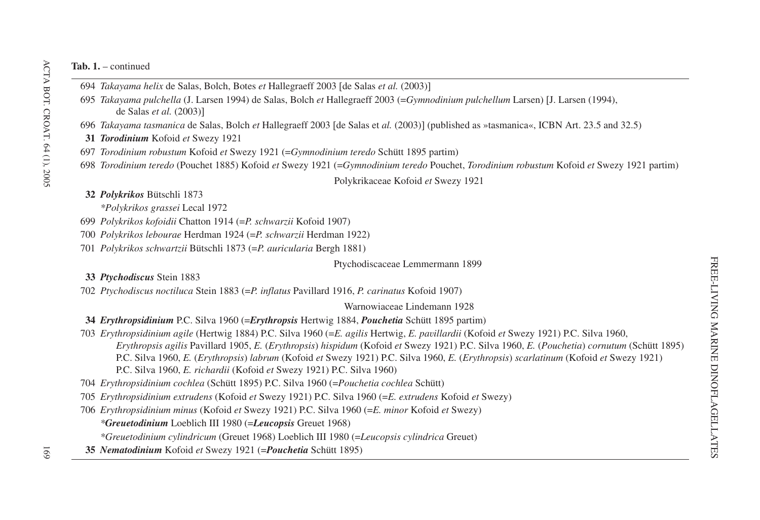- 694 *Takayama helix* de Salas, Bolch, Botes *et* Hallegraeff 2003 [de Salas *et al.* (2003)]
- 695 *Takayama pulchella* (J. Larsen 1994) de Salas, Bolch *et* Hallegraeff 2003 (=*Gymnodinium pulchellum* Larsen) J. Larsen (1994), de Salas *et al.* (2003)-
- 696 *Takayama tasmanica* de Salas, Bolch *et* Hallegraeff 2003 [de Salas et *al*. (2003)] (published as »tasmanica«, ICBN Art. 23.5 and 32.5)
- **31** *Torodinium* Kofoid *et* Swezy 1921
- 697 *Torodinium robustum* Kofoid *et* Swezy 1921 (=*Gymnodinium teredo* Schütt 1895 partim)
- 698 *Torodinium teredo* (Pouchet 1885) Kofoid *et* Swezy 1921 (=*Gymnodinium teredo* Pouchet, *Torodinium robustum* Kofoid *et* Swezy 1921 partim)

Polykrikaceae Kofoid *et* Swezy 1921

- **32** *Polykrikos* Bütschli 1873
	- *\*Polykrikos grassei* Lecal 1972
- 699 *Polykrikos kofoidii* Chatton 1914 (=*P. schwarzii* Kofoid 1907)
- 700 *Polykrikos lebourae* Herdman 1924 (=*P. schwarzii* Herdman 1922)
- 701 *Polykrikos schwartzii* Bütschli 1873 (=*P. auricularia* Bergh 1881)

Ptychodiscaceae Lemmermann 1899

**33** *Ptychodiscus* Stein 1883

702 *Ptychodiscus noctiluca* Stein 1883 (=*P. inflatus* Pavillard 1916, *P. carinatus* Kofoid 1907)

Warnowiaceae Lindemann 1928

- **34** *Erythropsidinium* P.C. Silva 1960 (=*Erythropsis* Hertwig 1884, *Pouchetia* Schütt 1895 partim)
- 703 *Erythropsidinium agile* (Hertwig 1884) P.C. Silva 1960 (=*E. agilis* Hertwig, *E. pavillardii* (Kofoid *et* Swezy 1921) P.C. Silva 1960, *Erythropsis agilis* Pavillard 1905, *E.* (*Erythropsis*) *hispidum* (Kofoid *et* Swezy 1921) P.C. Silva 1960, *E.* (*Pouchetia*) *cornutum* (Schütt 1895) P.C. Silva 1960, *E.* (*Erythropsis*) *labrum* (Kofoid *et* Swezy 1921) P.C. Silva 1960, *E.* (*Erythropsis*) *scarlatinum* (Kofoid *et* Swezy 1921) P.C. Silva 1960, *E. richardii* (Kofoid *et* Swezy 1921) P.C. Silva 1960)

704 *Erythropsidinium cochlea* (Schütt 1895) P.C. Silva 1960 (=*Pouchetia cochlea* Schütt)

705 *Erythropsidinium extrudens* (Kofoid *et* Swezy 1921) P.C. Silva 1960 (=*E. extrudens* Kofoid *et* Swezy)

- 706 *Erythropsidinium minus* (Kofoid *et* Swezy 1921) P.C. Silva 1960 (=*E. minor* Kofoid *et* Swezy) *\*Greuetodinium* Loeblich III 1980 (=*Leucopsis* Greuet 1968) *\*Greuetodinium cylindricum* (Greuet 1968) Loeblich III 1980 (=*Leucopsis cylindrica* Greuet)
	-
- **35** *Nematodinium* Kofoid *et* Swezy 1921 (=*Pouchetia* Schütt 1895)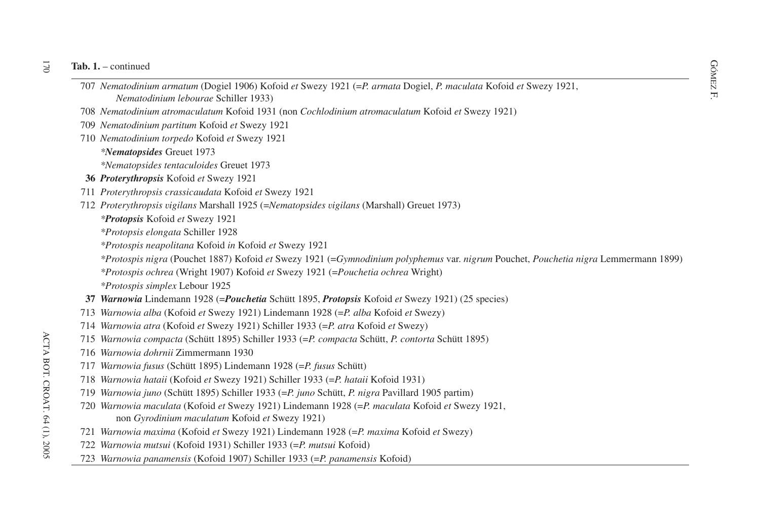- die 1. continued<br>
To 7 *Nematodinium armatum* (Dogiel 1906) Kofoid *et* Swezy 1921 (=*P. armata* Dogiel, *P. maculata* Kofoid *et* Swezy 1921, *Nematodinium lebourae* Schiller 1933)
- 708 *Nematodinium atromaculatum* Kofoid 1931 (non *Cochlodinium atromaculatum* Kofoid *et* Swezy 1921)
- 709 *Nematodinium partitum* Kofoid *et* Swezy 1921
- 710 *Nematodinium torpedo* Kofoid *et* Swezy 1921
	- *\*Nematopsides* Greuet 1973
	- *\*Nematopsides tentaculoides* Greuet 1973
- **36** *Proterythropsis* Kofoid *et* Swezy 1921
- 711 *Proterythropsis crassicaudata* Kofoid *et* Swezy 1921
- 712 *Proterythropsis vigilans* Marshall 1925 (=*Nematopsides vigilans* (Marshall) Greuet 1973)
	- *\*Protopsis* Kofoid *et* Swezy 1921
	- *\*Protopsis elongata* Schiller 1928
	- *\*Protospis neapolitana* Kofoid *in* Kofoid *et* Swezy 1921
	- *\*Protospis nigra* (Pouchet 1887) Kofoid *et* Swezy 1921 (=*Gymnodinium polyphemus* var. *nigrum* Pouchet, *Pouchetia nigra* Lemmermann 1899)
	- *\*Protospis ochrea* (Wright 1907) Kofoid *et* Swezy 1921 (=*Pouchetia ochrea* Wright)
	- *\*Protospis simplex* Lebour 1925
- **37** *Warnowia* Lindemann 1928 (=*Pouchetia* Schütt 1895, *Protopsis* Kofoid *et* Swezy 1921) (25 species)
- 713 *Warnowia alba* (Kofoid *et* Swezy 1921) Lindemann 1928 (=*P. alba* Kofoid *et* Swezy)
- 714 *Warnowia atra* (Kofoid *et* Swezy 1921) Schiller 1933 (=*P. atra* Kofoid *et* Swezy)
- 715 *Warnowia compacta* (Schütt 1895) Schiller 1933 (=*P. compacta* Schütt, *P. contorta* Schütt 1895)
- 716 *Warnowia dohrnii* Zimmermann 1930
- 717 *Warnowia fusus* (Schütt 1895) Lindemann 1928 (=*P. fusus* Schütt)
- 718 *Warnowia hataii* (Kofoid *et* Swezy 1921) Schiller 1933 (=*P. hataii* Kofoid 1931)
- 719 *Warnowia juno* (Schütt 1895) Schiller 1933 (=*P. juno* Schütt, *P. nigra* Pavillard 1905 partim)
- 720 *Warnowia maculata* (Kofoid *et* Swezy 1921) Lindemann 1928 (=*P. maculata* Kofoid *et* Swezy 1921, non *Gyrodinium maculatum* Kofoid *et* Swezy 1921)
- 721 *Warnowia maxima* (Kofoid *et* Swezy 1921) Lindemann 1928 (=*P. maxima* Kofoid *et* Swezy)
- 722 *Warnowia mutsui* (Kofoid 1931) Schiller 1933 (=*P. mutsui* Kofoid)
- 723 *Warnowia panamensis* (Kofoid 1907) Schiller 1933 (=*P. panamensis* Kofoid)

 $\overline{2}$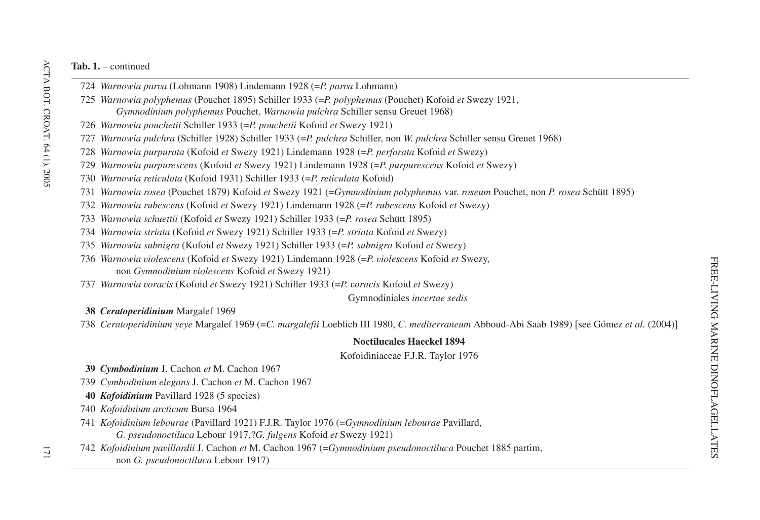- 724 *Warnowia parva* (Lohmann 1908) Lindemann 1928 (=*P. parva* Lohmann)
- 725 *Warnowia polyphemus* (Pouchet 1895) Schiller 1933 (=*P. polyphemus* (Pouchet) Kofoid *et* Swezy 1921, *Gymnodinium polyphemus* Pouchet, *Warnowia pulchra* Schiller sensu Greuet 1968)
- 726 *Warnowia pouchetii* Schiller 1933 (=*P. pouchetii* Kofoid *et* Swezy 1921)
- 727 *Warnowia pulchra* (Schiller 1928) Schiller 1933 (=*P. pulchra* Schiller, non *W. pulchra* Schiller sensu Greuet 1968)
- 728 *Warnowia purpurata* (Kofoid *et* Swezy 1921) Lindemann 1928 (=*P. perforata* Kofoid *et* Swezy)
- 729 *Warnowia purpurescens* (Kofoid *et* Swezy 1921) Lindemann 1928 (=*P. purpurescens* Kofoid *et* Swezy)
- 730 *Warnowia reticulata* (Kofoid 1931) Schiller 1933 (=*P. reticulata* Kofoid)
- 731 *Warnowia rosea* (Pouchet 1879) Kofoid *et* Swezy 1921 (=*Gymnodinium polyphemus* var. *roseum* Pouchet, non *P. rosea* Schütt 1895)
- 732 *Warnowia rubescens* (Kofoid *et* Swezy 1921) Lindemann 1928 (=*P. rubescens* Kofoid *et* Swezy)
- 733 *Warnowia schuettii* (Kofoid *et* Swezy 1921) Schiller 1933 (=*P. rosea* Schütt 1895)
- 734 *Warnowia striata* (Kofoid *et* Swezy 1921) Schiller 1933 (=*P. striata* Kofoid *et* Swezy)
- 735 *Warnowia subnigra* (Kofoid *et* Swezy 1921) Schiller 1933 (=*P. subnigra* Kofoid *et* Swezy)
- 736 *Warnowia violescens* (Kofoid *et* Swezy 1921) Lindemann 1928 (=*P. violescens* Kofoid *et* Swezy, non *Gymnodinium violescens* Kofoid *et* Swezy 1921)
- 737 *Warnowia voracis* (Kofoid *et* Swezy 1921) Schiller 1933 (=*P. voracis* Kofoid *et* Swezy)

Gymnodiniales *incertae sedis*

**38** *Ceratoperidinium* Margalef 1969

738 Ceratoperidinium yeye Margalef 1969 (=C. margalefii Loeblich III 1980, C. mediterraneum Abboud-Abi Saab 1989) [see Gómez et al. (2004)]

# **Noctilucales Haeckel 1894**

Kofoidiniaceae F.J.R. Taylor 1976

- **39** *Cymbodinium* J. Cachon *et* M. Cachon 1967
- 739 *Cymbodinium elegans* J. Cachon *et* M. Cachon 1967
- **40** *Kofoidinium* Pavillard 1928 (5 species)
- 740 *Kofoidinium arcticum* Bursa 1964
- 741 *Kofoidinium lebourae* (Pavillard 1921) F.J.R. Taylor 1976 (=*Gymnodinium lebourae* Pavillard, *G. pseudonoctiluca* Lebour 1917,?*G. fulgens* Kofoid *et* Swezy 1921)
- 742 *Kofoidinium pavillardii* J. Cachon *et* M. Cachon 1967 (=*Gymnodinium pseudonoctiluca* Pouchet 1885 partim, non *G. pseudonoctiluca* Lebour 1917)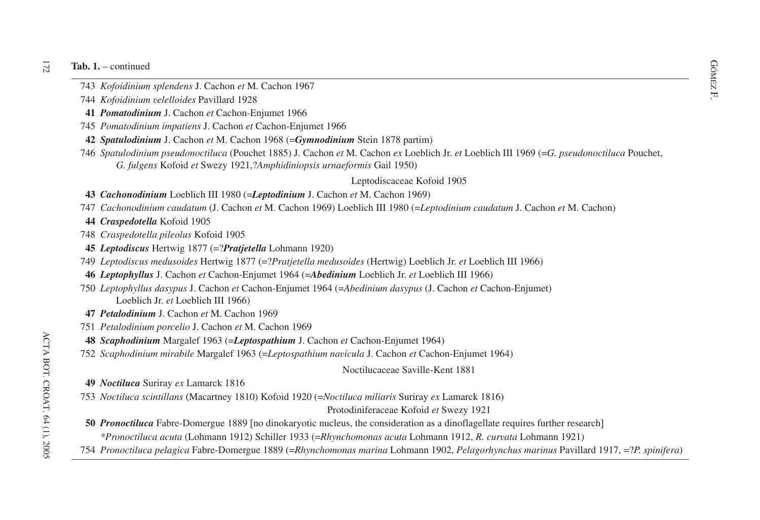- 1. continued<br>
The Mathematics of Society<br>
The Mathematics of M. Cachon 1967<br>
The Mathematics of Society<br>
The Mathematics of Society<br>
The Mathematics of Society<br>
The Mathematics of Society<br>
The Mathematics of Society<br>
The
- *Kofoidinium velelloides* Pavillard 1928
- *Pomatodinium* J. Cachon *et* Cachon-Enjumet 1966
- *Pomatodinium impatiens* J. Cachon *et* Cachon-Enjumet 1966
- *Spatulodinium* J. Cachon *et* M. Cachon 1968 (=*Gymnodinium* Stein 1878 partim)
- *Spatulodinium pseudonoctiluca* (Pouchet 1885) J. Cachon *et* M. Cachon *ex* Loeblich Jr. *et* Loeblich III 1969 (=*G. pseudonoctiluca* Pouchet, *G. fulgens* Kofoid *et* Swezy 1921,?*Amphidiniopsis urnaeformis* Gail 1950)

# Leptodiscaceae Kofoid 1905

# *Cachonodinium* Loeblich III 1980 (=*Leptodinium* J. Cachon *et* M. Cachon 1969)

- *Cachonodinium caudatum* (J. Cachon *et* M. Cachon 1969) Loeblich III 1980 (=*Leptodinium caudatum* J. Cachon *et* M. Cachon)
- *Craspedotella* Kofoid 1905
- *Craspedotella pileolus* Kofoid 1905
- *Leptodiscus* Hertwig 1877 (=?*Pratjetella* Lohmann 1920)
- *Leptodiscus medusoides* Hertwig 1877 (=?*Pratjetella medusoides* (Hertwig) Loeblich Jr. *et* Loeblich III 1966)
- *Leptophyllus* J. Cachon *et* Cachon-Enjumet 1964 (=*Abedinium* Loeblich Jr. *et* Loeblich III 1966)
- *Leptophyllus dasypus* J. Cachon *et* Cachon-Enjumet 1964 (=*Abedinium dasypus* (J. Cachon *et* Cachon-Enjumet) Loeblich Jr. *et* Loeblich III 1966)
- *Petalodinium* J. Cachon *et* M. Cachon 1969
- *Petalodinium porcelio* J. Cachon *et* M. Cachon 1969
- *Scaphodinium* Margalef 1963 (=*Leptospathium* J. Cachon *et* Cachon-Enjumet 1964)
- *Scaphodinium mirabile* Margalef 1963 (=*Leptospathium navicula* J. Cachon *et* Cachon-Enjumet 1964)

Noctilucaceae Saville-Kent 1881

- *Noctiluca* Suriray *ex* Lamarck 1816
- *Noctiluca scintillans* (Macartney 1810) Kofoid 1920 (=*Noctiluca miliaris* Suriray *ex* Lamarck 1816)

# Protodiniferaceae Kofoid *et* Swezy 1921

- *Pronoctiluca* Fabre-Domergue 1889 [no dinokaryotic nucleus, the consideration as a dinoflagellate requires further research] *\*Pronoctiluca acuta* (Lohmann 1912) Schiller 1933 (=*Rhynchomonas acuta* Lohmann 1912, *R. curvata* Lohmann 1921)
- 754 Pronoctiluca pelagica Fabre-Domergue 1889 (=Rhynchomonas marina Lohmann 1902, Pelagorhynchus marinus Pavillard 1917, =?P. spinifera)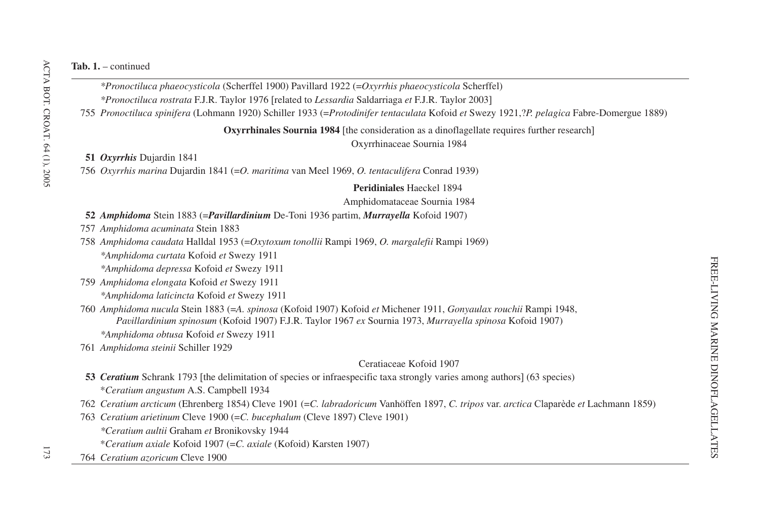*\*Pronoctiluca phaeocysticola* (Scherffel 1900) Pavillard 1922 (=*Oxyrrhis phaeocysticola* Scherffel) *\*Pronoctiluca rostrata* F.J.R. Taylor 1976 [related to *Lessardia* Saldarriaga *et* F.J.R. Taylor 2003]

755 *Pronoctiluca spinifera* (Lohmann 1920) Schiller 1933 (=*Protodinifer tentaculata* Kofoid *et* Swezy 1921,?*P. pelagica* Fabre-Domergue 1889)

**Oxyrrhinales Sournia 1984** [the consideration as a dinoflagellate requires further research]

Oxyrrhinaceae Sournia 1984

**51** *Oxyrrhis* Dujardin 1841

756 *Oxyrrhis marina* Dujardin 1841 (=*O. maritima* van Meel 1969, *O. tentaculifera* Conrad 1939)

**Peridiniales** Haeckel 1894

Amphidomataceae Sournia 1984

### **52** *Amphidoma* Stein 1883 (=*Pavillardinium* De-Toni 1936 partim, *Murrayella* Kofoid 1907)

757 *Amphidoma acuminata* Stein 1883

758 *Amphidoma caudata* Halldal 1953 (=*Oxytoxum tonollii* Rampi 1969, *O. margalefii* Rampi 1969) *\*Amphidoma curtata* Kofoid *et* Swezy 1911

*\*Amphidoma depressa* Kofoid *et* Swezy 1911

759 *Amphidoma elongata* Kofoid *et* Swezy 1911 *\*Amphidoma laticincta* Kofoid *et* Swezy 1911

760 *Amphidoma nucula* Stein 1883 (=*A. spinosa* (Kofoid 1907) Kofoid *et* Michener 1911, *Gonyaulax rouchii* Rampi 1948, *Pavillardinium spinosum* (Kofoid 1907) F.J.R. Taylor 1967 *ex* Sournia 1973, *Murrayella spinosa* Kofoid 1907) *\*Amphidoma obtusa* Kofoid *et* Swezy 1911

761 *Amphidoma steinii* Schiller 1929

### Ceratiaceae Kofoid 1907

- **53** *Ceratium* Schrank 1793 [the delimitation of species or infraespecific taxa strongly varies among authors] (63 species) \**Ceratium angustum* A.S. Campbell 1934
- 762 *Ceratium arcticum* (Ehrenberg 1854) Cleve 1901 (=*C. labradoricum* Vanhöffen 1897, *C. tripos* var. *arctica* Claparède *et* Lachmann 1859)
- 763 *Ceratium arietinum* Cleve 1900 (=*C. bucephalum* (Cleve 1897) Cleve 1901) *\*Ceratium aultii* Graham *et* Bronikovsky 1944
	- \**Ceratium axiale* Kofoid 1907 (=*C. axiale* (Kofoid) Karsten 1907)
- 764 *Ceratium azoricum* Cleve 1900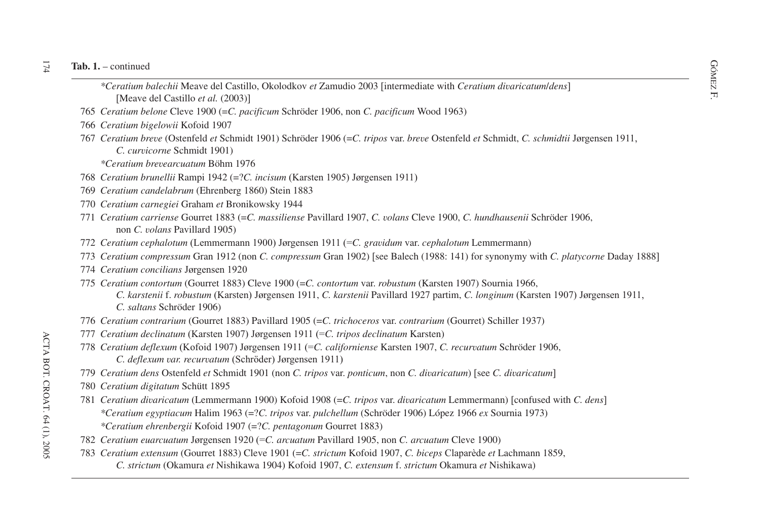- ontinued<br>
Forceratium *balechii* Meave del Castillo, Okolodkov *et* Zamudio 2003 [intermediate with *Ceratium divaricatum/dens*] Meave del Castillo *et al.* (2003)-
- 765 *Ceratium belone* Cleve 1900 (=*C. pacificum* Schröder 1906, non *C. pacificum* Wood 1963)
- 766 *Ceratium bigelowii* Kofoid 1907
- 767 *Ceratium breve* (Ostenfeld *et* Schmidt 1901) Schröder 1906 (=*C. tripos* var. *breve* Ostenfeld *et* Schmidt, *C. schmidtii* Jørgensen 1911, *C. curvicorne* Schmidt 1901)
	- *\*Ceratium brevearcuatum* Böhm 1976
- 768 *Ceratium brunellii* Rampi 1942 (=?*C. incisum* (Karsten 1905) Jørgensen 1911)
- 769 *Ceratium candelabrum* (Ehrenberg 1860) Stein 1883
- 770 *Ceratium carnegiei* Graham *et* Bronikowsky 1944
- 771 *Ceratium carriense* Gourret 1883 (=*C. massiliense* Pavillard 1907, *C. volans* Cleve 1900, *C. hundhausenii* Schröder 1906, non *C. volans* Pavillard 1905)
- 772 *Ceratium cephalotum* (Lemmermann 1900) Jørgensen 1911 (=*C. gravidum* var. *cephalotum* Lemmermann)
- 773 *Ceratium compressum* Gran 1912 (non *C. compressum* Gran 1902) [see Balech (1988: 141) for synonymy with *C. platycorne* Daday 1888]
- 774 *Ceratium concilians* Jørgensen 1920
- 775 *Ceratium contortum* (Gourret 1883) Cleve 1900 (=*C. contortum* var. *robustum* (Karsten 1907) Sournia 1966, *C. karstenii* f. *robustum* (Karsten) Jørgensen 1911, *C. karstenii* Pavillard 1927 partim, *C. longinum* (Karsten 1907) Jørgensen 1911, *C. saltans* Schröder 1906)
- 776 *Ceratium contrarium* (Gourret 1883) Pavillard 1905 (=*C. trichoceros* var. *contrarium* (Gourret) Schiller 1937)
- 777 *Ceratium declinatum* (Karsten 1907) Jørgensen 1911 (=*C. tripos declinatum* Karsten)
- 778 *Ceratium deflexum* (Kofoid 1907) Jørgensen 1911 (=*C. californiense* Karsten 1907, *C. recurvatum* Schröder 1906, *C. deflexum var. recurvatum* (Schröder) Jørgensen 1911)
- 779 *Ceratium dens* Ostenfeld *et* Schmidt 1901 (non *C. tripos* var. *ponticum*, non *C. divaricatum*) see *C. divaricatum*-
- 780 *Ceratium digitatum* Schütt 1895
- 781 *Ceratium divaricatum* (Lemmermann 1900) Kofoid 1908 (=*C. tripos* var. *divaricatum* Lemmermann) confused with *C. dens \*Ceratium egyptiacum* Halim 1963 (=?*C. tripos* var. *pulchellum* (Schröder 1906) López 1966 *ex* Sournia 1973) *\*Ceratium ehrenbergii* Kofoid 1907 (=?*C. pentagonum* Gourret 1883)
- 782 *Ceratium euarcuatum* Jørgensen 1920 (=*C. arcuatum* Pavillard 1905, non *C. arcuatum* Cleve 1900)
- 783 *Ceratium extensum* (Gourret 1883) Cleve 1901 (=*C. strictum* Kofoid 1907, *C. biceps* Claparède *et* Lachmann 1859, *C. strictum* (Okamura *et* Nishikawa 1904) Kofoid 1907, *C. extensum* f. *strictum* Okamura *et* Nishikawa)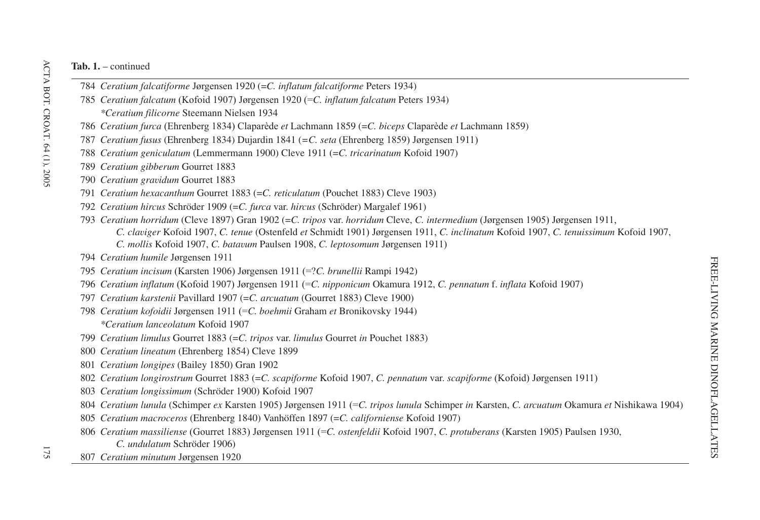- *Ceratium falcatiforme* Jørgensen 1920 (=*C. inflatum falcatiforme* Peters 1934)
- *Ceratium falcatum* (Kofoid 1907) Jørgensen 1920 (=*C. inflatum falcatum* Peters 1934) *\*Ceratium filicorne* Steemann Nielsen 1934
- *Ceratium furca* (Ehrenberg 1834) Claparède *et* Lachmann 1859 (=*C. biceps* Claparède *et* Lachmann 1859)
- *Ceratium fusus* (Ehrenberg 1834) Dujardin 1841 (*=C. seta* (Ehrenberg 1859) Jørgensen 1911)
- *Ceratium geniculatum* (Lemmermann 1900) Cleve 1911 (=*C. tricarinatum* Kofoid 1907)
- *Ceratium gibberum* Gourret 1883
- *Ceratium gravidum* Gourret 1883
- *Ceratium hexacanthum* Gourret 1883 (=*C. reticulatum* (Pouchet 1883) Cleve 1903)
- *Ceratium hircus* Schröder 1909 (=*C. furca* var. *hircus* (Schröder) Margalef 1961)
- *Ceratium horridum* (Cleve 1897) Gran 1902 (=*C. tripos* var. *horridum* Cleve, *C. intermedium* (Jørgensen 1905) Jørgensen 1911, *C. claviger* Kofoid 1907, *C. tenue* (Ostenfeld *et* Schmidt 1901) Jørgensen 1911, *C. inclinatum* Kofoid 1907, *C. tenuissimum* Kofoid 1907, *C. mollis* Kofoid 1907, *C. batavum* Paulsen 1908, *C. leptosomum* Jørgensen 1911)
- *Ceratium humile* Jørgensen 1911
- *Ceratium incisum* (Karsten 1906) Jørgensen 1911 (=?*C. brunellii* Rampi 1942)
- *Ceratium inflatum* (Kofoid 1907) Jørgensen 1911 (=*C. nipponicum* Okamura 1912, *C. pennatum* f. *inflata* Kofoid 1907)
- *Ceratium karstenii* Pavillard 1907 (=*C. arcuatum* (Gourret 1883) Cleve 1900)
- *Ceratium kofoidii* Jørgensen 1911 (=*C. boehmii* Graham *et* Bronikovsky 1944) *\*Ceratium lanceolatum* Kofoid 1907
- *Ceratium limulus* Gourret 1883 (=*C. tripos* var. *limulus* Gourret *in* Pouchet 1883)
- *Ceratium lineatum* (Ehrenberg 1854) Cleve 1899
- *Ceratium longipes* (Bailey 1850) Gran 1902
- *Ceratium longirostrum* Gourret 1883 (=*C. scapiforme* Kofoid 1907, *C. pennatum* var. *scapiforme* (Kofoid) Jørgensen 1911)
- *Ceratium longissimum* (Schröder 1900) Kofoid 1907
- 804 Ceratium lunula (Schimper ex Karsten 1905) Jørgensen 1911 (=C. tripos lunula Schimper in Karsten, C. arcuatum Okamura et Nishikawa 1904)
- *Ceratium macroceros* (Ehrenberg 1840) Vanhöffen 1897 (=*C. californiense* Kofoid 1907)
- *Ceratium massiliense* (Gourret 1883) Jørgensen 1911 (=*C. ostenfeldii* Kofoid 1907, *C. protuberans* (Karsten 1905) Paulsen 1930, *C. undulatum* Schröder 1906)
- *Ceratium minutum* Jørgensen 1920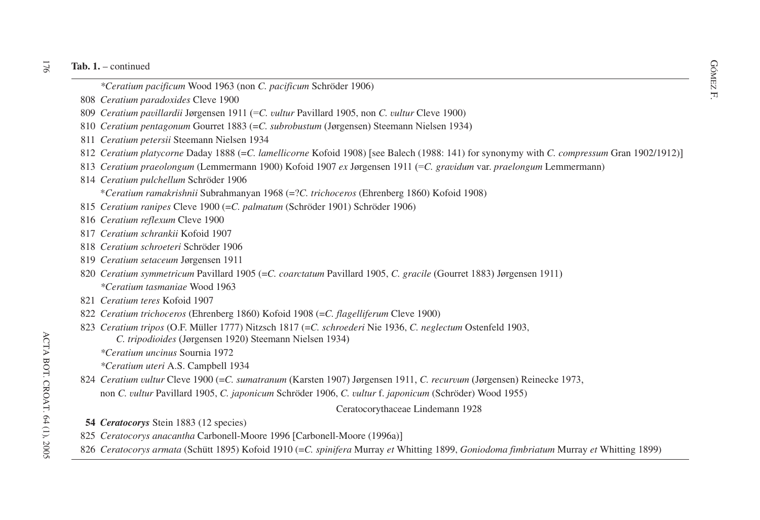- $-$  continued<br>
\*Ceratium pacificum Wood 1963 (non *C. pacificum* Schröder 1906)<br>
Government of the contract of the contract of the contract of the contract of the contract of the contract of the contract of the contract of
- F. *Ceratium paradoxides* Cleve 1900
- *Ceratium pavillardii* Jørgensen 1911 (=*C. vultur* Pavillard 1905, non *C. vultur* Cleve 1900)
- *Ceratium pentagonum* Gourret 1883 (=*C. subrobustum* (Jørgensen) Steemann Nielsen 1934)
- *Ceratium petersii* Steemann Nielsen 1934
- *Ceratium platycorne* Daday 1888 (=C. *lamellicorne* Kofoid 1908) [see Balech (1988: 141) for synonymy with *C. compressum* Gran 1902/1912)]
- *Ceratium praeolongum* (Lemmermann 1900) Kofoid 1907 *ex* Jørgensen 1911 (=*C. gravidum* var. *praelongum* Lemmermann)
- *Ceratium pulchellum* Schröder 1906

\**Ceratium ramakrishnii* Subrahmanyan 1968 (=?*C. trichoceros* (Ehrenberg 1860) Kofoid 1908)

- *Ceratium ranipes* Cleve 1900 (=*C. palmatum* (Schröder 1901) Schröder 1906)
- *Ceratium reflexum* Cleve 1900
- *Ceratium schrankii* Kofoid 1907
- *Ceratium schroeteri* Schröder 1906
- *Ceratium setaceum* Jørgensen 1911
- *Ceratium symmetricum* Pavillard 1905 (=*C. coarctatum* Pavillard 1905, *C. gracile* (Gourret 1883) Jørgensen 1911) *\*Ceratium tasmaniae* Wood 1963
- *Ceratium teres* Kofoid 1907
- *Ceratium trichoceros* (Ehrenberg 1860) Kofoid 1908 (=*C. flagelliferum* Cleve 1900)
- *Ceratium tripos* (O.F. Müller 1777) Nitzsch 1817 (=*C. schroederi* Nie 1936, *C. neglectum* Ostenfeld 1903, *C. tripodioides* (Jørgensen 1920) Steemann Nielsen 1934)
	- *\*Ceratium uncinus* Sournia 1972
	- *\*Ceratium uteri* A.S. Campbell 1934
- *Ceratium vultur* Cleve 1900 (=*C. sumatranum* (Karsten 1907) Jørgensen 1911, *C. recurvum* (Jørgensen) Reinecke 1973, non *C. vultur* Pavillard 1905, *C. japonicum* Schröder 1906, *C. vultur* f. *japonicum* (Schröder) Wood 1955)

### Ceratocorythaceae Lindemann 1928

- *Ceratocorys* Stein 1883 (12 species)
- *Ceratocorys anacantha* Carbonell-Moore 1996 Carbonell-Moore (1996a)-
- *Ceratocorys armata* (Schütt 1895) Kofoid 1910 (=*C. spinifera* Murray *et* Whitting 1899, *Goniodoma fimbriatum* Murray *et* Whitting 1899)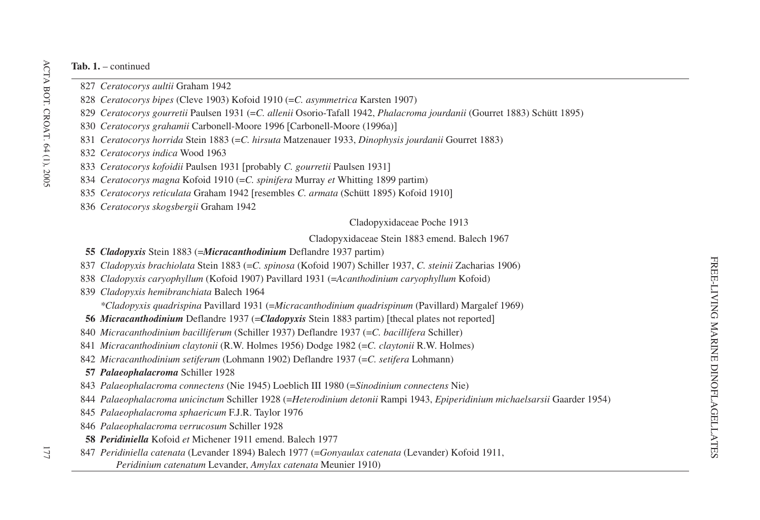- *Ceratocorys aultii* Graham 1942
- *Ceratocorys bipes* (Cleve 1903) Kofoid 1910 (=*C. asymmetrica* Karsten 1907)
- *Ceratocorys gourretii* Paulsen 1931 (=*C. allenii* Osorio-Tafall 1942, *Phalacroma jourdanii* (Gourret 1883) Schütt 1895)
- *Ceratocorys grahamii* Carbonell-Moore 1996 Carbonell-Moore (1996a)-
- *Ceratocorys horrida* Stein 1883 (=*C. hirsuta* Matzenauer 1933, *Dinophysis jourdanii* Gourret 1883)
- *Ceratocorys indica* Wood 1963
- *Ceratocorys kofoidii* Paulsen 1931 probably *C. gourretii* Paulsen 1931-
- *Ceratocorys magna* Kofoid 1910 (=*C. spinifera* Murray *et* Whitting 1899 partim)
- *Ceratocorys reticulata* Graham 1942 [resembles *C. armata* (Schütt 1895) Kofoid 1910]
- *Ceratocorys skogsbergii* Graham 1942

Cladopyxidaceae Poche 1913

Cladopyxidaceae Stein 1883 emend. Balech 1967

- *Cladopyxis* Stein 1883 (=*Micracanthodinium* Deflandre 1937 partim)
- *Cladopyxis brachiolata* Stein 1883 (=*C. spinosa* (Kofoid 1907) Schiller 1937, *C. steinii* Zacharias 1906)
- *Cladopyxis caryophyllum* (Kofoid 1907) Pavillard 1931 (=*Acanthodinium caryophyllum* Kofoid)
- *Cladopyxis hemibranchiata* Balech 1964

*\*Cladopyxis quadrispina* Pavillard 1931 (=*Micracanthodinium quadrispinum* (Pavillard) Margalef 1969)

- *Micracanthodinium* Deflandre 1937 (= *Cladopyxis* Stein 1883 partim) [thecal plates not reported]
- *Micracanthodinium bacilliferum* (Schiller 1937) Deflandre 1937 (=*C. bacillifera* Schiller)
- *Micracanthodinium claytonii* (R.W. Holmes 1956) Dodge 1982 (=*C. claytonii* R.W. Holmes)
- *Micracanthodinium setiferum* (Lohmann 1902) Deflandre 1937 (=*C. setifera* Lohmann)

# *Palaeophalacroma* Schiller 1928

- *Palaeophalacroma connectens* (Nie 1945) Loeblich III 1980 (=*Sinodinium connectens* Nie)
- *Palaeophalacroma unicinctum* Schiller 1928 (=*Heterodinium detonii* Rampi 1943, *Epiperidinium michaelsarsii* Gaarder 1954)
- *Palaeophalacroma sphaericum* F.J.R. Taylor 1976
- *Palaeophalacroma verrucosum* Schiller 1928
- *Peridiniella* Kofoid *et* Michener 1911 emend. Balech 1977
- *Peridiniella catenata* (Levander 1894) Balech 1977 (=*Gonyaulax catenata* (Levander) Kofoid 1911,
	- *Peridinium catenatum* Levander, *Amylax catenata* Meunier 1910)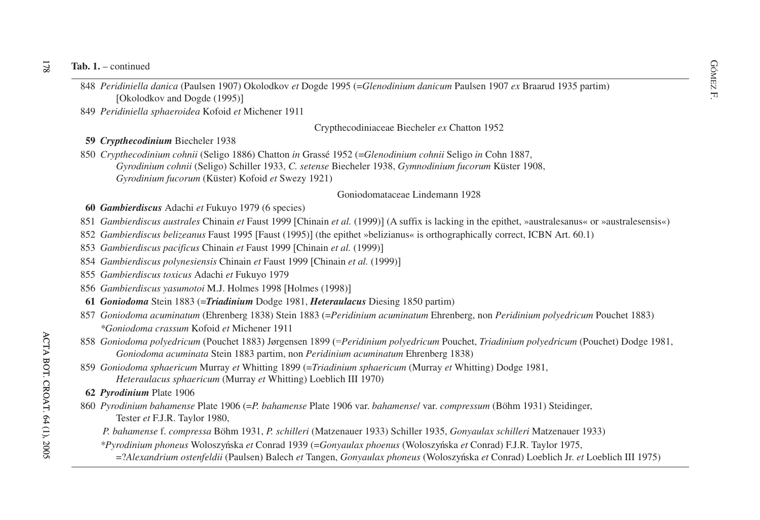#### $\overline{21}$ **Tab. 1.** – continued

dia 1. – continued<br>
Society and are all the Dogde 1995 (*Glenodinium danicum* Paulsen 1907 *ex* Braarud 1935 partim)<br>
Social danica (Paulsen 1907) Okolodkov *et* Dogde 1995 (*Glenodinium danicum* Paulsen 1907 *ex* Braarud [Okolodkov and Dogde (1995)]

849 *Peridiniella sphaeroidea* Kofoid *et* Michener 1911

### Crypthecodiniaceae Biecheler *ex* Chatton 1952

## **59** *Crypthecodinium* Biecheler 1938

850 *Crypthecodinium cohnii* (Seligo 1886) Chatton *in* Grassé 1952 (=*Glenodinium cohnii* Seligo *in* Cohn 1887,

- *Gyrodinium cohnii* (Seligo) Schiller 1933, *C. setense* Biecheler 1938, *Gymnodinium fucorum* Küster 1908,
- *Gyrodinium fucorum* (Küster) Kofoid *et* Swezy 1921)

### Goniodomataceae Lindemann 1928

## **60** *Gambierdiscus* Adachi *et* Fukuyo 1979 (6 species)

- 851 *Gambierdiscus australes* Chinain *et* Faust 1999 [Chinain *et al.* (1999)] (A suffix is lacking in the epithet, »australesanus« or »australesensis«)
- 852 *Gambierdiscus belizeanus* Faust 1995 [Faust (1995)] (the epithet »belizianus« is orthographically correct, ICBN Art. 60.1)
- 853 *Gambierdiscus pacificus* Chinain *et* Faust 1999 Chinain *et al.* (1999)-
- 854 *Gambierdiscus polynesiensis* Chinain *et* Faust 1999 Chinain *et al.* (1999)-
- 855 *Gambierdiscus toxicus* Adachi *et* Fukuyo 1979
- 856 *Gambierdiscus yasumotoi* M.J. Holmes 1998 Holmes (1998)-
- **61** *Goniodoma* Stein 1883 (=*Triadinium* Dodge 1981, *Heteraulacus* Diesing 1850 partim)
- 857 *Goniodoma acuminatum* (Ehrenberg 1838) Stein 1883 (=*Peridinium acuminatum* Ehrenberg, non *Peridinium polyedricum* Pouchet 1883) *\*Goniodoma crassum* Kofoid *et* Michener 1911
- 858 *Goniodoma polyedricum* (Pouchet 1883) Jørgensen 1899 (=*Peridinium polyedricum* Pouchet, *Triadinium polyedricum* (Pouchet) Dodge 1981, *Goniodoma acuminata* Stein 1883 partim, non *Peridinium acuminatum* Ehrenberg 1838)
- 859 *Goniodoma sphaericum* Murray *et* Whitting 1899 (=*Triadinium sphaericum* (Murray *et* Whitting) Dodge 1981, *Heteraulacus sphaericum* (Murray *et* Whitting) Loeblich III 1970)
- **62** *Pyrodinium* Plate 1906
- 860 *Pyrodinium bahamense* Plate 1906 (=*P. bahamense* Plate 1906 var. *bahamense*/ var. *compressum* (Böhm 1931) Steidinger, Tester *et* F.J.R. Taylor 1980,
	- *P. bahamense* f. *compressa* Böhm 1931, *P. schilleri* (Matzenauer 1933) Schiller 1935, *Gonyaulax schilleri* Matzenauer 1933)
	- *\*Pyrodinium phoneus* Woloszy<sup>b</sup>nska *et* Conrad 1939 (=*Gonyaulax phoenus* (Woloszy<sup>b</sup>nska *et* Conrad) F.J.R. Taylor 1975,
		- $=$ ?*Alexandrium ostenfeldii* (Paulsen) Balech *et* Tangen, *Gonyaulax phoneus* (Woloszyńska *et* Conrad) Loeblich Jr. *et* Loeblich III 1975)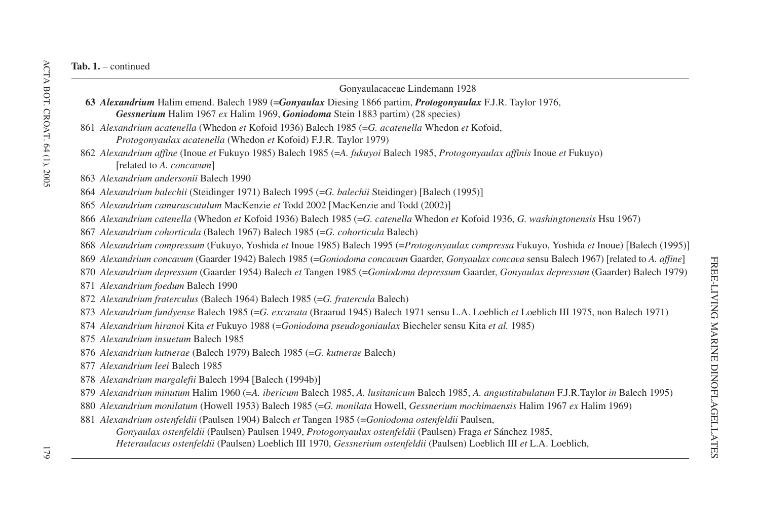| Gonyaulacaceae Lindemann 1928                                                                                                                 |
|-----------------------------------------------------------------------------------------------------------------------------------------------|
| 63 Alexandrium Halim emend. Balech 1989 (=Gonyaulax Diesing 1866 partim, Protogonyaulax F.J.R. Taylor 1976,                                   |
| Gessnerium Halim 1967 ex Halim 1969, Goniodoma Stein 1883 partim) (28 species)                                                                |
| 861 Alexandrium acatenella (Whedon et Kofoid 1936) Balech 1985 (=G. acatenella Whedon et Kofoid,                                              |
| <i>Protogonyaulax acatenella</i> (Whedon et Kofoid) F.J.R. Taylor 1979)                                                                       |
| 862 Alexandrium affine (Inoue et Fukuyo 1985) Balech 1985 (=A. fukuyoi Balech 1985, Protogonyaulax affinis Inoue et Fukuyo)                   |
| [related to A. concavum]                                                                                                                      |
| 863 Alexandrium andersonii Balech 1990                                                                                                        |
| 864 Alexandrium balechii (Steidinger 1971) Balech 1995 (=G. balechii Steidinger) [Balech (1995)]                                              |
| 865 Alexandrium camurascutulum MacKenzie et Todd 2002 [MacKenzie and Todd (2002)]                                                             |
| 866 Alexandrium catenella (Whedon et Kofoid 1936) Balech 1985 (=G. catenella Whedon et Kofoid 1936, G. washingtonensis Hsu 1967)              |
| 867 Alexandrium cohorticula (Balech 1967) Balech 1985 (=G. cohorticula Balech)                                                                |
| 868 Alexandrium compressum (Fukuyo, Yoshida et Inoue 1985) Balech 1995 (=Protogonyaulax compressa Fukuyo, Yoshida et Inoue) [Balech (1995)]   |
| 869 Alexandrium concavum (Gaarder 1942) Balech 1985 (=Goniodoma concavum Gaarder, Gonyaulax concava sensu Balech 1967) [related to A. affine] |
| 870 Alexandrium depressum (Gaarder 1954) Balech et Tangen 1985 (=Goniodoma depressum Gaarder, Gonyaulax depressum (Gaarder) Balech 1979)      |
| 871 Alexandrium foedum Balech 1990                                                                                                            |
| 872 Alexandrium fraterculus (Balech 1964) Balech 1985 (=G. fratercula Balech)                                                                 |
| 873 Alexandrium fundyense Balech 1985 (=G. excavata (Braarud 1945) Balech 1971 sensu L.A. Loeblich et Loeblich III 1975, non Balech 1971)     |
| 874 Alexandrium hiranoi Kita et Fukuyo 1988 (=Goniodoma pseudogoniaulax Biecheler sensu Kita et al. 1985)                                     |
| 875 Alexandrium insuetum Balech 1985                                                                                                          |
| 876 Alexandrium kutnerae (Balech 1979) Balech 1985 (=G. kutnerae Balech)                                                                      |
| 877 Alexandrium leei Balech 1985                                                                                                              |
| 878 Alexandrium margalefii Balech 1994 [Balech (1994b)]                                                                                       |
| 879 Alexandrium minutum Halim 1960 (=A. ibericum Balech 1985, A. lusitanicum Balech 1985, A. angustitabulatum F.J.R.Taylor in Balech 1995)    |
| 880 Alexandrium monilatum (Howell 1953) Balech 1985 (=G. monilata Howell, Gessnerium mochimaensis Halim 1967 ex Halim 1969)                   |
| 881 Alexandrium ostenfeldii (Paulsen 1904) Balech et Tangen 1985 (=Goniodoma ostenfeldii Paulsen,                                             |
| Gonyaulax ostenfeldii (Paulsen) Paulsen 1949, Protogonyaulax ostenfeldii (Paulsen) Fraga et Sánchez 1985,                                     |
| Heteraulacus ostenfeldii (Paulsen) Loeblich III 1970, Gessnerium ostenfeldii (Paulsen) Loeblich III et L.A. Loeblich,                         |
|                                                                                                                                               |

FREE-LIVING MARINE DINOFLAGELLATES

FREE-LIVING MARINE DINOFLAGELLATES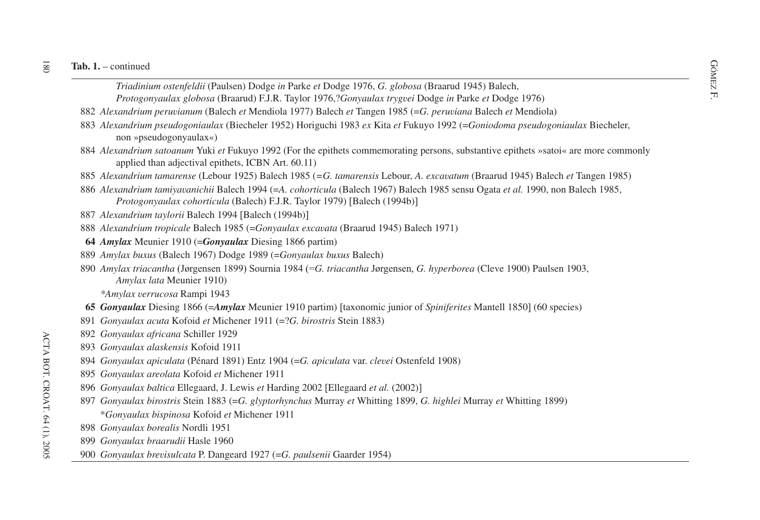- ontinued<br>
Triadinium ostenfeldii (Paulsen) Dodge *in* Parke *et* Dodge 1976, *G. globosa* (Braarud 1945) Balech,<br>
S *Protogonyaulax globosa* (Braarud) F.J.R. Taylor 1976,?*Gonyaulax trygvei* Dodge *in* Parke *et* Dodge 1976)
- *Alexandrium peruvianum* (Balech *et* Mendiola 1977) Balech *et* Tangen 1985 (=*G. peruviana* Balech *et* Mendiola)
- *Alexandrium pseudogoniaulax* (Biecheler 1952) Horiguchi 1983 *ex* Kita *et* Fukuyo 1992 (=*Goniodoma pseudogoniaulax* Biecheler, non »pseudogonyaulax«)
- *Alexandrium satoanum* Yuki *et* Fukuyo 1992 (For the epithets commemorating persons, substantive epithets »satoi« are more commonly applied than adjectival epithets, ICBN Art. 60.11)
- *Alexandrium tamarense* (Lebour 1925) Balech 1985 (*=G. tamarensis* Lebour, *A. excavatum* (Braarud 1945) Balech *et* Tangen 1985)
- *Alexandrium tamiyavanichii* Balech 1994 (=*A. cohorticula* (Balech 1967) Balech 1985 sensu Ogata *et al.* 1990, non Balech 1985, *Protogonyaulax cohorticula* (Balech) F.J.R. Taylor 1979) [Balech (1994b)]
- *Alexandrium taylorii* Balech 1994 [Balech (1994b)]
- *Alexandrium tropicale* Balech 1985 (=*Gonyaulax excavata* (Braarud 1945) Balech 1971)
- *Amylax* Meunier 1910 (=*Gonyaulax* Diesing 1866 partim)
- *Amylax buxus* (Balech 1967) Dodge 1989 (=*Gonyaulax buxus* Balech)
- *Amylax triacantha* (Jørgensen 1899) Sournia 1984 (=*G. triacantha* Jørgensen, *G. hyperborea* (Cleve 1900) Paulsen 1903, *Amylax lata* Meunier 1910)

*\*Amylax verrucosa* Rampi 1943

- *Gonyaulax* Diesing 1866 (=*Amylax* Meunier 1910 partim) [taxonomic junior of *Spiniferites* Mantell 1850] (60 species)
- *Gonyaulax acuta* Kofoid *et* Michener 1911 (=?*G. birostris* Stein 1883)
- *Gonyaulax africana* Schiller 1929
- *Gonyaulax alaskensis* Kofoid 1911
- *Gonyaulax apiculata* (Pénard 1891) Entz 1904 (=*G. apiculata* var. *clevei* Ostenfeld 1908)
- *Gonyaulax areolata* Kofoid *et* Michener 1911
- *Gonyaulax baltica* Ellegaard, J. Lewis *et* Harding 2002 Ellegaard *et al.* (2002)-
- *Gonyaulax birostris* Stein 1883 (=*G. glyptorhynchus* Murray *et* Whitting 1899, *G. highlei* Murray *et* Whitting 1899) \**Gonyaulax bispinosa* Kofoid *et* Michener 1911
- *Gonyaulax borealis* Nordli 1951
- *Gonyaulax braarudii* Hasle 1960
- *Gonyaulax brevisulcata* P. Dangeard 1927 (=*G. paulsenii* Gaarder 1954)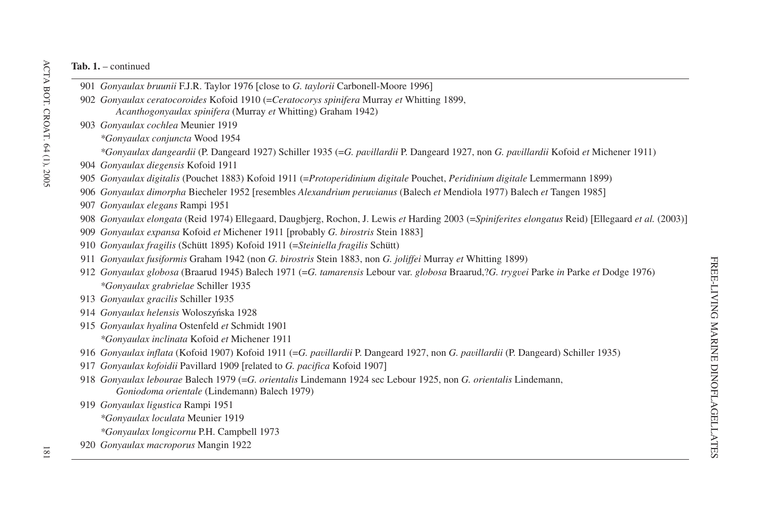- *Gonyaulax bruunii* F.J.R. Taylor 1976 close to *G. taylorii* Carbonell-Moore 1996-
- *Gonyaulax ceratocoroides* Kofoid 1910 (=*Ceratocorys spinifera* Murray *et* Whitting 1899, *Acanthogonyaulax spinifera* (Murray *et* Whitting) Graham 1942)
- *Gonyaulax cochlea* Meunier 1919
	- *\*Gonyaulax conjuncta* Wood 1954
	- *\*Gonyaulax dangeardii* (P. Dangeard 1927) Schiller 1935 (=*G. pavillardii* P. Dangeard 1927, non *G. pavillardii* Kofoid *et* Michener 1911)
- *Gonyaulax diegensis* Kofoid 1911
- *Gonyaulax digitalis* (Pouchet 1883) Kofoid 1911 (=*Protoperidinium digitale* Pouchet, *Peridinium digitale* Lemmermann 1899)
- *Gonyaulax dimorpha* Biecheler 1952 resembles *Alexandrium peruvianus* (Balech *et* Mendiola 1977) Balech *et* Tangen 1985-
- *Gonyaulax elegans* Rampi 1951
- *Gonyaulax elongata* (Reid 1974) Ellegaard, Daugbjerg, Rochon, J. Lewis *et* Harding 2003 (=*Spiniferites elongatus* Reid) Ellegaard *et al.* (2003)-
- *Gonyaulax expansa* Kofoid *et* Michener 1911 probably *G. birostris* Stein 1883-
- *Gonyaulax fragilis* (Schütt 1895) Kofoid 1911 (=*Steiniella fragilis* Schütt)
- *Gonyaulax fusiformis* Graham 1942 (non *G. birostris* Stein 1883, non *G. joliffei* Murray *et* Whitting 1899)
- *Gonyaulax globosa* (Braarud 1945) Balech 1971 (=*G. tamarensis* Lebour var. *globosa* Braarud,?*G. trygvei* Parke *in* Parke *et* Dodge 1976) *\*Gonyaulax grabrielae* Schiller 1935
- *Gonyaulax gracilis* Schiller 1935
- *Gonyaulax helensis* Woloszyńska 1928
- *Gonyaulax hyalina* Ostenfeld *et* Schmidt 1901
	- *\*Gonyaulax inclinata* Kofoid *et* Michener 1911
- *Gonyaulax inflata* (Kofoid 1907) Kofoid 1911 (=*G. pavillardii* P. Dangeard 1927, non *G. pavillardii* (P. Dangeard) Schiller 1935)
- *Gonyaulax kofoidii* Pavillard 1909 related to *G. pacifica* Kofoid 1907-
- *Gonyaulax lebourae* Balech 1979 (=*G. orientalis* Lindemann 1924 sec Lebour 1925, non *G. orientalis* Lindemann, *Goniodoma orientale* (Lindemann) Balech 1979)
- *Gonyaulax ligustica* Rampi 1951
	- *\*Gonyaulax loculata* Meunier 1919
	- *\*Gonyaulax longicornu* P.H. Campbell 1973
- *Gonyaulax macroporus* Mangin 1922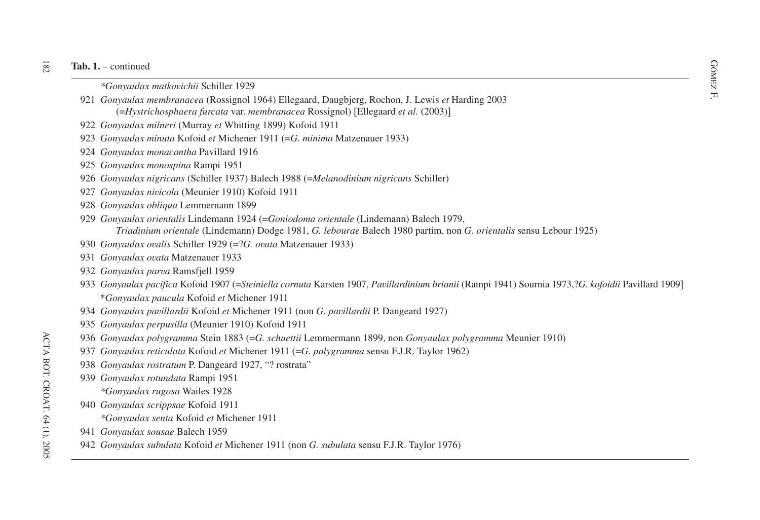- continued<br>
<sup>∞</sup>Gonyaulax matkovichii Schiller 1929<br>
<del>■</del>
- F. *Gonyaulax membranacea* (Rossignol 1964) Ellegaard, Daugbjerg, Rochon, J. Lewis *et* Harding 2003 (=*Hystrichosphaera furcata* var. *membranacea* Rossignol) Ellegaard *et al.* (2003)-
- *Gonyaulax milneri* (Murray *et* Whitting 1899) Kofoid 1911
- *Gonyaulax minuta* Kofoid *et* Michener 1911 (=*G. minima* Matzenauer 1933)
- *Gonyaulax monacantha* Pavillard 1916
- *Gonyaulax monospina* Rampi 1951
- *Gonyaulax nigricans* (Schiller 1937) Balech 1988 (=*Melanodinium nigricans* Schiller)
- *Gonyaulax nivicola* (Meunier 1910) Kofoid 1911
- *Gonyaulax obliqua* Lemmernann 1899
- *Gonyaulax orientalis* Lindemann 1924 (=*Goniodoma orientale* (Lindemann) Balech 1979, *Triadinium orientale* (Lindemann) Dodge 1981, *G. lebourae* Balech 1980 partim, non *G. orientalis* sensu Lebour 1925)
- *Gonyaulax ovalis* Schiller 1929 (=?*G. ovata* Matzenauer 1933)
- *Gonyaulax ovata* Matzenauer 1933
- *Gonyaulax parva* Ramsfjell 1959
- *Gonyaulax pacifica* Kofoid 1907 (=Steiniella cornuta Karsten 1907, Pavillardinium brianii (Rampi 1941) Sournia 1973,?G. kofoidii Pavillard 1909] \**Gonyaulax paucula* Kofoid *et* Michener 1911
- *Gonyaulax pavillardii* Kofoid *et* Michener 1911 (non *G. pavillardii* P. Dangeard 1927)
- *Gonyaulax perpusilla* (Meunier 1910) Kofoid 1911
- *Gonyaulax polygramma* Stein 1883 (=*G. schuettii* Lemmermann 1899, non *Gonyaulax polygramma* Meunier 1910)
- *Gonyaulax reticulata* Kofoid *et* Michener 1911 (=*G. polygramma* sensu F.J.R. Taylor 1962)
- *Gonyaulax rostratum* P. Dangeard 1927, "? rostrata"
- *Gonyaulax rotundata* Rampi 1951
	- *\*Gonyaulax rugosa* Wailes 1928
- *Gonyaulax scrippsae* Kofoid 1911
	- *\*Gonyaulax senta* Kofoid *et* Michener 1911
- *Gonyaulax sousae* Balech 1959
- *Gonyaulax subulata* Kofoid *et* Michener 1911 (non *G. subulata* sensu F.J.R. Taylor 1976)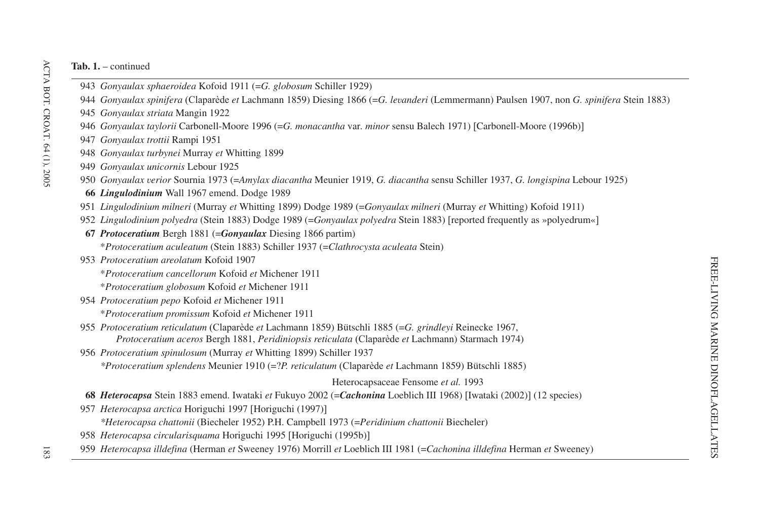- *Gonyaulax sphaeroidea* Kofoid 1911 (=*G. globosum* Schiller 1929)
- *Gonyaulax spinifera* (Claparède *et* Lachmann 1859) Diesing 1866 (=*G. levanderi* (Lemmermann) Paulsen 1907, non *G. spinifera* Stein 1883)
- *Gonyaulax striata* Mangin 1922
- *Gonyaulax taylorii* Carbonell-Moore 1996 (=*G. monacantha* var*. minor* sensu Balech 1971) Carbonell-Moore (1996b)-
- *Gonyaulax trottii* Rampi 1951
- *Gonyaulax turbynei* Murray *et* Whitting 1899
- *Gonyaulax unicornis* Lebour 1925
- *Gonyaulax verior* Sournia 1973 (=*Amylax diacantha* Meunier 1919, *G. diacantha* sensu Schiller 1937, *G. longispina* Lebour 1925)
- *Lingulodinium* Wall 1967 emend. Dodge 1989
- *Lingulodinium milneri* (Murray *et* Whitting 1899) Dodge 1989 (=*Gonyaulax milneri* (Murray *et* Whitting) Kofoid 1911)
- *Lingulodinium polyedra* (Stein 1883) Dodge 1989 (=*Gonyaulax polyedra* Stein 1883) reported frequently as »polyedrum«-
- *Protoceratium* Bergh 1881 (=*Gonyaulax* Diesing 1866 partim) \**Protoceratium aculeatum* (Stein 1883) Schiller 1937 (=*Clathrocysta aculeata* Stein)
- *Protoceratium areolatum* Kofoid 1907
	- \**Protoceratium cancellorum* Kofoid *et* Michener 1911
	- \**Protoceratium globosum* Kofoid *et* Michener 1911
- *Protoceratium pepo* Kofoid *et* Michener 1911
	- \**Protoceratium promissum* Kofoid *et* Michener 1911
- *Protoceratium reticulatum* (Claparède *et* Lachmann 1859) Bütschli 1885 (=*G. grindleyi* Reinecke 1967, *Protoceratium aceros* Bergh 1881, *Peridiniopsis reticulata* (Claparède *et* Lachmann) Starmach 1974)
- *Protoceratium spinulosum* (Murray *et* Whitting 1899) Schiller 1937 *\*Protoceratium splendens* Meunier 1910 (=?*P. reticulatum* (Claparède *et* Lachmann 1859) Bütschli 1885)

Heterocapsaceae Fensome *et al.* 1993

- *Heterocapsa* Stein 1883 emend. Iwataki *et* Fukuyo 2002 (=Cachonina Loeblich III 1968) [Iwataki (2002)] (12 species)
- *Heterocapsa arctica* Horiguchi 1997 [Horiguchi (1997)]

*\*Heterocapsa chattonii* (Biecheler 1952) P.H. Campbell 1973 (=*Peridinium chattonii* Biecheler)

*Heterocapsa circularisquama* Horiguchi 1995 Horiguchi (1995b)-

*Heterocapsa illdefina* (Herman *et* Sweeney 1976) Morrill *et* Loeblich III 1981 (=*Cachonina illdefina* Herman *et* Sweeney)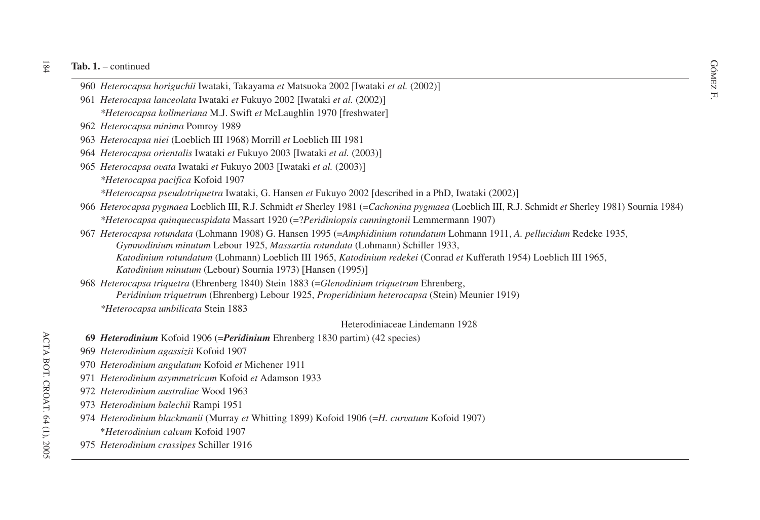- di 1. continued<br>
960 *Heterocapsa horiguchii* Iwataki, Takayama *et* Matsuoka 2002 [Iwataki *et al.* (2002)]<br>
R
- 961 *Heterocapsa lanceolata* Iwataki *et* Fukuyo 2002 Iwataki *et al.* (2002)- *\*Heterocapsa kollmeriana* M.J. Swift *et* McLaughlin 1970 freshwater-
- 962 *Heterocapsa minima* Pomroy 1989
- 963 *Heterocapsa niei* (Loeblich III 1968) Morrill *et* Loeblich III 1981
- 964 *Heterocapsa orientalis* Iwataki *et* Fukuyo 2003 Iwataki *et al.* (2003)-
- 965 *Heterocapsa ovata* Iwataki *et* Fukuyo 2003 Iwataki *et al.* (2003)-
	- *\*Heterocapsa pacifica* Kofoid 1907
	- *\*Heterocapsa pseudotriquetra* Iwataki, G. Hansen *et* Fukuyo 2002 described in <sup>a</sup> PhD, Iwataki (2002)-
- 966 *Heterocapsa pygmaea* Loeblich III, R.J. Schmidt *et* Sherley 1981 (=*Cachonina pygmaea* (Loeblich III, R.J. Schmidt *et* Sherley 1981) Sournia 1984) *\*Heterocapsa quinquecuspidata* Massart 1920 (=?*Peridiniopsis cunningtonii* Lemmermann 1907)
- 967 *Heterocapsa rotundata* (Lohmann 1908) G. Hansen 1995 (=*Amphidinium rotundatum* Lohmann 1911, *A. pellucidum* Redeke 1935, *Gymnodinium minutum* Lebour 1925, *Massartia rotundata* (Lohmann) Schiller 1933, *Katodinium rotundatum* (Lohmann) Loeblich III 1965, *Katodinium redekei* (Conrad *et* Kufferath 1954) Loeblich III 1965, *Katodinium minutum* (Lebour) Sournia 1973) [Hansen (1995)]
- 968 *Heterocapsa triquetra* (Ehrenberg 1840) Stein 1883 (=*Glenodinium triquetrum* Ehrenberg, *Peridinium triquetrum* (Ehrenberg) Lebour 1925, *Properidinium heterocapsa* (Stein) Meunier 1919) *\*Heterocapsa umbilicata* Stein 1883

### Heterodiniaceae Lindemann 1928

- **69** *Heterodinium* Kofoid 1906 (=*Peridinium* Ehrenberg 1830 partim) (42 species)
- 969 *Heterodinium agassizii* Kofoid 1907
- 970 *Heterodinium angulatum* Kofoid *et* Michener 1911
- 971 *Heterodinium asymmetricum* Kofoid *et* Adamson 1933
- 972 *Heterodinium australiae* Wood 1963
- 973 *Heterodinium balechii* Rampi 1951
- 974 *Heterodinium blackmanii* (Murray *et* Whitting 1899) Kofoid 1906 (=*H. curvatum* Kofoid 1907) \**Heterodinium calvum* Kofoid 1907
- 975 *Heterodinium crassipes* Schiller 1916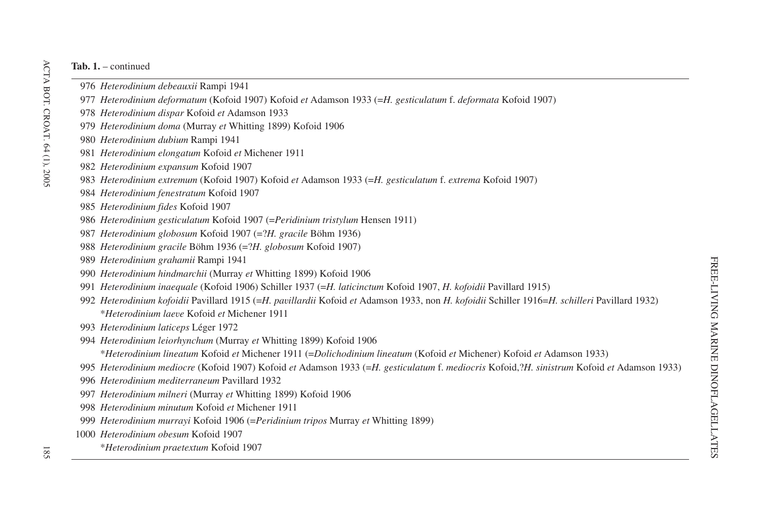- *Heterodinium debeauxii* Rampi 1941
- *Heterodinium deformatum* (Kofoid 1907) Kofoid *et* Adamson 1933 (=*H. gesticulatum* f. *deformata* Kofoid 1907)
- *Heterodinium dispar* Kofoid *et* Adamson 1933
- *Heterodinium doma* (Murray *et* Whitting 1899) Kofoid 1906
- *Heterodinium dubium* Rampi 1941
- *Heterodinium elongatum* Kofoid *et* Michener 1911
- *Heterodinium expansum* Kofoid 1907
- *Heterodinium extremum* (Kofoid 1907) Kofoid *et* Adamson 1933 (=*H. gesticulatum* f. *extrema* Kofoid 1907)
- *Heterodinium fenestratum* Kofoid 1907
- *Heterodinium fides* Kofoid 1907
- *Heterodinium gesticulatum* Kofoid 1907 (=*Peridinium tristylum* Hensen 1911)
- *Heterodinium globosum* Kofoid 1907 (=?*H. gracile* Böhm 1936)
- *Heterodinium gracile* Böhm 1936 (=?*H. globosum* Kofoid 1907)
- *Heterodinium grahamii* Rampi 1941
- *Heterodinium hindmarchii* (Murray *et* Whitting 1899) Kofoid 1906
- *Heterodinium inaequale* (Kofoid 1906) Schiller 1937 (=*H. laticinctum* Kofoid 1907, *H. kofoidii* Pavillard 1915)
- *Heterodinium kofoidii* Pavillard 1915 (=H. *pavillardii* Kofoid *et* Adamson 1933, non *H. kofoidii* Schiller 1916=H. *schilleri* Pavillard 1932) \**Heterodinium laeve* Kofoid *et* Michener 1911
- *Heterodinium laticeps* Léger 1972
- *Heterodinium leiorhynchum* (Murray *et* Whitting 1899) Kofoid 1906
	- \**Heterodinium lineatum* Kofoid *et* Michener 1911 (=*Dolichodinium lineatum* (Kofoid *et* Michener) Kofoid *et* Adamson 1933)
- *Heterodinium mediocre* (Kofoid 1907) Kofoid *et* Adamson 1933 (=H. gesticulatum f. mediocris Kofoid,?H. sinistrum Kofoid et Adamson 1933)
- *Heterodinium mediterraneum* Pavillard 1932
- *Heterodinium milneri* (Murray *et* Whitting 1899) Kofoid 1906
- *Heterodinium minutum* Kofoid *et* Michener 1911
- *Heterodinium murrayi* Kofoid 1906 (=*Peridinium tripos* Murray *et* Whitting 1899)
- *Heterodinium obesum* Kofoid 1907
	- \**Heterodinium praetextum* Kofoid 1907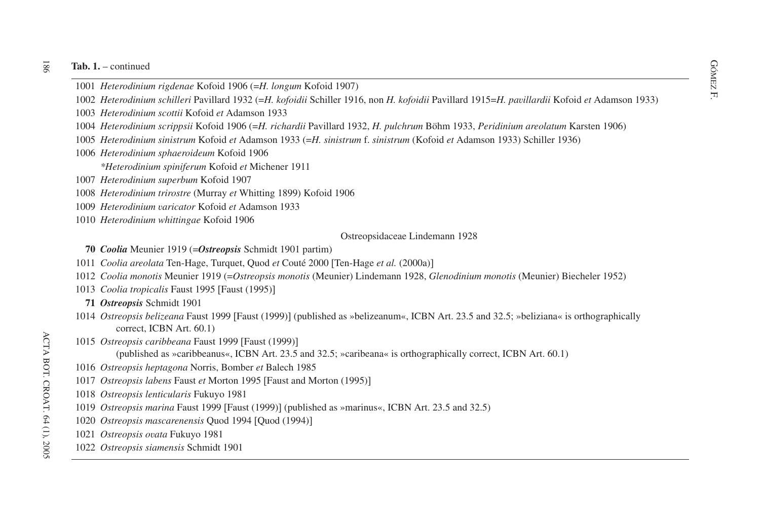- Rob. 1. continued<br>1001 *Heterodinium rigdenae* Kofoid 1906 (=*H. longum* Kofoid 1907)<br>R
- 1933) 1002 *Heterodinium schilleri* Pavillard 1932 (=H. kofoidii Schiller 1916, non H. kofoidii Pavillard 1915=H. pavillardii Kofoid et Adamson 1933)
- *Heterodinium scottii* Kofoid *et* Adamson 1933
- *Heterodinium scrippsii* Kofoid 1906 (=*H. richardii* Pavillard 1932, *H. pulchrum* Böhm 1933, *Peridinium areolatum* Karsten 1906)
- *Heterodinium sinistrum* Kofoid *et* Adamson 1933 (=*H. sinistrum* f. *sinistrum* (Kofoid *et* Adamson 1933) Schiller 1936)
- *Heterodinium sphaeroideum* Kofoid 1906

*\*Heterodinium spiniferum* Kofoid *et* Michener 1911

- *Heterodinium superbum* Kofoid 1907
- *Heterodinium trirostre* (Murray *et* Whitting 1899) Kofoid 1906
- *Heterodinium varicator* Kofoid *et* Adamson 1933
- *Heterodinium whittingae* Kofoid 1906

### Ostreopsidaceae Lindemann 1928

- *Coolia* Meunier 1919 (=*Ostreopsis* Schmidt 1901 partim)
- *Coolia areolata* Ten-Hage, Turquet, Quod *et* Couté 2000 Ten-Hage *et al.* (2000a)-
- *Coolia monotis* Meunier 1919 (=*Ostreopsis monotis* (Meunier) Lindemann 1928, *Glenodinium monotis* (Meunier) Biecheler 1952)
- *Coolia tropicalis* Faust 1995 Faust (1995)-
- *Ostreopsis* Schmidt 1901
- *Ostreopsis belizeana* Faust 1999 [Faust (1999)] (published as »belizeanum«, ICBN Art. 23.5 and 32.5; »beliziana« is orthographically correct, ICBN Art. 60.1)
- *Ostreopsis caribbeana* Faust 1999 Faust (1999)-
	- (published as »caribbeanus«, ICBN Art. 23.5 and 32.5; »caribeana« is orthographically correct, ICBN Art. 60.1)
- *Ostreopsis heptagona* Norris, Bomber *et* Balech 1985
- *Ostreopsis labens* Faust *et* Morton 1995 Faust and Morton (1995)-
- *Ostreopsis lenticularis* Fukuyo 1981
- *Ostreopsis marina* Faust 1999 [Faust (1999)] (published as »marinus«, ICBN Art. 23.5 and 32.5)
- *Ostreopsis mascarenensis* Quod 1994 Quod (1994)-
- *Ostreopsis ovata* Fukuyo 1981
- *Ostreopsis siamensis* Schmidt 1901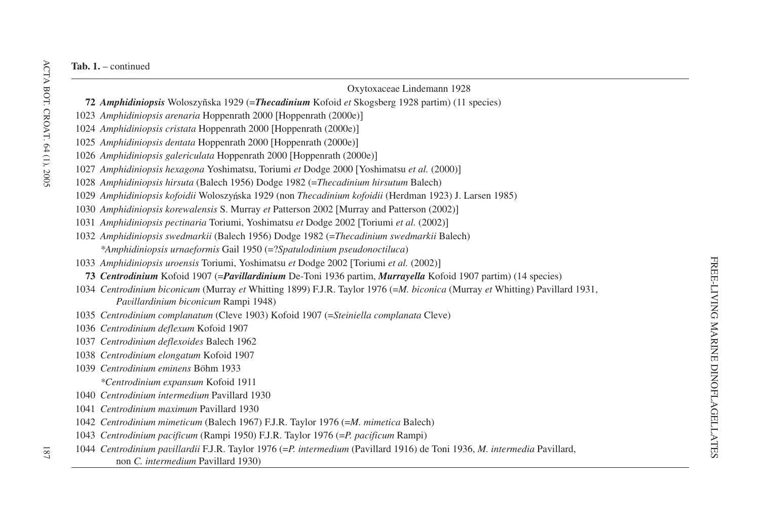| Oxytoxaceae Lindemann 1928                                                                                                                                                                                                                                           |
|----------------------------------------------------------------------------------------------------------------------------------------------------------------------------------------------------------------------------------------------------------------------|
| 72 Amphidiniopsis Woloszyñska 1929 (=Thecadinium Kofoid et Skogsberg 1928 partim) (11 species)                                                                                                                                                                       |
| 1023 Amphidiniopsis arenaria Hoppenrath 2000 [Hoppenrath (2000e)]                                                                                                                                                                                                    |
| 1024 Amphidiniopsis cristata Hoppenrath 2000 [Hoppenrath (2000e)]                                                                                                                                                                                                    |
| 1025 Amphidiniopsis dentata Hoppenrath 2000 [Hoppenrath (2000e)]                                                                                                                                                                                                     |
| 1026 Amphidiniopsis galericulata Hoppenrath 2000 [Hoppenrath (2000e)]                                                                                                                                                                                                |
| 1027 Amphidiniopsis hexagona Yoshimatsu, Toriumi et Dodge 2000 [Yoshimatsu et al. (2000)]                                                                                                                                                                            |
| 1028 Amphidiniopsis hirsuta (Balech 1956) Dodge 1982 (=Thecadinium hirsutum Balech)                                                                                                                                                                                  |
| 1029 Amphidiniopsis kofoidii Woloszyńska 1929 (non Thecadinium kofoidii (Herdman 1923) J. Larsen 1985)                                                                                                                                                               |
| 1030 Amphidiniopsis korewalensis S. Murray et Patterson 2002 [Murray and Patterson (2002)]                                                                                                                                                                           |
| 1031 Amphidiniopsis pectinaria Toriumi, Yoshimatsu et Dodge 2002 [Toriumi et al. (2002)]                                                                                                                                                                             |
| 1032 Amphidiniopsis swedmarkii (Balech 1956) Dodge 1982 (=Thecadinium swedmarkii Balech)                                                                                                                                                                             |
| *Amphidiniopsis urnaeformis Gail 1950 (=?Spatulodinium pseudonoctiluca)                                                                                                                                                                                              |
| 1033 Amphidiniopsis uroensis Toriumi, Yoshimatsu et Dodge 2002 [Toriumi et al. (2002)]                                                                                                                                                                               |
| 73 Centrodinium Kofoid 1907 (=Pavillardinium De-Toni 1936 partim, Murrayella Kofoid 1907 partim) (14 species)                                                                                                                                                        |
| 1034 Centrodinium biconicum (Murray et Whitting 1899) F.J.R. Taylor 1976 (=M. biconica (Murray et Whitting) Pavillard 1931,<br>Pavillardinium biconicum Rampi 1948)                                                                                                  |
| 1035 Centrodinium complanatum (Cleve 1903) Kofoid 1907 (=Steiniella complanata Cleve)                                                                                                                                                                                |
| 1036 Centrodinium deflexum Kofoid 1907                                                                                                                                                                                                                               |
| 1037 Centrodinium deflexoides Balech 1962                                                                                                                                                                                                                            |
| 1038 Centrodinium elongatum Kofoid 1907                                                                                                                                                                                                                              |
| 1039 Centrodinium eminens Böhm 1933                                                                                                                                                                                                                                  |
| *Centrodinium expansum Kofoid 1911                                                                                                                                                                                                                                   |
| 1040 Centrodinium intermedium Pavillard 1930                                                                                                                                                                                                                         |
| 1041 Centrodinium maximum Pavillard 1930                                                                                                                                                                                                                             |
| 1042 Centrodinium mimeticum (Balech 1967) F.J.R. Taylor 1976 (=M. mimetica Balech)                                                                                                                                                                                   |
| 1043 Centrodinium pacificum (Rampi 1950) F.J.R. Taylor 1976 (=P. pacificum Rampi)                                                                                                                                                                                    |
| $\mu$ , $\mu$ , $\mu$ , $\mu$ , $\mu$ , $\mu$ , $\mu$ , $\mu$ , $\mu$ , $\mu$ , $\mu$ , $\mu$ , $\mu$ , $\mu$ , $\mu$<br>$\frac{1}{2}$ $\frac{1}{2}$ $\frac{1}{2}$ $\frac{1}{2}$ $\frac{1}{2}$ $\frac{1}{2}$ $\frac{1}{2}$ $\frac{1}{2}$ $\frac{1}{2}$ $\frac{1}{2}$ |

1044 *Centrodinium pavillardii* F.J.R. Taylor 1976 (=*P. intermedium* (Pavillard 1916) de Toni 1936, *M. intermedia* Pavillard, non *C. intermedium* Pavillard 1930)

 $181$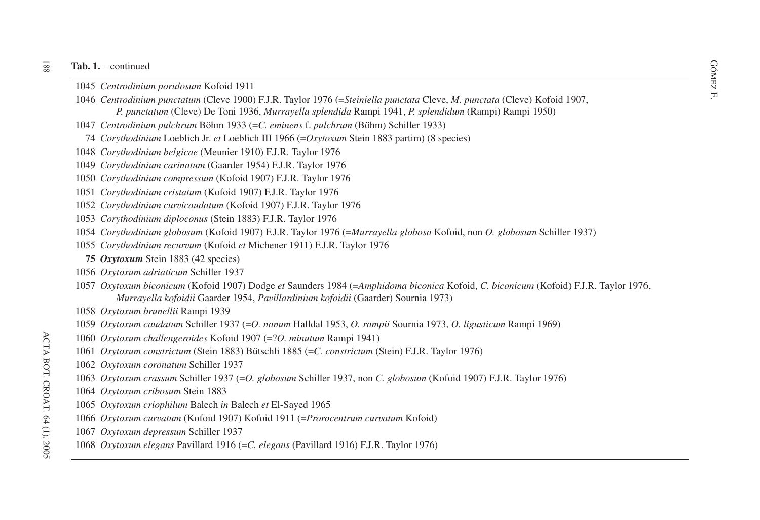- **ab. 1.** continued  $\frac{GQ}{N}$ <br>1045 *Centrodinium porulosum* Kofoid 1911 *Centrodinium porulosum* Kofoid 1911
- F. *Centrodinium punctatum* (Cleve 1900) F.J.R. Taylor 1976 (=*Steiniella punctata* Cleve, *M. punctata* (Cleve) Kofoid 1907, *P. punctatum* (Cleve) De Toni 1936, *Murrayella splendida* Rampi 1941, *P. splendidum* (Rampi) Rampi 1950)
- *Centrodinium pulchrum* Böhm 1933 (=*C. eminens* f. *pulchrum* (Böhm) Schiller 1933)
- *Corythodinium* Loeblich Jr. *et* Loeblich III 1966 (=*Oxytoxum* Stein 1883 partim) (8 species)
- *Corythodinium belgicae* (Meunier 1910) F.J.R. Taylor 1976
- *Corythodinium carinatum* (Gaarder 1954) F.J.R. Taylor 1976
- *Corythodinium compressum* (Kofoid 1907) F.J.R. Taylor 1976
- *Corythodinium cristatum* (Kofoid 1907) F.J.R. Taylor 1976
- *Corythodinium curvicaudatum* (Kofoid 1907) F.J.R. Taylor 1976
- *Corythodinium diploconus* (Stein 1883) F.J.R. Taylor 1976
- *Corythodinium globosum* (Kofoid 1907) F.J.R. Taylor 1976 (=*Murrayella globosa* Kofoid, non *O. globosum* Schiller 1937)
- *Corythodinium recurvum* (Kofoid *et* Michener 1911) F.J.R. Taylor 1976
- *Oxytoxum* Stein 1883 (42 species)
- *Oxytoxum adriaticum* Schiller 1937
- *Oxytoxum biconicum* (Kofoid 1907) Dodge *et* Saunders 1984 (=*Amphidoma biconica* Kofoid, *C. biconicum* (Kofoid) F.J.R. Taylor 1976, *Murrayella kofoidii* Gaarder 1954, *Pavillardinium kofoidii* (Gaarder) Sournia 1973)
- *Oxytoxum brunellii* Rampi 1939
- *Oxytoxum caudatum* Schiller 1937 (=*O. nanum* Halldal 1953, *O. rampii* Sournia 1973, *O. ligusticum* Rampi 1969)
- *Oxytoxum challengeroides* Kofoid 1907 (=?*O. minutum* Rampi 1941)
- *Oxytoxum constrictum* (Stein 1883) Bütschli 1885 (=*C. constrictum* (Stein) F.J.R. Taylor 1976)
- *Oxytoxum coronatum* Schiller 1937
- *Oxytoxum crassum* Schiller 1937 (=*O. globosum* Schiller 1937, non *C. globosum* (Kofoid 1907) F.J.R. Taylor 1976)
- *Oxytoxum cribosum* Stein 1883
- *Oxytoxum criophilum* Balech *in* Balech *et* El-Sayed 1965
- *Oxytoxum curvatum* (Kofoid 1907) Kofoid 1911 (=*Prorocentrum curvatum* Kofoid)
- *Oxytoxum depressum* Schiller 1937
- *Oxytoxum elegans* Pavillard 1916 (=*C. elegans* (Pavillard 1916) F.J.R. Taylor 1976)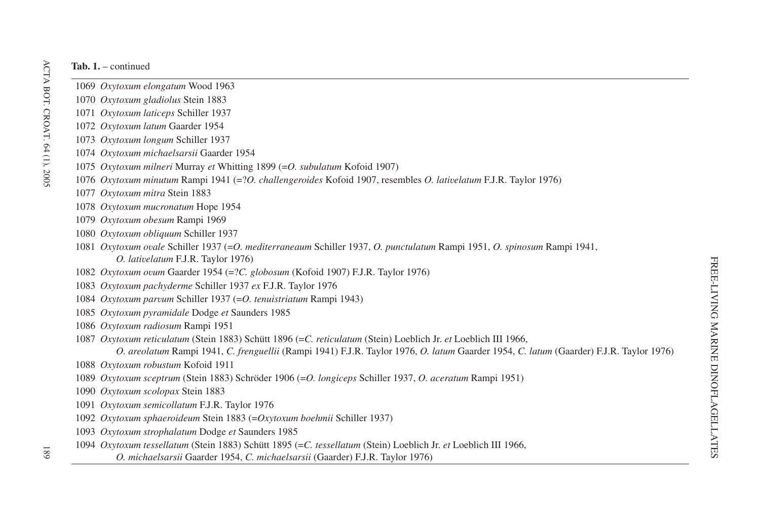- *Oxytoxum elongatum* Wood 1963
- *Oxytoxum gladiolus* Stein 1883
- *Oxytoxum laticeps* Schiller 1937
- *Oxytoxum latum* Gaarder 1954
- *Oxytoxum longum* Schiller 1937
- *Oxytoxum michaelsarsii* Gaarder 1954
- *Oxytoxum milneri* Murray *et* Whitting 1899 (=*O. subulatum* Kofoid 1907)
- *Oxytoxum minutum* Rampi 1941 (=?*O. challengeroides* Kofoid 1907, resembles *O. lativelatum* F.J.R. Taylor 1976)
- *Oxytoxum mitra* Stein 1883
- *Oxytoxum mucronatum* Hope 1954
- *Oxytoxum obesum* Rampi 1969
- *Oxytoxum obliquum* Schiller 1937
- *Oxytoxum ovale* Schiller 1937 (=*O. mediterraneaum* Schiller 1937, *O. punctulatum* Rampi 1951, *O. spinosum* Rampi 1941, *O. lativelatum* F.J.R. Taylor 1976)
- *Oxytoxum ovum* Gaarder 1954 (=?*C. globosum* (Kofoid 1907) F.J.R. Taylor 1976)
- *Oxytoxum pachyderme* Schiller 1937 *ex* F.J.R. Taylor 1976
- *Oxytoxum parvum* Schiller 1937 (=*O. tenuistriatum* Rampi 1943)
- *Oxytoxum pyramidale* Dodge *et* Saunders 1985
- *Oxytoxum radiosum* Rampi 1951
- *Oxytoxum reticulatum* (Stein 1883) Schütt 1896 (=*C. reticulatum* (Stein) Loeblich Jr. *et* Loeblich III 1966,

```
O. areolatum Rampi 1941, C. frenguellii (Rampi 1941) F.J.R. Taylor 1976, O. latum Gaarder 1954, C. latum (Gaarder) F.J.R. Taylor 1976)
```
- *Oxytoxum robustum* Kofoid 1911
- *Oxytoxum sceptrum* (Stein 1883) Schröder 1906 (=*O. longiceps* Schiller 1937, *O. aceratum* Rampi 1951)
- *Oxytoxum scolopax* Stein 1883
- *Oxytoxum semicollatum* F.J.R. Taylor 1976
- *Oxytoxum sphaeroideum* Stein 1883 (=*Oxytoxum boehmii* Schiller 1937)
- *Oxytoxum strophalatum* Dodge *et* Saunders 1985
- *Oxytoxum tessellatum* (Stein 1883) Schütt 1895 (=*C. tessellatum* (Stein) Loeblich Jr. *et* Loeblich III 1966,
	- *O. michaelsarsii* Gaarder 1954, *C. michaelsarsii* (Gaarder) F.J.R. Taylor 1976)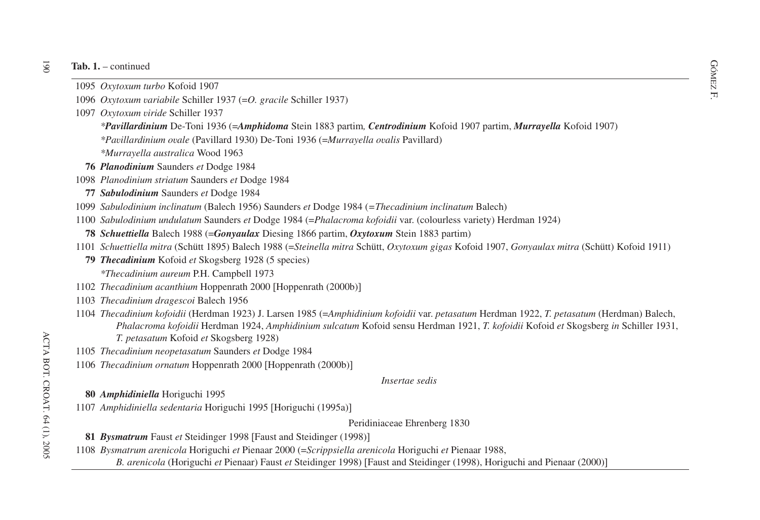#### $\overline{3}$ **Tab. 1.** – continued

- **ab.** 1. continued  $\frac{1095 \, \text{Ox} \times \text{Oy}}{1095 \, \text{Ox} \times \text{Ox} \times \text{Oy}}$ *Oxytoxum turbo* Kofoid 1907
- F. <sup>1096</sup> *Oxytoxum variabile* Schiller 1937 (=*O. gracile* Schiller 1937)
- 1097 *Oxytoxum viride* Schiller 1937

*\*Pavillardinium* De-Toni 1936 (=*Amphidoma* Stein 1883 partim*, Centrodinium* Kofoid 1907 partim, *Murrayella* Kofoid 1907)

*\*Pavillardinium ovale* (Pavillard 1930) De-Toni 1936 (=*Murrayella ovalis* Pavillard)

*\*Murrayella australica* Wood 1963

- **76** *Planodinium* Saunders *et* Dodge 1984
- 1098 *Planodinium striatum* Saunders *et* Dodge 1984
- **77** *Sabulodinium* Saunders *et* Dodge 1984
- 1099 *Sabulodinium inclinatum* (Balech 1956) Saunders *et* Dodge 1984 (*=Thecadinium inclinatum* Balech)
- 1100 *Sabulodinium undulatum* Saunders *et* Dodge 1984 (=*Phalacroma kofoidii* var. (colourless variety) Herdman 1924)
- **78** *Schuettiella* Balech 1988 (=*Gonyaulax* Diesing 1866 partim, *Oxytoxum* Stein 1883 partim)
- 1101 Schuettiella mitra (Schütt 1895) Balech 1988 (=Steinella mitra Schütt, Oxytoxum gigas Kofoid 1907, Gonyaulax mitra (Schütt) Kofoid 1911)
- **79** *Thecadinium* Kofoid *et* Skogsberg 1928 (5 species) *\*Thecadinium aureum* P.H. Campbell 1973
- 1102 *Thecadinium acanthium* Hoppenrath 2000 Hoppenrath (2000b)-
- 1103 *Thecadinium dragescoi* Balech 1956
- 1104 *Thecadinium kofoidii* (Herdman 1923) J. Larsen 1985 (=*Amphidinium kofoidii* var. *petasatum* Herdman 1922, *T. petasatum* (Herdman) Balech, *Phalacroma kofoidii* Herdman 1924, *Amphidinium sulcatum* Kofoid sensu Herdman 1921, *T. kofoidii* Kofoid *et* Skogsberg *in* Schiller 1931, *T. petasatum* Kofoid *et* Skogsberg 1928)
- 1105 *Thecadinium neopetasatum* Saunders *et* Dodge 1984
- 1106 *Thecadinium ornatum* Hoppenrath 2000 [Hoppenrath (2000b)]

*Insertae sedis*

**80** *Amphidiniella* Horiguchi 1995

1107 *Amphidiniella sedentaria* Horiguchi 1995 Horiguchi (1995a)-

Peridiniaceae Ehrenberg 1830

**81** *Bysmatrum* Faust *et* Steidinger 1998 [Faust and Steidinger (1998)]

- 1108 *Bysmatrum arenicola* Horiguchi *et* Pienaar 2000 (=*Scrippsiella arenicola* Horiguchi *et* Pienaar 1988,
	- *B. arenicola* (Horiguchi *et* Pienaar) Faust *et* Steidinger 1998) [Faust and Steidinger (1998), Horiguchi and Pienaar (2000)]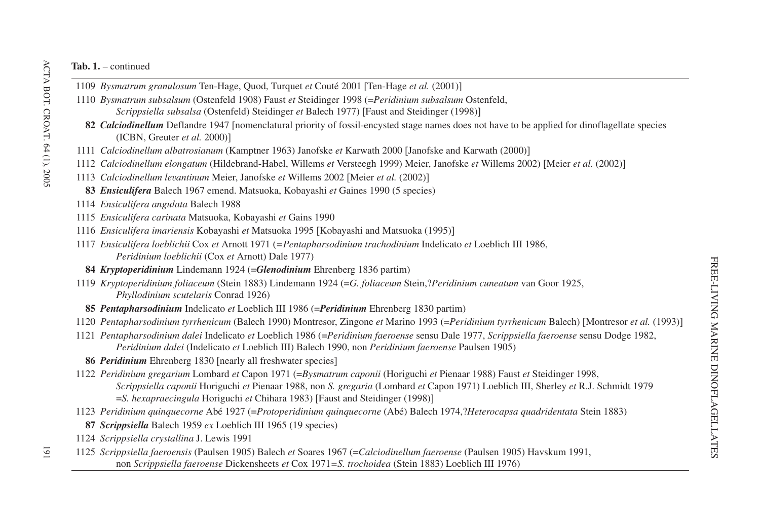- *Bysmatrum granulosum* Ten-Hage, Quod, Turquet *et* Couté 2001 Ten-Hage *et al.* (2001)-
- *Bysmatrum subsalsum* (Ostenfeld 1908) Faust *et* Steidinger 1998 (=*Peridinium subsalsum* Ostenfeld, *Scrippsiella subsalsa* (Ostenfeld) Steidinger *et* Balech 1977) Faust and Steidinger (1998)-
- 82 Calciodinellum Deflandre 1947 [nomenclatural priority of fossil-encysted stage names does not have to be applied for dinoflagellate species (ICBN, Greuter *et al.* 2000)-
- *Calciodinellum albatrosianum* (Kamptner 1963) Janofske *et* Karwath 2000 Janofske and Karwath (2000)-
- *Calciodinellum elongatum* (Hildebrand-Habel, Willems *et* Versteegh 1999) Meier, Janofske *et* Willems 2002) Meier *et al.* (2002)-
- *Calciodinellum levantinum* Meier, Janofske *et* Willems 2002 Meier *et al.* (2002)-
	- *Ensiculifera* Balech 1967 emend. Matsuoka, Kobayashi *et* Gaines 1990 (5 species)
- *Ensiculifera angulata* Balech 1988
- *Ensiculifera carinata* Matsuoka, Kobayashi *et* Gains 1990
- *Ensiculifera imariensis* Kobayashi *et* Matsuoka 1995 Kobayashi and Matsuoka (1995)-
- *Ensiculifera loeblichii* Cox *et* Arnott 1971 (*=Pentapharsodinium trachodinium* Indelicato *et* Loeblich III 1986, *Peridinium loeblichii* (Cox *et* Arnott) Dale 1977)
- *Kryptoperidinium* Lindemann 1924 (=*Glenodinium* Ehrenberg 1836 partim)
- *Kryptoperidinium foliaceum* (Stein 1883) Lindemann 1924 (=*G. foliaceum* Stein,?*Peridinium cuneatum* van Goor 1925, *Phyllodinium scutelaris* Conrad 1926)
- *Pentapharsodinium* Indelicato *et* Loeblich III 1986 (=*Peridinium* Ehrenberg 1830 partim)
- *Pentapharsodinium tyrrhenicum* (Balech 1990) Montresor, Zingone *et* Marino 1993 (=*Peridinium tyrrhenicum* Balech) Montresor *et al.* (1993)-
- *Pentapharsodinium dalei* Indelicato *et* Loeblich 1986 (=*Peridinium faeroense* sensu Dale 1977, *Scrippsiella faeroense* sensu Dodge 1982, *Peridinium dalei* (Indelicato *et* Loeblich III) Balech 1990, non *Peridinium faeroense* Paulsen 1905)
- *Peridinium* Ehrenberg 1830 [nearly all freshwater species]
- *Peridinium gregarium* Lombard *et* Capon 1971 (=*Bysmatrum caponii* (Horiguchi *et* Pienaar 1988) Faust *et* Steidinger 1998, *Scrippsiella caponii* Horiguchi *et* Pienaar 1988, non *S. gregaria* (Lombard *et* Capon 1971) Loeblich III, Sherley *et* R.J. Schmidt 1979 <sup>=</sup>*S. hexapraecingula* Horiguchi *et* Chihara 1983) Faust and Steidinger (1998)-
- *Peridinium quinquecorne* Abé 1927 (=*Protoperidinium quinquecorne* (Abé) Balech 1974,?*Heterocapsa quadridentata* Stein 1883)
- *Scrippsiella* Balech 1959 *ex* Loeblich III 1965 (19 species)
- *Scrippsiella crystallina* J. Lewis 1991
- *Scrippsiella faeroensis* (Paulsen 1905) Balech *et* Soares 1967 (=*Calciodinellum faeroense* (Paulsen 1905) Havskum 1991, non *Scrippsiella faeroense* Dickensheets *et* Cox 1971*=S. trochoidea* (Stein 1883) Loeblich III 1976)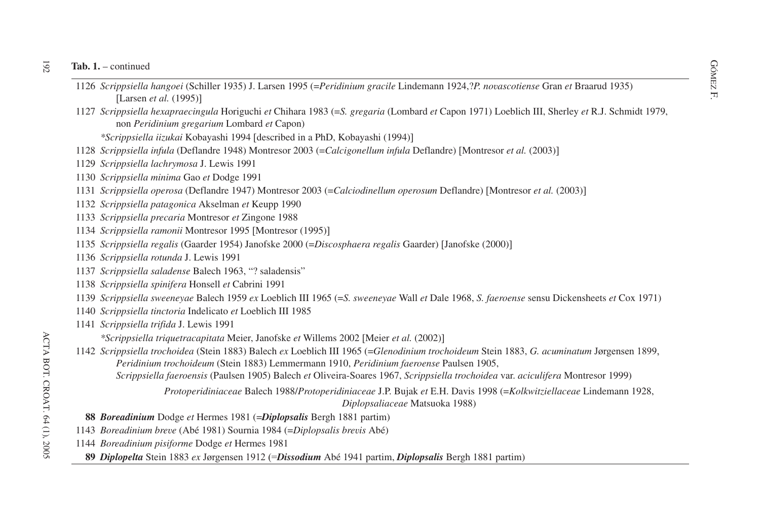- GÓMEZT continued<br>
1126 *Scrippsiella hangoei* (Schiller 1935) J. Larsen 1995 (=*Peridinium gracile* Lindemann 1924,?*P. novascotiense* Gran *et* Braarud 1935) Larsen *et al.* (1995)-
- *Scrippsiella hexapraecingula* Horiguchi *et* Chihara 1983 (=*S. gregaria* (Lombard *et* Capon 1971) Loeblich III, Sherley *et* R.J. Schmidt 1979, non *Peridinium gregarium* Lombard *et* Capon)

*\*Scrippsiella iizukai* Kobayashi 1994 described in <sup>a</sup> PhD, Kobayashi (1994)-

- *Scrippsiella infula* (Deflandre 1948) Montresor 2003 (=*Calcigonellum infula* Deflandre) Montresor *et al.* (2003)-
- *Scrippsiella lachrymosa* J. Lewis 1991
- *Scrippsiella minima* Gao *et* Dodge 1991
- *Scrippsiella operosa* (Deflandre 1947) Montresor 2003 (=*Calciodinellum operosum* Deflandre) Montresor *et al.* (2003)-
- *Scrippsiella patagonica* Akselman *et* Keupp 1990
- *Scrippsiella precaria* Montresor *et* Zingone 1988
- *Scrippsiella ramonii* Montresor 1995 [Montresor (1995)]
- *Scrippsiella regalis* (Gaarder 1954) Janofske 2000 (=*Discosphaera regalis* Gaarder) Janofske (2000)-
- *Scrippsiella rotunda* J. Lewis 1991
- *Scrippsiella saladense* Balech 1963, "? saladensis"
- *Scrippsiella spinifera* Honsell *et* Cabrini 1991
- *Scrippsiella sweeneyae* Balech 1959 *ex* Loeblich III 1965 (=*S. sweeneyae* Wall *et* Dale 1968, *S. faeroense* sensu Dickensheets *et* Cox 1971)
- *Scrippsiella tinctoria* Indelicato *et* Loeblich III 1985
- *Scrippsiella trifida* J. Lewis 1991
	- *\*Scrippsiella triquetracapitata* Meier, Janofske *et* Willems 2002 Meier *et al.* (2002)-
- *Scrippsiella trochoidea* (Stein 1883) Balech *ex* Loeblich III 1965 (=*Glenodinium trochoideum* Stein 1883, *G. acuminatum* Jørgensen 1899, *Peridinium trochoideum* (Stein 1883) Lemmermann 1910, *Peridinium faeroense* Paulsen 1905, *Scrippsiella faeroensis* (Paulsen 1905) Balech *et* Oliveira-Soares 1967, *Scrippsiella trochoidea* var. *aciculifera* Montresor 1999)

*Protoperidiniaceae* Balech 1988/*Protoperidiniaceae* J.P. Bujak *et* E.H. Davis 1998 (=*Kolkwitziellaceae* Lindemann 1928, *Diplopsaliaceae* Matsuoka 1988)

- *Boreadinium* Dodge *et* Hermes 1981 (=*Diplopsalis* Bergh 1881 partim)
- *Boreadinium breve* (Abé 1981) Sournia 1984 (=*Diplopsalis brevis* Abé)
- *Boreadinium pisiforme* Dodge *et* Hermes 1981
	- *Diplopelta* Stein 1883 *ex* Jørgensen 1912 (=*Dissodium* Abé 1941 partim, *Diplopsalis* Bergh 1881 partim)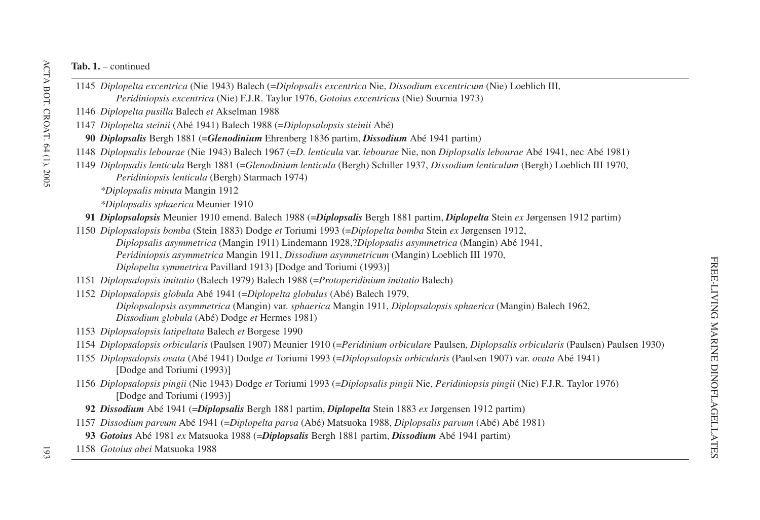- 1145 *Diplopelta excentrica* (Nie 1943) Balech (=*Diplopsalis excentrica* Nie, *Dissodium excentricum* (Nie) Loeblich III, *Peridiniopsis excentrica* (Nie) F.J.R. Taylor 1976, *Gotoius excentricus* (Nie) Sournia 1973)
- 1146 *Diplopelta pusilla* Balech *et* Akselman 1988
- 1147 *Diplopelta steinii* (Abé 1941) Balech 1988 (=*Diplopsalopsis steinii* Abé)
- **90** *Diplopsalis* Bergh 1881 (=*Glenodinium* Ehrenberg 1836 partim, *Dissodium* Abé 1941 partim)
- 1148 *Diplopsalis lebourae* (Nie 1943) Balech 1967 (=*D. lenticula* var. *lebourae* Nie, non *Diplopsalis lebourae* Abé 1941, nec Abé 1981)
- 1149 *Diplopsalis lenticula* Bergh 1881 (=*Glenodinium lenticula* (Bergh) Schiller 1937, *Dissodium lenticulum* (Bergh) Loeblich III 1970, *Peridiniopsis lenticula* (Bergh) Starmach 1974)
	- *\*Diplopsalis minuta* Mangin 1912
	- *\*Diplopsalis sphaerica* Meunier 1910
	- **91** *Diplopsalopsis* Meunier 1910 emend. Balech 1988 (=*Diplopsalis* Bergh 1881 partim, *Diplopelta* Stein *ex* Jørgensen 1912 partim)
- 1150 *Diplopsalopsis bomba* (Stein 1883) Dodge *et* Toriumi 1993 (=*Diplopelta bomba* Stein *ex* Jørgensen 1912,
	- *Diplopsalis asymmetrica* (Mangin 1911) Lindemann 1928,?*Diplopsalis asymmetrica* (Mangin) Abé 1941,
	- *Peridiniopsis asymmetrica* Mangin 1911, *Dissodium asymmetricum* (Mangin) Loeblich III 1970, *Diplopelta symmetrica* Pavillard 1913) [Dodge and Toriumi (1993)]
- 1151 *Diplopsalopsis imitatio* (Balech 1979) Balech 1988 (=*Protoperidinium imitatio* Balech)
- 1152 *Diplopsalopsis globula* Abé 1941 (=*Diplopelta globulus* (Abé) Balech 1979,
	- *Diplopsalopsis asymmetrica* (Mangin) var. *sphaerica* Mangin 1911, *Diplopsalopsis sphaerica* (Mangin) Balech 1962, *Dissodium globula* (Abé) Dodge *et* Hermes 1981)
- 1153 *Diplopsalopsis latipeltata* Balech *et* Borgese 1990
- 1154 *Diplopsalopsis orbicularis* (Paulsen 1907) Meunier 1910 (=*Peridinium orbiculare* Paulsen, *Diplopsalis orbicularis* (Paulsen) Paulsen 1930)
- 1155 *Diplopsalopsis ovata* (Abé 1941) Dodge *et* Toriumi 1993 (=*Diplopsalopsis orbicularis* (Paulsen 1907) var. *ovata* Abé 1941) [Dodge and Toriumi (1993)]
- 1156 *Diplopsalopsis pingii* (Nie 1943) Dodge *et* Toriumi 1993 (=*Diplopsalis pingii* Nie, *Peridiniopsis pingii* (Nie) F.J.R. Taylor 1976) [Dodge and Toriumi (1993)]
	- **92** *Dissodium* Abé 1941 (=*Diplopsalis* Bergh 1881 partim, *Diplopelta* Stein 1883 *ex* Jørgensen 1912 partim)
- 1157 *Dissodium parvum* Abé 1941 (=*Diplopelta parva* (Abé) Matsuoka 1988, *Diplopsalis parvum* (Abé) Abé 1981)
	- **93** *Gotoius* Abé 1981 *ex* Matsuoka 1988 (=*Diplopsalis* Bergh 1881 partim, *Dissodium* Abé 1941 partim)
- 1158 *Gotoius abei* Matsuoka 1988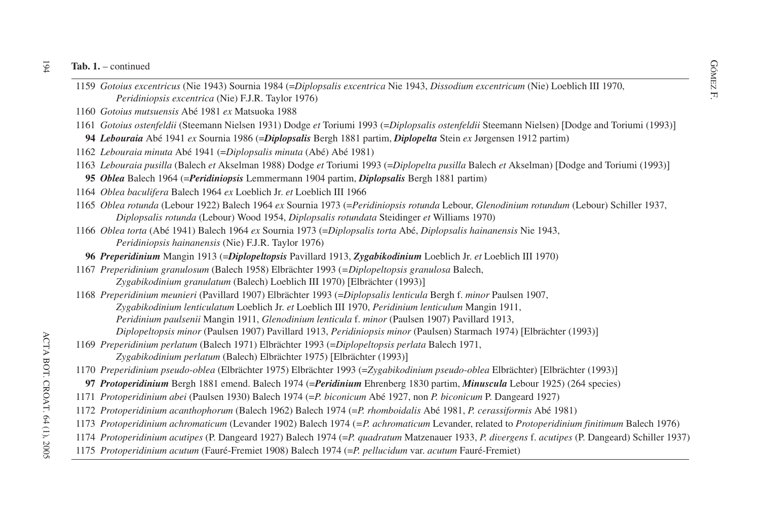- GOMEZ 1. continued<br>
1159 *Gotoius excentricus* (Nie 1943) Sournia 1984 (=*Diplopsalis excentrica* Nie 1943, *Dissodium excentricum* (Nie) Loeblich III 1970, *Peridiniopsis excentrica* (Nie) F.J.R. Taylor 1976)
- *Gotoius mutsuensis* Abé 1981 *ex* Matsuoka 1988
- *Gotoius ostenfeldii* (Steemann Nielsen 1931) Dodge *et* Toriumi 1993 (=*Diplopsalis ostenfeldii* Steemann Nielsen) Dodge and Toriumi (1993)-
- *Lebouraia* Abé 1941 *ex* Sournia 1986 (=*Diplopsalis* Bergh 1881 partim, *Diplopelta* Stein *ex* Jørgensen 1912 partim)
- *Lebouraia minuta* Abé 1941 (=*Diplopsalis minuta* (Abé) Abé 1981)
- *Lebouraia pusilla* (Balech *et* Akselman 1988) Dodge *et* Toriumi 1993 (=*Diplopelta pusilla* Balech *et* Akselman) Dodge and Toriumi (1993)-
- *Oblea* Balech 1964 (=*Peridiniopsis* Lemmermann 1904 partim, *Diplopsalis* Bergh 1881 partim)
- *Oblea baculifera* Balech 1964 *ex* Loeblich Jr. *et* Loeblich III 1966
- *Oblea rotunda* (Lebour 1922) Balech 1964 *ex* Sournia 1973 (=*Peridiniopsis rotunda* Lebour, *Glenodinium rotundum* (Lebour) Schiller 1937, *Diplopsalis rotunda* (Lebour) Wood 1954, *Diplopsalis rotundata* Steidinger *et* Williams 1970)
- *Oblea torta* (Abé 1941) Balech 1964 *ex* Sournia 1973 (=*Diplopsalis torta* Abé, *Diplopsalis hainanensis* Nie 1943, *Peridiniopsis hainanensis* (Nie) F.J.R. Taylor 1976)
- *Preperidinium* Mangin 1913 (=*Diplopeltopsis* Pavillard 1913, *Zygabikodinium* Loeblich Jr. *et* Loeblich III 1970)
- *Preperidinium granulosum* (Balech 1958) Elbrächter 1993 (*=Diplopeltopsis granulosa* Balech, *Zygabikodinium granulatum* (Balech) Loeblich III 1970) Elbrächter (1993)-
- *Preperidinium meunieri* (Pavillard 1907) Elbrächter 1993 (=*Diplopsalis lenticula* Bergh f. *minor* Paulsen 1907, *Zygabikodinium lenticulatum* Loeblich Jr. *et* Loeblich III 1970, *Peridinium lenticulum* Mangin 1911, *Peridinium paulsenii* Mangin 1911, *Glenodinium lenticula* f. *minor* (Paulsen 1907) Pavillard 1913,
	- *Diplopeltopsis minor* (Paulsen 1907) Pavillard 1913, *Peridiniopsis minor* (Paulsen) Starmach 1974) Elbrächter (1993)-
- *Preperidinium perlatum* (Balech 1971) Elbrächter 1993 (=*Diplopeltopsis perlata* Balech 1971, *Zygabikodinium perlatum* (Balech) Elbrächter 1975) Elbrächter (1993)-
- *Preperidinium pseudo-oblea* (Elbrächter 1975) Elbrächter 1993 (=*Zygabikodinium pseudo-oblea* Elbrächter) Elbrächter (1993)-
- *Protoperidinium* Bergh 1881 emend. Balech 1974 (=*Peridinium* Ehrenberg 1830 partim, *Minuscula* Lebour 1925) (264 species)
- *Protoperidinium abei* (Paulsen 1930) Balech 1974 (=*P. biconicum* Abé 1927, non *P. biconicum* P. Dangeard 1927)
- *Protoperidinium acanthophorum* (Balech 1962) Balech 1974 (=*P. rhomboidalis* Abé 1981, *P. cerassiformis* Abé 1981)
- *Protoperidinium achromaticum* (Levander 1902) Balech 1974 (*=P. achromaticum* Levander, related to *Protoperidinium finitimum* Balech 1976)
- *Protoperidinium acutipes* (P. Dangeard 1927) Balech 1974 (=*P. quadratum* Matzenauer 1933, *P. divergens* f. *acutipes* (P. Dangeard) Schiller 1937)
- *Protoperidinium acutum* (Fauré-Fremiet 1908) Balech 1974 (=*P. pellucidum* var. *acutum* Fauré-Fremiet)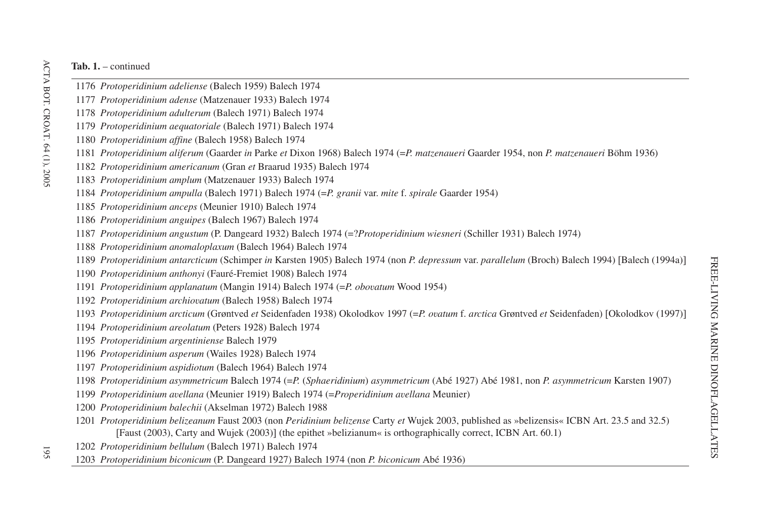- *Protoperidinium adeliense* (Balech 1959) Balech 1974
- *Protoperidinium adense* (Matzenauer 1933) Balech 1974
- *Protoperidinium adulterum* (Balech 1971) Balech 1974
- *Protoperidinium aequatoriale* (Balech 1971) Balech 1974
- *Protoperidinium affine* (Balech 1958) Balech 1974
- *Protoperidinium aliferum* (Gaarder *in* Parke *et* Dixon 1968) Balech 1974 (=*P. matzenaueri* Gaarder 1954, non *P. matzenaueri* Böhm 1936)
- *Protoperidinium americanum* (Gran *et* Braarud 1935) Balech 1974
- *Protoperidinium amplum* (Matzenauer 1933) Balech 1974
- *Protoperidinium ampulla* (Balech 1971) Balech 1974 (=*P. granii* var. *mite* f. *spirale* Gaarder 1954)
- *Protoperidinium anceps* (Meunier 1910) Balech 1974
- *Protoperidinium anguipes* (Balech 1967) Balech 1974
- *Protoperidinium angustum* (P. Dangeard 1932) Balech 1974 (=?*Protoperidinium wiesneri* (Schiller 1931) Balech 1974)
- *Protoperidinium anomaloplaxum* (Balech 1964) Balech 1974
- *Protoperidinium antarcticum* (Schimper *in* Karsten 1905) Balech 1974 (non *P. depressum* var. *parallelum* (Broch) Balech 1994) Balech (1994a)-
- *Protoperidinium anthonyi* (Fauré-Fremiet 1908) Balech 1974
- *Protoperidinium applanatum* (Mangin 1914) Balech 1974 (=*P. obovatum* Wood 1954)
- *Protoperidinium archiovatum* (Balech 1958) Balech 1974
- *Protoperidinium arcticum* (Grøntved *et* Seidenfaden 1938) Okolodkov 1997 (=*P. ovatum* f. *arctica* Grøntved *et* Seidenfaden) Okolodkov (1997)-
- *Protoperidinium areolatum* (Peters 1928) Balech 1974
- *Protoperidinium argentiniense* Balech 1979
- *Protoperidinium asperum* (Wailes 1928) Balech 1974
- *Protoperidinium aspidiotum* (Balech 1964) Balech 1974
- *Protoperidinium asymmetricum* Balech 1974 (=*P.* (*Sphaeridinium*) *asymmetricum* (Abé 1927) Abé 1981, non *P. asymmetricum* Karsten 1907)
- *Protoperidinium avellana* (Meunier 1919) Balech 1974 (=*Properidinium avellana* Meunier)
- *Protoperidinium balechii* (Akselman 1972) Balech 1988
- *Protoperidinium belizeanum* Faust 2003 (non *Peridinium belizense* Carty *et* Wujek 2003, published as »belizensis« ICBN Art. 23.5 and 32.5) [Faust (2003), Carty and Wujek (2003)] (the epithet »belizianum« is orthographically correct, ICBN Art. 60.1)
- *Protoperidinium bellulum* (Balech 1971) Balech 1974
- *Protoperidinium biconicum* (P. Dangeard 1927) Balech 1974 (non *P. biconicum* Abé 1936)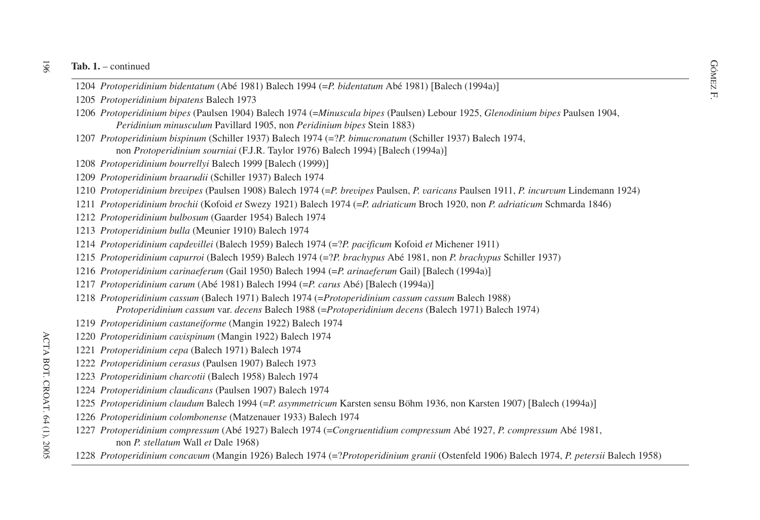- Fab. 1. continued<br>
1204 *Protoperidinium bidentatum* (Abé 1981) Balech 1994 (=*P. bidentatum* Abé 1981) [Balech (1994a)]<br>
Fi
- *Protoperidinium bipatens* Balech 1973
- *Protoperidinium bipes* (Paulsen 1904) Balech 1974 (=*Minuscula bipes* (Paulsen) Lebour 1925, *Glenodinium bipes* Paulsen 1904, *Peridinium minusculum* Pavillard 1905, non *Peridinium bipes* Stein 1883)
- *Protoperidinium bispinum* (Schiller 1937) Balech 1974 (=?*P. bimucronatum* (Schiller 1937) Balech 1974, non *Protoperidinium sourniai* (F.J.R. Taylor 1976) Balech 1994) [Balech (1994a)]
- *Protoperidinium bourrellyi* Balech 1999 Balech (1999)-
- *Protoperidinium braarudii* (Schiller 1937) Balech 1974
- *Protoperidinium brevipes* (Paulsen 1908) Balech 1974 (=*P. brevipes* Paulsen, *P. varicans* Paulsen 1911, *P. incurvum* Lindemann 1924)
- *Protoperidinium brochii* (Kofoid *et* Swezy 1921) Balech 1974 (=*P. adriaticum* Broch 1920, non *P. adriaticum* Schmarda 1846)
- *Protoperidinium bulbosum* (Gaarder 1954) Balech 1974
- *Protoperidinium bulla* (Meunier 1910) Balech 1974
- *Protoperidinium capdevillei* (Balech 1959) Balech 1974 (=?*P. pacificum* Kofoid *et* Michener 1911)
- *Protoperidinium capurroi* (Balech 1959) Balech 1974 (=?*P. brachypus* Abé 1981, non *P. brachypus* Schiller 1937)
- *Protoperidinium carinaeferum* (Gail 1950) Balech 1994 (=*P. arinaeferum* Gail) Balech (1994a)-
- *Protoperidinium carum* (Abé 1981) Balech 1994 (=*P. carus* Abé) Balech (1994a)-
- *Protoperidinium cassum* (Balech 1971) Balech 1974 (=*Protoperidinium cassum cassum* Balech 1988) *Protoperidinium cassum* var. *decens* Balech 1988 (=*Protoperidinium decens* (Balech 1971) Balech 1974)
- *Protoperidinium castaneiforme* (Mangin 1922) Balech 1974
- *Protoperidinium cavispinum* (Mangin 1922) Balech 1974
- *Protoperidinium cepa* (Balech 1971) Balech 1974
- *Protoperidinium cerasus* (Paulsen 1907) Balech 1973
- *Protoperidinium charcotii* (Balech 1958) Balech 1974
- *Protoperidinium claudicans* (Paulsen 1907) Balech 1974
- *Protoperidinium claudum* Balech 1994 (=*P. asymmetricum* Karsten sensu Böhm 1936, non Karsten 1907) Balech (1994a)-
- *Protoperidinium colombonense* (Matzenauer 1933) Balech 1974
- *Protoperidinium compressum* (Abé 1927) Balech 1974 (=*Congruentidium compressum* Abé 1927, *P. compressum* Abé 1981, non *P. stellatum* Wall *et* Dale 1968)
- *Protoperidinium concavum* (Mangin 1926) Balech 1974 (=?*Protoperidinium granii* (Ostenfeld 1906) Balech 1974, *P. petersii* Balech 1958)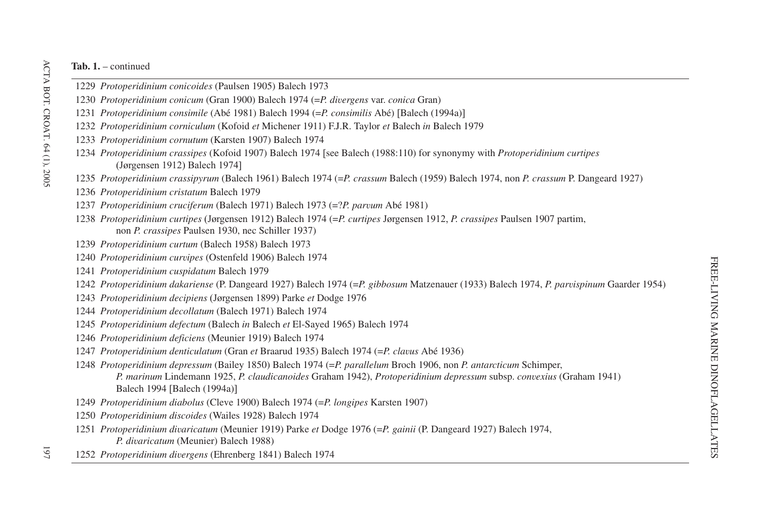- *Protoperidinium conicoides* (Paulsen 1905) Balech 1973
- *Protoperidinium conicum* (Gran 1900) Balech 1974 (=*P. divergens* var. *conica* Gran)
- *Protoperidinium consimile* (Abé 1981) Balech 1994 (=*P. consimilis* Abé) Balech (1994a)-
- *Protoperidinium corniculum* (Kofoid *et* Michener 1911) F.J.R. Taylor *et* Balech *in* Balech 1979
- *Protoperidinium cornutum* (Karsten 1907) Balech 1974
- *Protoperidinium crassipes* (Kofoid 1907) Balech 1974 [see Balech (1988:110) for synonymy with *Protoperidinium curtipes* (Jørgensen 1912) Balech 1974-
- *Protoperidinium crassipyrum* (Balech 1961) Balech 1974 (=*P. crassum* Balech (1959) Balech 1974, non *P. crassum* P. Dangeard 1927)
- *Protoperidinium cristatum* Balech 1979
- *Protoperidinium cruciferum* (Balech 1971) Balech 1973 (=?*P. parvum* Abé 1981)
- *Protoperidinium curtipes* (Jørgensen 1912) Balech 1974 (=*P. curtipes* Jørgensen 1912, *P. crassipes* Paulsen 1907 partim, non *P. crassipes* Paulsen 1930, nec Schiller 1937)
- *Protoperidinium curtum* (Balech 1958) Balech 1973
- *Protoperidinium curvipes* (Ostenfeld 1906) Balech 1974
- *Protoperidinium cuspidatum* Balech 1979
- *Protoperidinium dakariense* (P. Dangeard 1927) Balech 1974 (=*P. gibbosum* Matzenauer (1933) Balech 1974, *P. parvispinum* Gaarder 1954)
- *Protoperidinium decipiens* (Jørgensen 1899) Parke *et* Dodge 1976
- *Protoperidinium decollatum* (Balech 1971) Balech 1974
- *Protoperidinium defectum* (Balech *in* Balech *et* El-Sayed 1965) Balech 1974
- *Protoperidinium deficiens* (Meunier 1919) Balech 1974
- *Protoperidinium denticulatum* (Gran *et* Braarud 1935) Balech 1974 (=*P. clavus* Abé 1936)
- *Protoperidinium depressum* (Bailey 1850) Balech 1974 (=*P. parallelum* Broch 1906, non *P. antarcticum* Schimper, *P. marinum* Lindemann 1925, *P. claudicanoides* Graham 1942), *Protoperidinium depressum* subsp. *convexius* (Graham 1941) Balech 1994 [Balech (1994a)]
- *Protoperidinium diabolus* (Cleve 1900) Balech 1974 (=*P. longipes* Karsten 1907)
- *Protoperidinium discoides* (Wailes 1928) Balech 1974
- *Protoperidinium divaricatum* (Meunier 1919) Parke *et* Dodge 1976 (=*P. gainii* (P. Dangeard 1927) Balech 1974, *P. divaricatum* (Meunier) Balech 1988)
- *Protoperidinium divergens* (Ehrenberg 1841) Balech 1974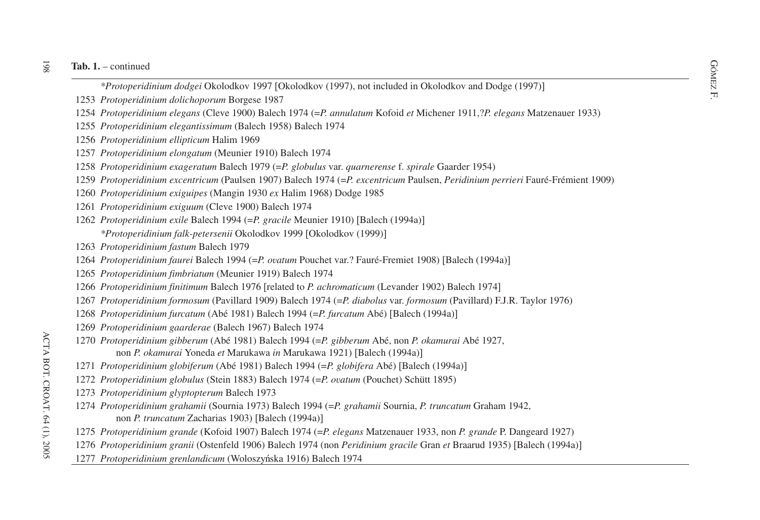- external continued<br> *\*Protoperidinium dodgei* Okolodkov 1997 [Okolodkov (1997), not included in Okolodkov and Dodge (1997)]
- *Protoperidinium dolichoporum* Borgese 1987
- *Protoperidinium elegans* (Cleve 1900) Balech 1974 (=*P. annulatum* Kofoid *et* Michener 1911,?*P. elegans* Matzenauer 1933)
- *Protoperidinium elegantissimum* (Balech 1958) Balech 1974
- *Protoperidinium ellipticum* Halim 1969
- *Protoperidinium elongatum* (Meunier 1910) Balech 1974
- *Protoperidinium exageratum* Balech 1979 (=*P. globulus* var. *quarnerense* f. *spirale* Gaarder 1954)
- *Protoperidinium excentricum* (Paulsen 1907) Balech 1974 (=*P. excentricum* Paulsen, *Peridinium perrieri* Fauré-Frémient 1909)
- *Protoperidinium exiguipes* (Mangin 1930 *ex* Halim 1968) Dodge 1985
- *Protoperidinium exiguum* (Cleve 1900) Balech 1974
- *Protoperidinium exile* Balech 1994 (=*P. gracile* Meunier 1910) Balech (1994a)- *\*Protoperidinium falk-petersenii* Okolodkov 1999 Okolodkov (1999)-
- *Protoperidinium fastum* Balech 1979
- *Protoperidinium faurei* Balech 1994 (=*P. ovatum* Pouchet var.? Fauré-Fremiet 1908) [Balech (1994a)]
- *Protoperidinium fimbriatum* (Meunier 1919) Balech 1974
- *Protoperidinium finitimum* Balech 1976 [related to *P. achromaticum* (Levander 1902) Balech 1974]
- *Protoperidinium formosum* (Pavillard 1909) Balech 1974 (=*P. diabolus* var. *formosum* (Pavillard) F.J.R. Taylor 1976)
- *Protoperidinium furcatum* (Abé 1981) Balech 1994 (=*P. furcatum* Abé) [Balech (1994a)]
- *Protoperidinium gaarderae* (Balech 1967) Balech 1974
- *Protoperidinium gibberum* (Abé 1981) Balech 1994 (=*P. gibberum* Abé, non *P. okamurai* Abé 1927, non *P. okamurai* Yoneda *et* Marukawa *in* Marukawa 1921) [Balech (1994a)]
- *Protoperidinium globiferum* (Abé 1981) Balech 1994 (=*P. globifera* Abé) Balech (1994a)-
- *Protoperidinium globulus* (Stein 1883) Balech 1974 (=*P. ovatum* (Pouchet) Schütt 1895)
- *Protoperidinium glyptopterum* Balech 1973
- *Protoperidinium grahamii* (Sournia 1973) Balech 1994 (=*P. grahamii* Sournia, *P. truncatum* Graham 1942, non *P. truncatum* Zacharias 1903) [Balech (1994a)]
- *Protoperidinium grande* (Kofoid 1907) Balech 1974 (=*P. elegans* Matzenauer 1933, non *P. grande* P. Dangeard 1927)
- *Protoperidinium granii* (Ostenfeld 1906) Balech 1974 (non *Peridinium gracile* Gran *et* Braarud 1935) [Balech (1994a)]
- *Protoperidinium grenlandicum* (Woloszyńska 1916) Balech 1974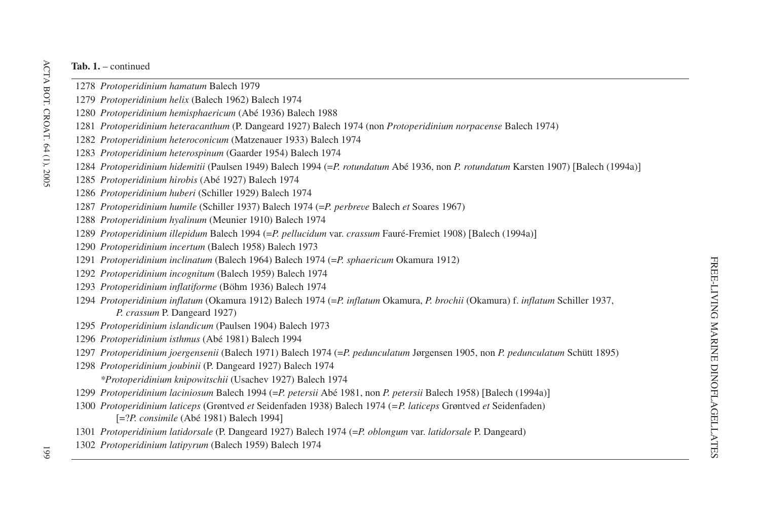- *Protoperidinium hamatum* Balech 1979
- *Protoperidinium helix* (Balech 1962) Balech 1974
- *Protoperidinium hemisphaericum* (Abé 1936) Balech 1988
- *Protoperidinium heteracanthum* (P. Dangeard 1927) Balech 1974 (non *Protoperidinium norpacense* Balech 1974)
- *Protoperidinium heteroconicum* (Matzenauer 1933) Balech 1974
- *Protoperidinium heterospinum* (Gaarder 1954) Balech 1974
- *Protoperidinium hidemitii* (Paulsen 1949) Balech 1994 (=*P. rotundatum* Abé 1936, non *P. rotundatum* Karsten 1907) Balech (1994a)-
- *Protoperidinium hirobis* (Abé 1927) Balech 1974
- *Protoperidinium huberi* (Schiller 1929) Balech 1974
- *Protoperidinium humile* (Schiller 1937) Balech 1974 (=*P. perbreve* Balech *et* Soares 1967)
- *Protoperidinium hyalinum* (Meunier 1910) Balech 1974
- *Protoperidinium illepidum* Balech 1994 (=*P. pellucidum* var. *crassum* Fauré-Fremiet 1908) Balech (1994a)-
- *Protoperidinium incertum* (Balech 1958) Balech 1973
- *Protoperidinium inclinatum* (Balech 1964) Balech 1974 (=*P. sphaericum* Okamura 1912)
- *Protoperidinium incognitum* (Balech 1959) Balech 1974
- *Protoperidinium inflatiforme* (Böhm 1936) Balech 1974
- *Protoperidinium inflatum* (Okamura 1912) Balech 1974 (=*P. inflatum* Okamura, *P. brochii* (Okamura) f. *inflatum* Schiller 1937, *P. crassum* P. Dangeard 1927)
- *Protoperidinium islandicum* (Paulsen 1904) Balech 1973
- *Protoperidinium isthmus* (Abé 1981) Balech 1994
- *Protoperidinium joergensenii* (Balech 1971) Balech 1974 (=*P. pedunculatum* Jørgensen 1905, non *P. pedunculatum* Schütt 1895)
- *Protoperidinium joubinii* (P. Dangeard 1927) Balech 1974 *\*Protoperidinium knipowitschii* (Usachev 1927) Balech 1974
- *Protoperidinium laciniosum* Balech 1994 (=*P. petersii* Abé 1981, non *P. petersii* Balech 1958) Balech (1994a)-
- *Protoperidinium laticeps* (Grøntved *et* Seidenfaden 1938) Balech 1974 (*=P. laticeps* Grøntved *et* Seidenfaden) =?*P. consimile* (Abé 1981) Balech 1994-
- *Protoperidinium latidorsale* (P. Dangeard 1927) Balech 1974 (=*P. oblongum* var. *latidorsale* P. Dangeard)
- *Protoperidinium latipyrum* (Balech 1959) Balech 1974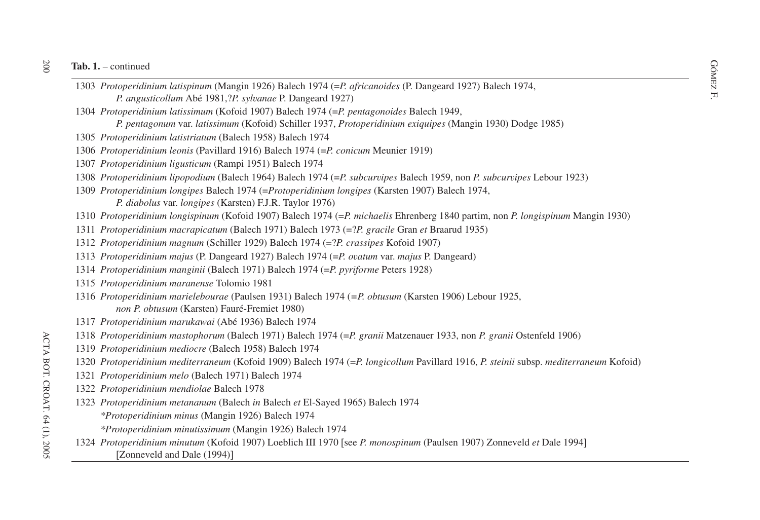- ab. 1. continued<br>
1303 *Protoperidinium latispinum* (Mangin 1926) Balech 1974 (=*P. africanoides* (P. Dangeard 1927) Balech 1974, *P. angusticollum* Abé 1981,?*P. sylvanae* P. Dangeard 1927)
- *Protoperidinium latissimum* (Kofoid 1907) Balech 1974 (=*P. pentagonoides* Balech 1949,
	- *P. pentagonum* var. *latissimum* (Kofoid) Schiller 1937, *Protoperidinium exiquipes* (Mangin 1930) Dodge 1985)
- *Protoperidinium latistriatum* (Balech 1958) Balech 1974
- *Protoperidinium leonis* (Pavillard 1916) Balech 1974 (=*P. conicum* Meunier 1919)
- *Protoperidinium ligusticum* (Rampi 1951) Balech 1974
- *Protoperidinium lipopodium* (Balech 1964) Balech 1974 (=*P. subcurvipes* Balech 1959, non *P. subcurvipes* Lebour 1923)
- *Protoperidinium longipes* Balech 1974 (=*Protoperidinium longipes* (Karsten 1907) Balech 1974, *P. diabolus* var. *longipes* (Karsten) F.J.R. Taylor 1976)
- *Protoperidinium longispinum* (Kofoid 1907) Balech 1974 (=*P. michaelis* Ehrenberg 1840 partim, non *P. longispinum* Mangin 1930)
- *Protoperidinium macrapicatum* (Balech 1971) Balech 1973 (=?*P. gracile* Gran *et* Braarud 1935)
- *Protoperidinium magnum* (Schiller 1929) Balech 1974 (=?*P. crassipes* Kofoid 1907)
- *Protoperidinium majus* (P. Dangeard 1927) Balech 1974 (=*P. ovatum* var. *majus* P. Dangeard)
- *Protoperidinium manginii* (Balech 1971) Balech 1974 (=*P. pyriforme* Peters 1928)
- *Protoperidinium maranense* Tolomio 1981
- *Protoperidinium marielebourae* (Paulsen 1931) Balech 1974 (*=P. obtusum* (Karsten 1906) Lebour 1925, *non P. obtusum* (Karsten) Fauré-Fremiet 1980)
- *Protoperidinium marukawai* (Abé 1936) Balech 1974
- *Protoperidinium mastophorum* (Balech 1971) Balech 1974 (=*P. granii* Matzenauer 1933, non *P. granii* Ostenfeld 1906)
- *Protoperidinium mediocre* (Balech 1958) Balech 1974
- *Protoperidinium mediterraneum* (Kofoid 1909) Balech 1974 (=*P. longicollum* Pavillard 1916, *P. steinii* subsp. *mediterraneum* Kofoid)
- *Protoperidinium melo* (Balech 1971) Balech 1974
- *Protoperidinium mendiolae* Balech 1978
- *Protoperidinium metananum* (Balech *in* Balech *et* El-Sayed 1965) Balech 1974
	- *\*Protoperidinium minus* (Mangin 1926) Balech 1974
	- *\*Protoperidinium minutissimum* (Mangin 1926) Balech 1974
- *Protoperidinium minutum* (Kofoid 1907) Loeblich III 1970 [see P. *monospinum* (Paulsen 1907) Zonneveld et Dale 1994] [Zonneveld and Dale (1994)]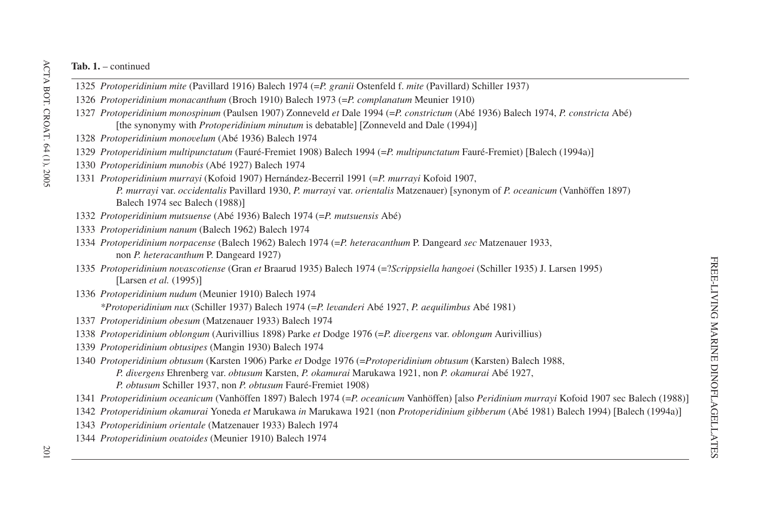- *Protoperidinium mite* (Pavillard 1916) Balech 1974 (=*P. granii* Ostenfeld f. *mite* (Pavillard) Schiller 1937)
- *Protoperidinium monacanthum* (Broch 1910) Balech 1973 (=*P. complanatum* Meunier 1910)
- *Protoperidinium monospinum* (Paulsen 1907) Zonneveld *et* Dale 1994 (=*P. constrictum* (Abé 1936) Balech 1974, *P. constricta* Abé) [the synonymy with *Protoperidinium minutum* is debatable] [Zonneveld and Dale (1994)]
- *Protoperidinium monovelum* (Abé 1936) Balech 1974
- *Protoperidinium multipunctatum* (Fauré-Fremiet 1908) Balech 1994 (=*P. multipunctatum* Fauré-Fremiet) Balech (1994a)-
- *Protoperidinium munobis* (Abé 1927) Balech 1974
- *Protoperidinium murrayi* (Kofoid 1907) Hernández-Becerril 1991 (=*P. murrayi* Kofoid 1907, *P. murrayi* var. *occidentalis* Pavillard 1930, *P. murrayi* var. *orientalis* Matzenauer) [synonym of *P. oceanicum* (Vanhöffen 1897) Balech 1974 sec Balech (1988)]
- *Protoperidinium mutsuense* (Abé 1936) Balech 1974 (=*P. mutsuensis* Abé)
- *Protoperidinium nanum* (Balech 1962) Balech 1974
- *Protoperidinium norpacense* (Balech 1962) Balech 1974 (=*P. heteracanthum* P. Dangeard *sec* Matzenauer 1933, non *P. heteracanthum* P. Dangeard 1927)
- *Protoperidinium novascotiense* (Gran *et* Braarud 1935) Balech 1974 (=?*Scrippsiella hangoei* (Schiller 1935) J. Larsen 1995) [Larsen *et al.* (1995)]
- *Protoperidinium nudum* (Meunier 1910) Balech 1974

*\*Protoperidinium nux* (Schiller 1937) Balech 1974 (=*P. levanderi* Abé 1927, *P. aequilimbus* Abé 1981)

- *Protoperidinium obesum* (Matzenauer 1933) Balech 1974
- *Protoperidinium oblongum* (Aurivillius 1898) Parke *et* Dodge 1976 (=*P. divergens* var. *oblongum* Aurivillius)
- *Protoperidinium obtusipes* (Mangin 1930) Balech 1974
- *Protoperidinium obtusum* (Karsten 1906) Parke *et* Dodge 1976 (=*Protoperidinium obtusum* (Karsten) Balech 1988,

*P. divergens* Ehrenberg var. *obtusum* Karsten, *P. okamurai* Marukawa 1921, non *P. okamurai* Abé 1927,

- *P. obtusum* Schiller 1937, non *P. obtusum* Fauré-Fremiet 1908)
- *Protoperidinium oceanicum* (Vanhöffen 1897) Balech 1974 (=P. *oceanicum* Vanhöffen) [also Peridinium murrayi Kofoid 1907 sec Balech (1988)]
- *Protoperidinium okamurai* Yoneda *et* Marukawa *in* Marukawa 1921 (non *Protoperidinium gibberum* (Abé 1981) Balech 1994) Balech (1994a)-
- *Protoperidinium orientale* (Matzenauer 1933) Balech 1974
- *Protoperidinium ovatoides* (Meunier 1910) Balech 1974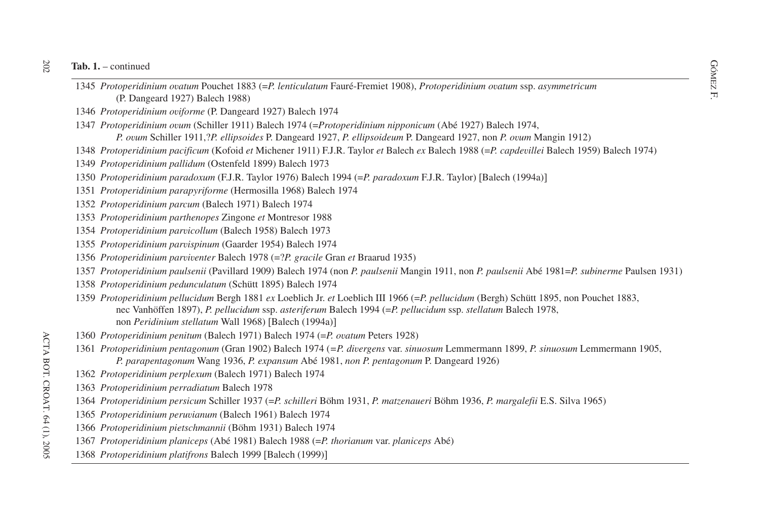- GÓMEZT 1. continued<br>
SOMEZT 1345 *Protoperidinium ovatum* Pouchet 1883 (=*P. lenticulatum* Fauré-Fremiet 1908), *Protoperidinium ovatum* ssp. *asymmetricum*<br>
S (P. Dangeard 1927) Balech 1988)
- *Protoperidinium oviforme* (P. Dangeard 1927) Balech 1974
- *Protoperidinium ovum* (Schiller 1911) Balech 1974 (=*Protoperidinium nipponicum* (Abé 1927) Balech 1974, *P. ovum* Schiller 1911,?*P. ellipsoides* P. Dangeard 1927, *P. ellipsoideum* P. Dangeard 1927, non *P. ovum* Mangin 1912)
- *Protoperidinium pacificum* (Kofoid *et* Michener 1911) F.J.R. Taylor *et* Balech *ex* Balech 1988 (=*P. capdevillei* Balech 1959) Balech 1974)
- *Protoperidinium pallidum* (Ostenfeld 1899) Balech 1973
- *Protoperidinium paradoxum* (F.J.R. Taylor 1976) Balech 1994 (=*P. paradoxum* F.J.R. Taylor) Balech (1994a)-
- *Protoperidinium parapyriforme* (Hermosilla 1968) Balech 1974
- *Protoperidinium parcum* (Balech 1971) Balech 1974
- *Protoperidinium parthenopes* Zingone *et* Montresor 1988
- *Protoperidinium parvicollum* (Balech 1958) Balech 1973
- *Protoperidinium parvispinum* (Gaarder 1954) Balech 1974
- *Protoperidinium parviventer* Balech 1978 (=?*P. gracile* Gran *et* Braarud 1935)
- 1357 Protoperidinium paulsenii (Pavillard 1909) Balech 1974 (non P. paulsenii Mangin 1911, non P. paulsenii Abé 1981=P. subinerme Paulsen 1931)
- *Protoperidinium pedunculatum* (Schütt 1895) Balech 1974
- *Protoperidinium pellucidum* Bergh 1881 *ex* Loeblich Jr. *et* Loeblich III 1966 (=*P. pellucidum* (Bergh) Schütt 1895, non Pouchet 1883, nec Vanhöffen 1897), *P. pellucidum* ssp. *asteriferum* Balech 1994 (=*P. pellucidum* ssp. *stellatum* Balech 1978, non *Peridinium stellatum* Wall 1968) Balech (1994a)-
- *Protoperidinium penitum* (Balech 1971) Balech 1974 (=*P. ovatum* Peters 1928)
- *Protoperidinium pentagonum* (Gran 1902) Balech 1974 (*=P. divergens* var. *sinuosum* Lemmermann 1899, *P. sinuosum* Lemmermann 1905, *P. parapentagonum* Wang 1936, *P. expansum* Abé 1981, *non P. pentagonum* P. Dangeard 1926)
- *Protoperidinium perplexum* (Balech 1971) Balech 1974
- *Protoperidinium perradiatum* Balech 1978
- *Protoperidinium persicum* Schiller 1937 (=*P. schilleri* Böhm 1931, *P. matzenaueri* Böhm 1936, *P. margalefii* E.S. Silva 1965)
- *Protoperidinium peruvianum* (Balech 1961) Balech 1974
- *Protoperidinium pietschmannii* (Böhm 1931) Balech 1974
- *Protoperidinium planiceps* (Abé 1981) Balech 1988 (=*P. thorianum* var. *planiceps* Abé)
- *Protoperidinium platifrons* Balech 1999 Balech (1999)-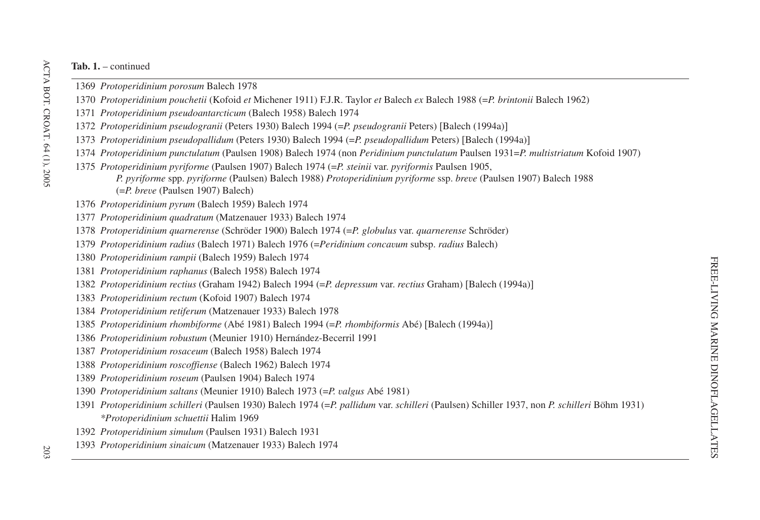- *Protoperidinium porosum* Balech 1978
- *Protoperidinium pouchetii* (Kofoid *et* Michener 1911) F.J.R. Taylor *et* Balech *ex* Balech 1988 (=*P. brintonii* Balech 1962)
- *Protoperidinium pseudoantarcticum* (Balech 1958) Balech 1974
- *Protoperidinium pseudogranii* (Peters 1930) Balech 1994 (=*P. pseudogranii* Peters) [Balech (1994a)]
- *Protoperidinium pseudopallidum* (Peters 1930) Balech 1994 (=P. *pseudopallidum* Peters) [Balech (1994a)]
- *Protoperidinium punctulatum* (Paulsen 1908) Balech 1974 (non *Peridinium punctulatum* Paulsen 1931=*P. multistriatum* Kofoid 1907)
- *Protoperidinium pyriforme* (Paulsen 1907) Balech 1974 (=*P. steinii* var. *pyriformis* Paulsen 1905, *P. pyriforme* spp. *pyriforme* (Paulsen) Balech 1988) *Protoperidinium pyriforme* ssp. *breve* (Paulsen 1907) Balech 1988 (=*P. breve* (Paulsen 1907) Balech)
- *Protoperidinium pyrum* (Balech 1959) Balech 1974
- *Protoperidinium quadratum* (Matzenauer 1933) Balech 1974
- *Protoperidinium quarnerense* (Schröder 1900) Balech 1974 (=*P. globulus* var. *quarnerense* Schröder)
- *Protoperidinium radius* (Balech 1971) Balech 1976 (=*Peridinium concavum* subsp. *radius* Balech)
- *Protoperidinium rampii* (Balech 1959) Balech 1974
- *Protoperidinium raphanus* (Balech 1958) Balech 1974
- *Protoperidinium rectius* (Graham 1942) Balech 1994 (=P. *depressum* var. *rectius* Graham) [Balech (1994a)]
- *Protoperidinium rectum* (Kofoid 1907) Balech 1974
- *Protoperidinium retiferum* (Matzenauer 1933) Balech 1978
- *Protoperidinium rhombiforme* (Abé 1981) Balech 1994 (=*P. rhombiformis* Abé) Balech (1994a)-
- *Protoperidinium robustum* (Meunier 1910) Hernández-Becerril 1991
- *Protoperidinium rosaceum* (Balech 1958) Balech 1974
- *Protoperidinium roscoffiense* (Balech 1962) Balech 1974
- *Protoperidinium roseum* (Paulsen 1904) Balech 1974
- *Protoperidinium saltans* (Meunier 1910) Balech 1973 (=*P. valgus* Abé 1981)
- *Protoperidinium schilleri* (Paulsen 1930) Balech 1974 (=*P. pallidum* var. *schilleri* (Paulsen) Schiller 1937, non *P. schilleri* Böhm 1931) *\*Protoperidinium schuettii* Halim 1969
- *Protoperidinium simulum* (Paulsen 1931) Balech 1931
- *Protoperidinium sinaicum* (Matzenauer 1933) Balech 1974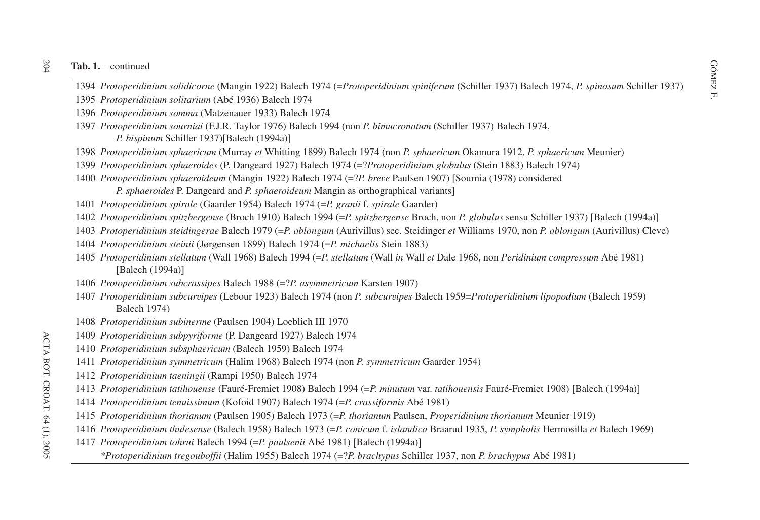- ab. 1. continued<br>1394 *Protoperidinium solidicorne* (Mangin 1922) Balech 1974 (=*Protoperidinium spiniferum* (Schiller 1937) Balech 1974, *P. spinosum* Schiller 1937)
- *Protoperidinium solitarium* (Abé 1936) Balech 1974
- *Protoperidinium somma* (Matzenauer 1933) Balech 1974
- *Protoperidinium sourniai* (F.J.R. Taylor 1976) Balech 1994 (non *P. bimucronatum* (Schiller 1937) Balech 1974, *P. bispinum* Schiller 1937)[Balech (1994a)]
- *Protoperidinium sphaericum* (Murray *et* Whitting 1899) Balech 1974 (non *P. sphaericum* Okamura 1912, *P. sphaericum* Meunier)
- *Protoperidinium sphaeroides* (P. Dangeard 1927) Balech 1974 (=?*Protoperidinium globulus* (Stein 1883) Balech 1974)
- *Protoperidinium sphaeroideum* (Mangin 1922) Balech 1974 (=?*P. breve* Paulsen 1907) Sournia (1978) considered *P. sphaeroides* P. Dangeard and *P. sphaeroideum* Mangin as orthographical variants-
- *Protoperidinium spirale* (Gaarder 1954) Balech 1974 (=*P. granii* f. *spirale* Gaarder)
- *Protoperidinium spitzbergense* (Broch 1910) Balech 1994 (=*P. spitzbergense* Broch, non *P. globulus* sensu Schiller 1937) Balech (1994a)-
- *Protoperidinium steidingerae* Balech 1979 (=*P. oblongum* (Aurivillus) sec. Steidinger *et* Williams 1970, non *P. oblongum* (Aurivillus) Cleve)
- *Protoperidinium steinii* (Jørgensen 1899) Balech 1974 (=*P. michaelis* Stein 1883)
- *Protoperidinium stellatum* (Wall 1968) Balech 1994 (=*P. stellatum* (Wall *in* Wall *et* Dale 1968, non *Peridinium compressum* Abé 1981) [Balech (1994a)]
- *Protoperidinium subcrassipes* Balech 1988 (=?*P. asymmetricum* Karsten 1907)
- *Protoperidinium subcurvipes* (Lebour 1923) Balech 1974 (non *P. subcurvipes* Balech 1959=*Protoperidinium lipopodium* (Balech 1959) Balech 1974)
- *Protoperidinium subinerme* (Paulsen 1904) Loeblich III 1970
- *Protoperidinium subpyriforme* (P. Dangeard 1927) Balech 1974
- *Protoperidinium subsphaericum* (Balech 1959) Balech 1974
- *Protoperidinium symmetricum* (Halim 1968) Balech 1974 (non *P. symmetricum* Gaarder 1954)
- *Protoperidinium taeningii* (Rampi 1950) Balech 1974
- *Protoperidinium tatihouense* (Fauré-Fremiet 1908) Balech 1994 (=*P. minutum* var. *tatihouensis* Fauré-Fremiet 1908) Balech (1994a)-
- *Protoperidinium tenuissimum* (Kofoid 1907) Balech 1974 (=*P. crassiformis* Abé 1981)
- *Protoperidinium thorianum* (Paulsen 1905) Balech 1973 (=*P. thorianum* Paulsen, *Properidinium thorianum* Meunier 1919)
- *Protoperidinium thulesense* (Balech 1958) Balech 1973 (=*P. conicum* f. *islandica* Braarud 1935, *P. sympholis* Hermosilla *et* Balech 1969)
- *Protoperidinium tohrui* Balech 1994 (=*P. paulsenii* Abé 1981) Balech (1994a)-
	- *\*Protoperidinium tregouboffii* (Halim 1955) Balech 1974 (=?*P. brachypus* Schiller 1937, non *P. brachypus* Abé 1981)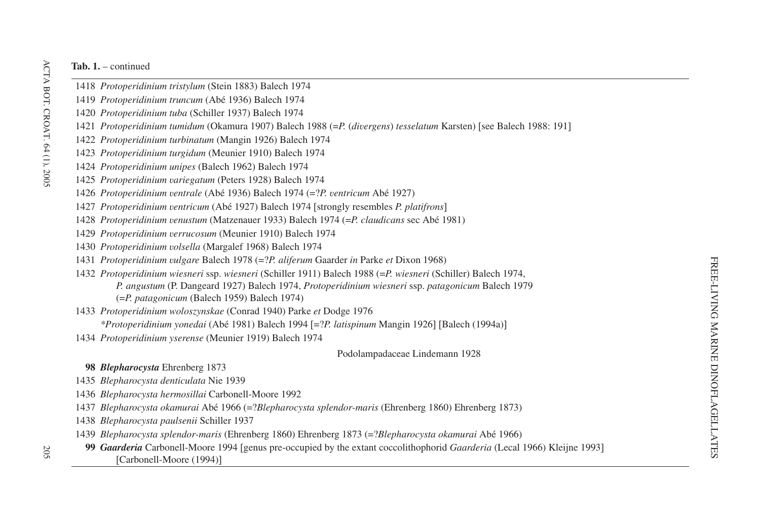- *Protoperidinium tristylum* (Stein 1883) Balech 1974
- *Protoperidinium truncum* (Abé 1936) Balech 1974
- *Protoperidinium tuba* (Schiller 1937) Balech 1974
- *Protoperidinium tumidum* (Okamura 1907) Balech 1988 (=P. (*divergens*) *tesselatum* Karsten) [see Balech 1988: 191]
- *Protoperidinium turbinatum* (Mangin 1926) Balech 1974
- *Protoperidinium turgidum* (Meunier 1910) Balech 1974
- *Protoperidinium unipes* (Balech 1962) Balech 1974
- *Protoperidinium variegatum* (Peters 1928) Balech 1974
- *Protoperidinium ventrale* (Abé 1936) Balech 1974 (=?*P. ventricum* Abé 1927)
- *Protoperidinium ventricum* (Abé 1927) Balech 1974 [strongly resembles *P. platifrons*]
- *Protoperidinium venustum* (Matzenauer 1933) Balech 1974 (=*P. claudicans* sec Abé 1981)
- *Protoperidinium verrucosum* (Meunier 1910) Balech 1974
- *Protoperidinium volsella* (Margalef 1968) Balech 1974
- *Protoperidinium vulgare* Balech 1978 (=?*P. aliferum* Gaarder *in* Parke *et* Dixon 1968)
- *Protoperidinium wiesneri* ssp. *wiesneri* (Schiller 1911) Balech 1988 (=*P. wiesneri* (Schiller) Balech 1974, *P. angustum* (P. Dangeard 1927) Balech 1974, *Protoperidinium wiesneri* ssp. *patagonicum* Balech 1979 (=*P. patagonicum* (Balech 1959) Balech 1974)
- *Protoperidinium woloszynskae* (Conrad 1940) Parke *et* Dodge 1976
	- *\*Protoperidinium yonedai* (Abé 1981) Balech 1994 [=?*P. latispinum* Mangin 1926] [Balech (1994a)]
- *Protoperidinium yserense* (Meunier 1919) Balech 1974

Podolampadaceae Lindemann 1928

- *Blepharocysta* Ehrenberg 1873
- *Blepharocysta denticulata* Nie 1939
- *Blepharocysta hermosillai* Carbonell-Moore 1992
- *Blepharocysta okamurai* Abé 1966 (=?*Blepharocysta splendor-maris* (Ehrenberg 1860) Ehrenberg 1873)
- *Blepharocysta paulsenii* Schiller 1937
- *Blepharocysta splendor-maris* (Ehrenberg 1860) Ehrenberg 1873 (=?*Blepharocysta okamurai* Abé 1966)
- *Gaarderia* Carbonell-Moore 1994 [genus pre-occupied by the extant coccolithophorid *Gaarderia* (Lecal 1966) Kleijne 1993] [Carbonell-Moore (1994)]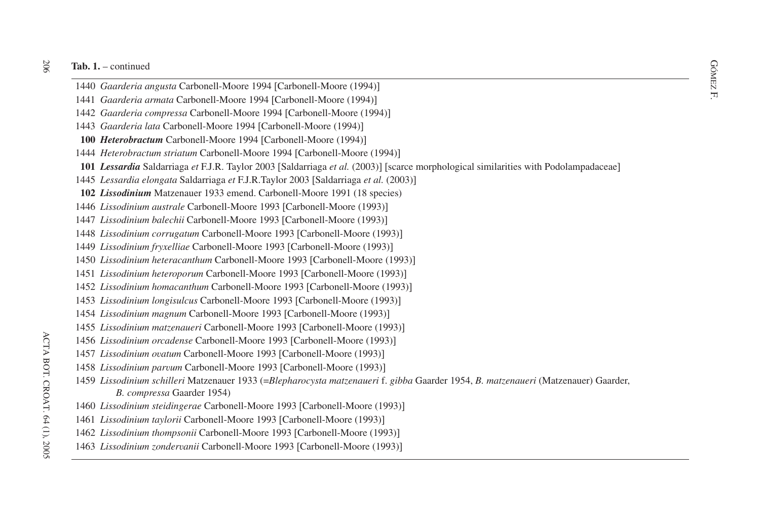- **ab. 1.** continued<br>1440 *Gaarderia angusta* Carbonell-Moore 1994 [Carbonell-Moore (1994)]<br>R
- *Gaarderia armata* Carbonell-Moore 1994 [Carbonell-Moore (1994)]
- *Gaarderia compressa* Carbonell-Moore 1994 [Carbonell-Moore (1994)]
- *Gaarderia lata* Carbonell-Moore 1994 [Carbonell-Moore (1994)]
- *Heterobractum* Carbonell-Moore 1994 [Carbonell-Moore (1994)]
- *Heterobractum striatum* Carbonell-Moore 1994 [Carbonell-Moore (1994)]
- *Lessardia* Saldarriaga *et* F.J.R. Taylor 2003 [Saldarriaga *et al.* (2003)] [scarce morphological similarities with Podolampadaceae]
- *Lessardia elongata* Saldarriaga *et* F.J.R.Taylor 2003 [Saldarriaga *et al.* (2003)]
- *Lissodinium* Matzenauer 1933 emend. Carbonell-Moore 1991 (18 species)
- *Lissodinium australe* Carbonell-Moore 1993 [Carbonell-Moore (1993)]
- *Lissodinium balechii* Carbonell-Moore 1993 Carbonell-Moore (1993)-
- *Lissodinium corrugatum* Carbonell-Moore 1993 Carbonell-Moore (1993)-
- *Lissodinium fryxelliae* Carbonell-Moore 1993 Carbonell-Moore (1993)-
- *Lissodinium heteracanthum* Carbonell-Moore 1993 [Carbonell-Moore (1993)]
- *Lissodinium heteroporum* Carbonell-Moore 1993 [Carbonell-Moore (1993)]
- *Lissodinium homacanthum* Carbonell-Moore 1993 Carbonell-Moore (1993)-
- *Lissodinium longisulcus* Carbonell-Moore 1993 Carbonell-Moore (1993)-
- *Lissodinium magnum* Carbonell-Moore 1993 [Carbonell-Moore (1993)]
- *Lissodinium matzenaueri* Carbonell-Moore 1993 Carbonell-Moore (1993)-
- *Lissodinium orcadense* Carbonell-Moore 1993 Carbonell-Moore (1993)-
- *Lissodinium ovatum* Carbonell-Moore 1993 [Carbonell-Moore (1993)]
- *Lissodinium parvum* Carbonell-Moore 1993 [Carbonell-Moore (1993)]
- *Lissodinium schilleri* Matzenauer 1933 (=*Blepharocysta matzenaueri* f. *gibba* Gaarder 1954, *B. matzenaueri* (Matzenauer) Gaarder, *B. compressa* Gaarder 1954)
- *Lissodinium steidingerae* Carbonell-Moore 1993 [Carbonell-Moore (1993)]
- *Lissodinium taylorii* Carbonell-Moore 1993 Carbonell-Moore (1993)-
- *Lissodinium thompsonii* Carbonell-Moore 1993 Carbonell-Moore (1993)-
- *Lissodinium zondervanii* Carbonell-Moore 1993 Carbonell-Moore (1993)-

20C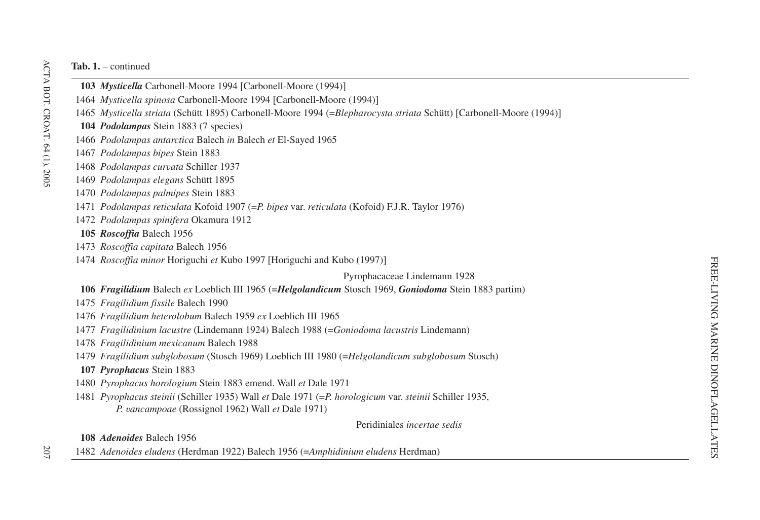- *Mysticella* Carbonell-Moore 1994 [Carbonell-Moore (1994)]
- *Mysticella spinosa* Carbonell-Moore 1994 Carbonell-Moore (1994)-
- *Mysticella striata* (Schütt 1895) Carbonell-Moore 1994 (=*Blepharocysta striata* Schütt) Carbonell-Moore (1994)-
- *Podolampas* Stein 1883 (7 species)
- *Podolampas antarctica* Balech *in* Balech *et* El-Sayed 1965
- *Podolampas bipes* Stein 1883
- *Podolampas curvata* Schiller 1937
- *Podolampas elegans* Schütt 1895
- *Podolampas palmipes* Stein 1883
- *Podolampas reticulata* Kofoid 1907 (=*P. bipes* var. *reticulata* (Kofoid) F.J.R. Taylor 1976)
- *Podolampas spinifera* Okamura 1912
- *Roscoffia* Balech 1956
- *Roscoffia capitata* Balech 1956
- *Roscoffia minor* Horiguchi *et* Kubo 1997 Horiguchi and Kubo (1997)-

#### Pyrophacaceae Lindemann 1928

- *Fragilidium* Balech *ex* Loeblich III 1965 (=*Helgolandicum* Stosch 1969, *Goniodoma* Stein 1883 partim)
- *Fragilidium fissile* Balech 1990
- *Fragilidium heterolobum* Balech 1959 *ex* Loeblich III 1965
- *Fragilidinium lacustre* (Lindemann 1924) Balech 1988 (=*Goniodoma lacustris* Lindemann)
- *Fragilidinium mexicanum* Balech 1988
- *Fragilidium subglobosum* (Stosch 1969) Loeblich III 1980 (=*Helgolandicum subglobosum* Stosch)
- *Pyrophacus* Stein 1883
- *Pyrophacus horologium* Stein 1883 emend. Wall *et* Dale 1971
- *Pyrophacus steinii* (Schiller 1935) Wall *et* Dale 1971 (=*P. horologicum* var. *steinii* Schiller 1935, *P. vancampoae* (Rossignol 1962) Wall *et* Dale 1971)

Peridiniales *incertae sedis*

*Adenoides* Balech 1956

*Adenoides eludens* (Herdman 1922) Balech 1956 (=*Amphidinium eludens* Herdman)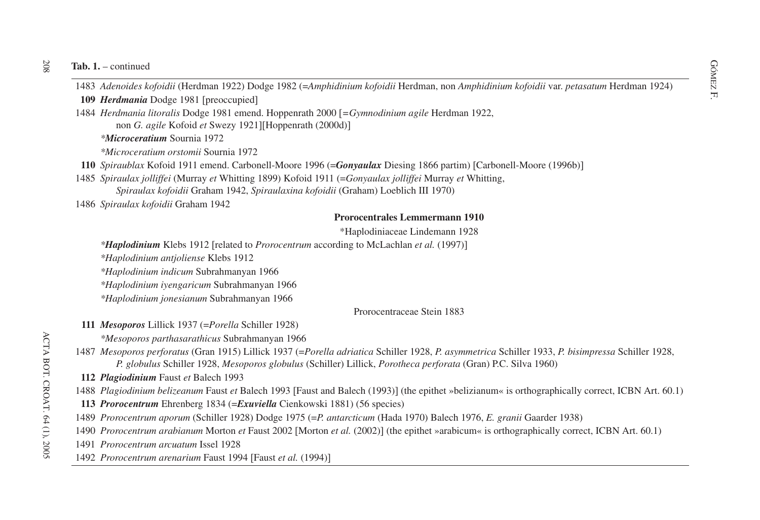GOMEZ 1. – continued<br>
1483 *Adenoides kofoidii* (Herdman 1922) Dodge 1982 (=*Amphidinium kofoidii* Herdman, non *Amphidinium kofoidii* var. *petasatum* Herdman 1924)

**109** *Herdmania* Dodge 1981 [preoccupied]

1484 *Herdmania litoralis* Dodge 1981 emend. Hoppenrath 2000 *=Gymnodinium agile* Herdman 1922, non *G. agile* Kofoid *et* Swezy 1921][Hoppenrath (2000d)]

*\*Microceratium* Sournia 1972

*\*Microceratium orstomii* Sournia 1972

**110** *Spiraublax* Kofoid 1911 emend. Carbonell-Moore 1996 (=*Gonyaulax* Diesing 1866 partim) Carbonell-Moore (1996b)-

1485 *Spiraulax jolliffei* (Murray *et* Whitting 1899) Kofoid 1911 (=*Gonyaulax jolliffei* Murray *et* Whitting, *Spiraulax kofoidii* Graham 1942, *Spiraulaxina kofoidii* (Graham) Loeblich III 1970)

1486 *Spiraulax kofoidii* Graham 1942

#### **Prorocentrales Lemmermann 1910**

\*Haplodiniaceae Lindemann 1928

*\*<i>Haplodinium* Klebs 1912 [related to *Prorocentrum* according to McLachlan *et al.* (1997)]

*\*Haplodinium antjoliense* Klebs 1912

*\*Haplodinium indicum* Subrahmanyan 1966

*\*Haplodinium iyengaricum* Subrahmanyan 1966

*\*Haplodinium jonesianum* Subrahmanyan 1966

Prorocentraceae Stein 1883

**111** *Mesoporos* Lillick 1937 (=*Porella* Schiller 1928)

*\*Mesoporos parthasarathicus* Subrahmanyan 1966

1487 Mesoporos perforatus (Gran 1915) Lillick 1937 (=Porella adriatica Schiller 1928, P. asymmetrica Schiller 1933, P. bisimpressa Schiller 1928, *P. globulus* Schiller 1928, *Mesoporos globulus* (Schiller) Lillick, *Porotheca perforata* (Gran) P.C. Silva 1960)

**112** *Plagiodinium* Faust *et* Balech 1993

1488 Plagiodinium belizeanum Faust et Balech 1993 [Faust and Balech (1993)] (the epithet »belizianum« is orthographically correct, ICBN Art. 60.1)

### **113** *Prorocentrum* Ehrenberg 1834 (=*Exuviella* Cienkowski 1881) (56 species)

- 1489 *Prorocentrum aporum* (Schiller 1928) Dodge 1975 (=*P. antarcticum* (Hada 1970) Balech 1976, *E. granii* Gaarder 1938)
- 1490 *Prorocentrum arabianum* Morton *et* Faust 2002 [Morton *et al.* (2002)] (the epithet »arabicum« is orthographically correct, ICBN Art. 60.1)
- 1491 *Prorocentrum arcuatum* Issel 1928
- 1492 *Prorocentrum arenarium* Faust 1994 Faust *et al.* (1994)-

 $208\,$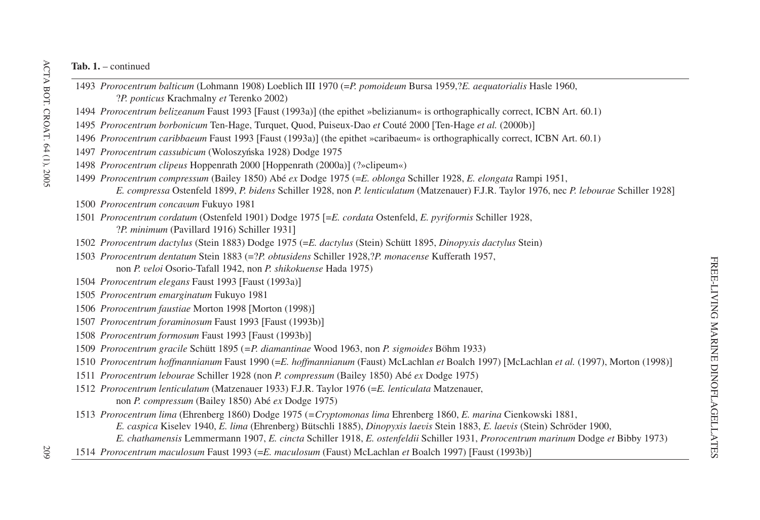- *Prorocentrum balticum* (Lohmann 1908) Loeblich III 1970 (=*P. pomoideum* Bursa 1959,?*E. aequatorialis* Hasle 1960, ?*P. ponticus* Krachmalny *et* Terenko 2002) *Prorocentrum belizeanum* Faust 1993 [Faust (1993a)] (the epithet »belizianum« is orthographically correct, ICBN Art. 60.1) *Prorocentrum borbonicum* Ten-Hage, Turquet, Quod, Puiseux-Dao *et* Couté 2000 Ten-Hage *et al.* (2000b)- *Prorocentrum caribbaeum* Faust 1993 [Faust (1993a)] (the epithet »caribaeum« is orthographically correct, ICBN Art. 60.1) *Prorocentrum cassubicum* (Woloszyńska 1928) Dodge 1975 *Prorocentrum clipeus* Hoppenrath 2000 [Hoppenrath (2000a)] (?»clipeum«) *Prorocentrum compressum* (Bailey 1850) Abé *ex* Dodge 1975 (=*E. oblonga* Schiller 1928, *E. elongata* Rampi 1951, *E. compressa* Ostenfeld 1899, *P. bidens* Schiller 1928, non *P. lenticulatum* (Matzenauer) F.J.R. Taylor 1976, nec *P. lebourae* Schiller 1928- *Prorocentrum concavum* Fukuyo 1981 *Prorocentrum cordatum* (Ostenfeld 1901) Dodge 1975 =*E. cordata* Ostenfeld, *E. pyriformis* Schiller 1928, ?*P. minimum* (Pavillard 1916) Schiller 1931- *Prorocentrum dactylus* (Stein 1883) Dodge 1975 (=*E. dactylus* (Stein) Schütt 1895, *Dinopyxis dactylus* Stein) *Prorocentrum dentatum* Stein 1883 (=?*P. obtusidens* Schiller 1928,?*P. monacense* Kufferath 1957, non *P. veloi* Osorio-Tafall 1942, non *P. shikokuense* Hada 1975) *Prorocentrum elegans* Faust 1993 Faust (1993a)- *Prorocentrum emarginatum* Fukuyo 1981 *Prorocentrum faustiae* Morton 1998 [Morton (1998)] *Prorocentrum foraminosum* Faust 1993 Faust (1993b)- *Prorocentrum formosum* Faust 1993 Faust (1993b)- *Prorocentrum gracile* Schütt 1895 (*=P. diamantinae* Wood 1963, non *P. sigmoides* Böhm 1933) *Prorocentrum hoffmannianum* Faust 1990 (=*E. hoffmannianum* (Faust) McLachlan *et* Boalch 1997) McLachlan *et al.* (1997), Morton (1998)- *Prorocentrum lebourae* Schiller 1928 (non *P. compressum* (Bailey 1850) Abé *ex* Dodge 1975) *Prorocentrum lenticulatum* (Matzenauer 1933) F.J.R. Taylor 1976 (=*E. lenticulata* Matzenauer, non *P. compressum* (Bailey 1850) Abé *ex* Dodge 1975)
- *Prorocentrum lima* (Ehrenberg 1860) Dodge 1975 (*=Cryptomonas lima* Ehrenberg 1860, *E. marina* Cienkowski 1881, *E. caspica* Kiselev 1940, *E. lima* (Ehrenberg) Bütschli 1885), *Dinopyxis laevis* Stein 1883, *E. laevis* (Stein) Schröder 1900,
	- *E. chathamensis* Lemmermann 1907, *E. cincta* Schiller 1918, *E. ostenfeldii* Schiller 1931, *Prorocentrum marinum* Dodge *et* Bibby 1973)
- *Prorocentrum maculosum* Faust 1993 (=*E. maculosum* (Faust) McLachlan *et* Boalch 1997) Faust (1993b)-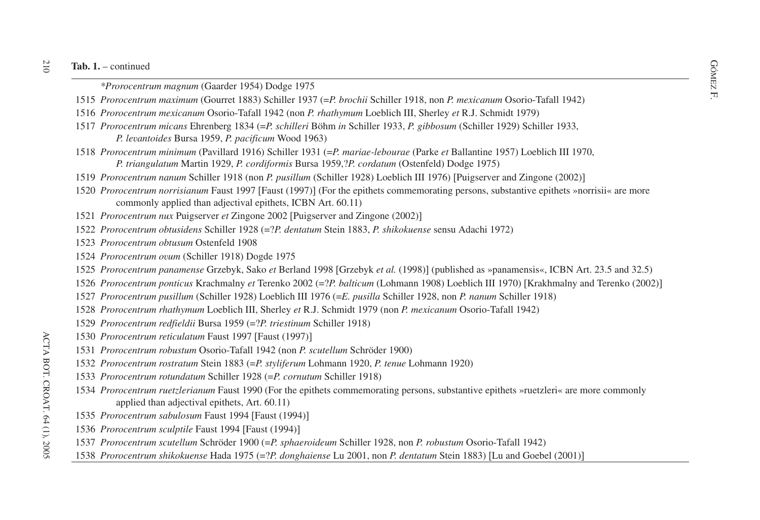extended a continued Continued Continued Continued Continued Continued Continued Continued Continued Continued Continued Continued Continued Continued Continued Continued Continued Continued Continued Continued Continued C

- *Prorocentrum maximum* (Gourret 1883) Schiller 1937 (=*P. brochii* Schiller 1918, non *P. mexicanum* Osorio-Tafall 1942)
- *Prorocentrum mexicanum* Osorio-Tafall 1942 (non *P. rhathymum* Loeblich III, Sherley *et* R.J. Schmidt 1979)
- *Prorocentrum micans* Ehrenberg 1834 (=*P. schilleri* Böhm *in* Schiller 1933, *P. gibbosum* (Schiller 1929) Schiller 1933, *P. levantoides* Bursa 1959, *P. pacificum* Wood 1963)
- *Prorocentrum minimum* (Pavillard 1916) Schiller 1931 (=*P. mariae-lebourae* (Parke *et* Ballantine 1957) Loeblich III 1970, *P. triangulatum* Martin 1929, *P. cordiformis* Bursa 1959,?*P. cordatum* (Ostenfeld) Dodge 1975)
- *Prorocentrum nanum* Schiller 1918 (non *P. pusillum* (Schiller 1928) Loeblich III 1976) Puigserver and Zingone (2002)-
- *Prorocentrum norrisianum* Faust 1997 [Faust (1997)] (For the epithets commemorating persons, substantive epithets »norrisii« are more commonly applied than adjectival epithets, ICBN Art. 60.11)
- *Prorocentrum nux* Puigserver *et* Zingone 2002 [Puigserver and Zingone (2002)]
- *Prorocentrum obtusidens* Schiller 1928 (=?*P. dentatum* Stein 1883, *P. shikokuense* sensu Adachi 1972)
- *Prorocentrum obtusum* Ostenfeld 1908
- *Prorocentrum ovum* (Schiller 1918) Dogde 1975
- *Prorocentrum panamense* Grzebyk, Sako *et* Berland 1998 [Grzebyk *et al.* (1998)] (published as »panamensis«, ICBN Art. 23.5 and 32.5)
- *Prorocentrum ponticus* Krachmalny *et* Terenko 2002 (=?*P. balticum* (Lohmann 1908) Loeblich III 1970) Krakhmalny and Terenko (2002)-
- *Prorocentrum pusillum* (Schiller 1928) Loeblich III 1976 (=*E. pusilla* Schiller 1928, non *P. nanum* Schiller 1918)
- *Prorocentrum rhathymum* Loeblich III, Sherley *et* R.J. Schmidt 1979 (non *P. mexicanum* Osorio-Tafall 1942)
- *Prorocentrum redfieldii* Bursa 1959 (=?*P. triestinum* Schiller 1918)
- *Prorocentrum reticulatum* Faust 1997 Faust (1997)-
- *Prorocentrum robustum* Osorio-Tafall 1942 (non *P. scutellum* Schröder 1900)
- *Prorocentrum rostratum* Stein 1883 (=*P. styliferum* Lohmann 1920, *P. tenue* Lohmann 1920)
- *Prorocentrum rotundatum* Schiller 1928 (=*P. cornutum* Schiller 1918)
- *Prorocentrum ruetzlerianum* Faust 1990 (For the epithets commemorating persons, substantive epithets »ruetzleri« are more commonly applied than adjectival epithets, Art. 60.11)
- *Prorocentrum sabulosum* Faust 1994 Faust (1994)-
- *Prorocentrum sculptile* Faust 1994 Faust (1994)-
- *Prorocentrum scutellum* Schröder 1900 (=*P. sphaeroideum* Schiller 1928, non *P. robustum* Osorio-Tafall 1942)
- *Prorocentrum shikokuense* Hada 1975 (=?*P. donghaiense* Lu 2001, non *P. dentatum* Stein 1883) Lu and Goebel (2001)-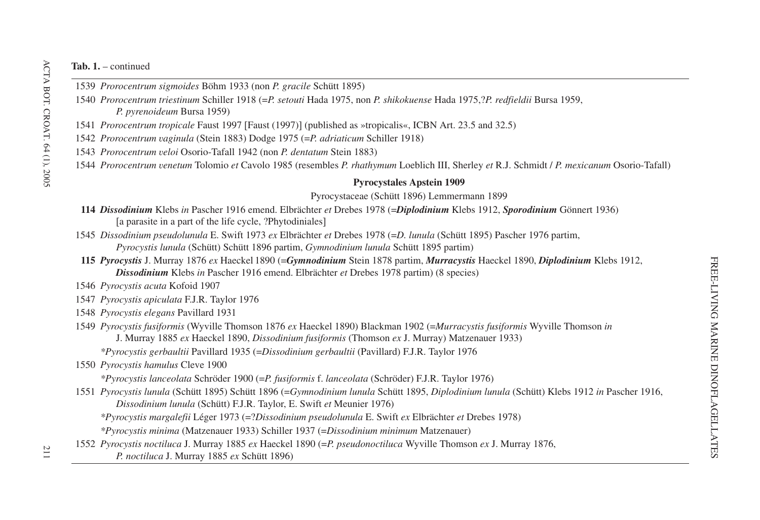- 1539 *Prorocentrum sigmoides* Böhm 1933 (non *P. gracile* Schütt 1895)
- 1540 *Prorocentrum triestinum* Schiller 1918 (=*P. setouti* Hada 1975, non *P. shikokuense* Hada 1975,?*P. redfieldii* Bursa 1959, *P. pyrenoideum* Bursa 1959)
- 1541 *Prorocentrum tropicale* Faust 1997 [Faust (1997)] (published as »tropicalis«, ICBN Art. 23.5 and 32.5)
- 1542 *Prorocentrum vaginula* (Stein 1883) Dodge 1975 (=*P. adriaticum* Schiller 1918)
- 1543 *Prorocentrum veloi* Osorio-Tafall 1942 (non *P. dentatum* Stein 1883)
- 1544 *Prorocentrum venetum* Tolomio *et* Cavolo 1985 (resembles *P. rhathymum* Loeblich III, Sherley *et* R.J. Schmidt / *P. mexicanum* Osorio-Tafall)

### **Pyrocystales Apstein 1909**

#### Pyrocystaceae (Schütt 1896) Lemmermann 1899

- **114** *Dissodinium* Klebs *in* Pascher 1916 emend. Elbrächter *et* Drebes 1978 (=*Diplodinium* Klebs 1912, *Sporodinium* Gönnert 1936) [a parasite in a part of the life cycle, ?Phytodiniales]
- 1545 *Dissodinium pseudolunula* E. Swift 1973 *ex* Elbrächter *et* Drebes 1978 (=*D. lunula* (Schütt 1895) Pascher 1976 partim, *Pyrocystis lunula* (Schütt) Schütt 1896 partim, *Gymnodinium lunula* Schütt 1895 partim)
- **115** *Pyrocystis* J. Murray 1876 *ex* Haeckel 1890 (=*Gymnodinium* Stein 1878 partim, *Murracystis* Haeckel 1890, *Diplodinium* Klebs 1912, *Dissodinium* Klebs *in* Pascher 1916 emend. Elbrächter *et* Drebes 1978 partim) (8 species)
- 1546 *Pyrocystis acuta* Kofoid 1907
- 1547 *Pyrocystis apiculata* F.J.R. Taylor 1976
- 1548 *Pyrocystis elegans* Pavillard 1931
- 1549 *Pyrocystis fusiformis* (Wyville Thomson 1876 *ex* Haeckel 1890) Blackman 1902 (=*Murracystis fusiformis* Wyville Thomson *in* J. Murray 1885 *ex* Haeckel 1890, *Dissodinium fusiformis* (Thomson *ex* J. Murray) Matzenauer 1933)

*\*Pyrocystis gerbaultii* Pavillard 1935 (=*Dissodinium gerbaultii* (Pavillard) F.J.R. Taylor 1976

1550 *Pyrocystis hamulus* Cleve 1900

*\*Pyrocystis lanceolata* Schröder 1900 (=*P. fusiformis* f. *lanceolata* (Schröder) F.J.R. Taylor 1976)

1551 *Pyrocystis lunula* (Schütt 1895) Schütt 1896 (=*Gymnodinium lunula* Schütt 1895, *Diplodinium lunula* (Schütt) Klebs 1912 *in* Pascher 1916, *Dissodinium lunula* (Schütt) F.J.R. Taylor, E. Swift *et* Meunier 1976)

*\*Pyrocystis margalefii* Léger 1973 (=?*Dissodinium pseudolunula* E. Swift *ex* Elbrächter *et* Drebes 1978)

*\*Pyrocystis minima* (Matzenauer 1933) Schiller 1937 (=*Dissodinium minimum* Matzenauer)

1552 *Pyrocystis noctiluca* J. Murray 1885 *ex* Haeckel 1890 (=*P. pseudonoctiluca* Wyville Thomson *ex* J. Murray 1876, *P. noctiluca* J. Murray 1885 *ex* Schütt 1896)

ACTA BOT. CROAT. 64 (1), 2005